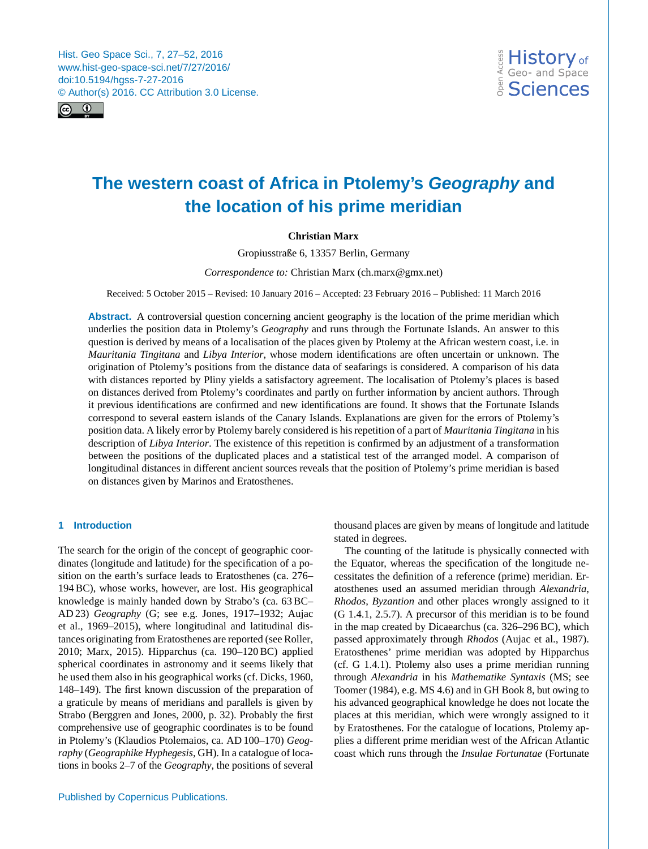<span id="page-0-0"></span>Hist. Geo Space Sci., 7, 27–52, 2016 www.hist-geo-space-sci.net/7/27/2016/ doi:10.5194/hgss-7-27-2016 © Author(s) 2016. CC Attribution 3.0 License.



# **The western coast of Africa in Ptolemy's** *Geography* **and the location of his prime meridian**

# **Christian Marx**

Gropiusstraße 6, 13357 Berlin, Germany

*Correspondence to:* Christian Marx (ch.marx@gmx.net)

Received: 5 October 2015 – Revised: 10 January 2016 – Accepted: 23 February 2016 – Published: 11 March 2016

**Abstract.** A controversial question concerning ancient geography is the location of the prime meridian which underlies the position data in Ptolemy's *Geography* and runs through the Fortunate Islands. An answer to this question is derived by means of a localisation of the places given by Ptolemy at the African western coast, i.e. in *Mauritania Tingitana* and *Libya Interior*, whose modern identifications are often uncertain or unknown. The origination of Ptolemy's positions from the distance data of seafarings is considered. A comparison of his data with distances reported by Pliny yields a satisfactory agreement. The localisation of Ptolemy's places is based on distances derived from Ptolemy's coordinates and partly on further information by ancient authors. Through it previous identifications are confirmed and new identifications are found. It shows that the Fortunate Islands correspond to several eastern islands of the Canary Islands. Explanations are given for the errors of Ptolemy's position data. A likely error by Ptolemy barely considered is his repetition of a part of *Mauritania Tingitana* in his description of *Libya Interior*. The existence of this repetition is confirmed by an adjustment of a transformation between the positions of the duplicated places and a statistical test of the arranged model. A comparison of longitudinal distances in different ancient sources reveals that the position of Ptolemy's prime meridian is based on distances given by Marinos and Eratosthenes.

# <span id="page-0-1"></span>**1 Introduction**

The search for the origin of the concept of geographic coordinates (longitude and latitude) for the specification of a position on the earth's surface leads to Eratosthenes (ca. 276– 194 BC), whose works, however, are lost. His geographical knowledge is mainly handed down by Strabo's (ca. 63 BC– AD 23) *Geography* (G; see e.g. [Jones,](#page-24-0) [1917–1932;](#page-24-0) [Aujac](#page-24-1) [et al.,](#page-24-1) [1969–2015\)](#page-24-1), where longitudinal and latitudinal distances originating from Eratosthenes are reported (see [Roller,](#page-25-0) [2010;](#page-25-0) [Marx,](#page-25-1) [2015\)](#page-25-1). Hipparchus (ca. 190–120 BC) applied spherical coordinates in astronomy and it seems likely that he used them also in his geographical works (cf. [Dicks,](#page-24-2) [1960,](#page-24-2) 148–149). The first known discussion of the preparation of a graticule by means of meridians and parallels is given by Strabo [\(Berggren and Jones,](#page-24-3) [2000,](#page-24-3) p. 32). Probably the first comprehensive use of geographic coordinates is to be found in Ptolemy's (Klaudios Ptolemaios, ca. AD 100–170) *Geography* (*Geographike Hyphegesis*, GH). In a catalogue of locations in books 2–7 of the *Geography*, the positions of several

Published by Copernicus Publications.

thousand places are given by means of longitude and latitude stated in degrees.

The counting of the latitude is physically connected with the Equator, whereas the specification of the longitude necessitates the definition of a reference (prime) meridian. Eratosthenes used an assumed meridian through *Alexandria*, *Rhodos*, *Byzantion* and other places wrongly assigned to it (G 1.4.1, 2.5.7). A precursor of this meridian is to be found in the map created by Dicaearchus (ca. 326–296 BC), which passed approximately through *Rhodos* [\(Aujac et al.,](#page-24-4) [1987\)](#page-24-4). Eratosthenes' prime meridian was adopted by Hipparchus (cf. G 1.4.1). Ptolemy also uses a prime meridian running through *Alexandria* in his *Mathematike Syntaxis* (MS; see [Toomer](#page-25-2) [\(1984\)](#page-25-2), e.g. MS 4.6) and in GH Book 8, but owing to his advanced geographical knowledge he does not locate the places at this meridian, which were wrongly assigned to it by Eratosthenes. For the catalogue of locations, Ptolemy applies a different prime meridian west of the African Atlantic coast which runs through the *Insulae Fortunatae* (Fortunate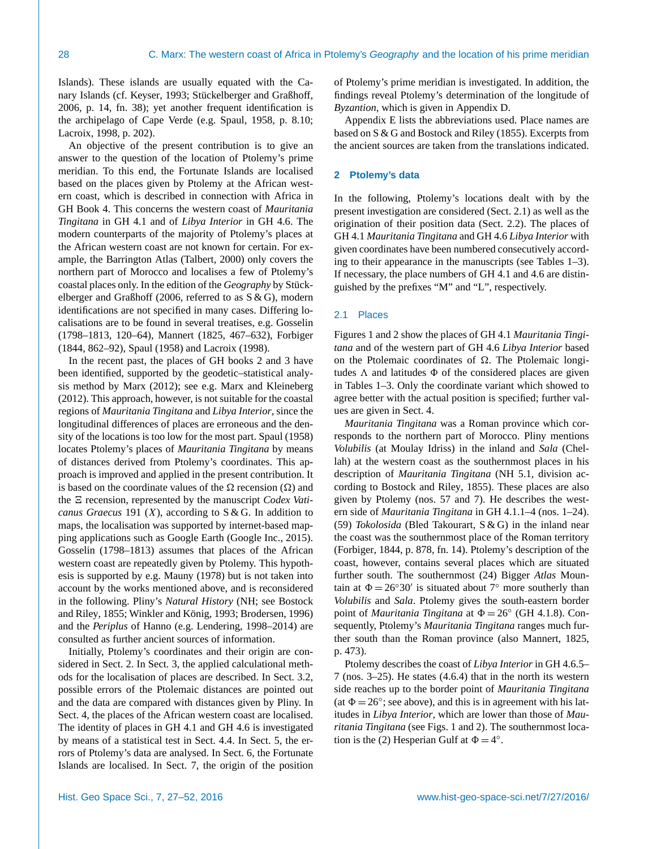Islands). These islands are usually equated with the Canary Islands (cf. [Keyser,](#page-24-5) [1993;](#page-24-5) [Stückelberger and Graßhoff,](#page-25-3) [2006,](#page-25-3) p. 14, fn. 38); yet another frequent identification is the archipelago of Cape Verde (e.g. [Spaul,](#page-25-4) [1958,](#page-25-4) p. 8.10; [Lacroix,](#page-24-6) [1998,](#page-24-6) p. 202).

An objective of the present contribution is to give an answer to the question of the location of Ptolemy's prime meridian. To this end, the Fortunate Islands are localised based on the places given by Ptolemy at the African western coast, which is described in connection with Africa in GH Book 4. This concerns the western coast of *Mauritania Tingitana* in GH 4.1 and of *Libya Interior* in GH 4.6. The modern counterparts of the majority of Ptolemy's places at the African western coast are not known for certain. For example, the Barrington Atlas [\(Talbert,](#page-25-5) [2000\)](#page-25-5) only covers the northern part of Morocco and localises a few of Ptolemy's coastal places only. In the edition of the *Geography* by [Stück](#page-25-3)[elberger and Graßhoff](#page-25-3) [\(2006,](#page-25-3) referred to as S & G), modern identifications are not specified in many cases. Differing localisations are to be found in several treatises, e.g. [Gosselin](#page-24-7) [\(1798–1813,](#page-24-7) 120–64), [Mannert](#page-25-6) [\(1825,](#page-25-6) 467–632), [Forbiger](#page-24-8) [\(1844,](#page-24-8) 862–92), [Spaul](#page-25-4) [\(1958\)](#page-25-4) and [Lacroix](#page-24-6) [\(1998\)](#page-24-6).

In the recent past, the places of GH books 2 and 3 have been identified, supported by the geodetic–statistical analysis method by [Marx](#page-25-7) [\(2012\)](#page-25-7); see e.g. [Marx and Kleineberg](#page-25-8) [\(2012\)](#page-25-8). This approach, however, is not suitable for the coastal regions of *Mauritania Tingitana* and *Libya Interior*, since the longitudinal differences of places are erroneous and the density of the locations is too low for the most part. [Spaul](#page-25-4) [\(1958\)](#page-25-4) locates Ptolemy's places of *Mauritania Tingitana* by means of distances derived from Ptolemy's coordinates. This approach is improved and applied in the present contribution. It is based on the coordinate values of the  $\Omega$  recension  $(\Omega)$  and the  $\Xi$  recension, represented by the manuscript *Codex Vaticanus Graecus* 191 (X), according to S & G. In addition to maps, the localisation was supported by internet-based mapping applications such as Google Earth [\(Google Inc.,](#page-24-9) [2015\)](#page-24-9). [Gosselin](#page-24-7) [\(1798–1813\)](#page-24-7) assumes that places of the African western coast are repeatedly given by Ptolemy. This hypothesis is supported by e.g. [Mauny](#page-25-9) [\(1978\)](#page-25-9) but is not taken into account by the works mentioned above, and is reconsidered in the following. Pliny's *Natural History* (NH; see [Bostock](#page-24-10) [and Riley,](#page-24-10) [1855;](#page-24-10) [Winkler and König,](#page-25-10) [1993;](#page-25-10) [Brodersen,](#page-24-11) [1996\)](#page-24-11) and the *Periplus* of Hanno (e.g. [Lendering,](#page-24-12) [1998–2014\)](#page-24-12) are consulted as further ancient sources of information.

Initially, Ptolemy's coordinates and their origin are considered in Sect. [2.](#page-1-0) In Sect. [3,](#page-3-0) the applied calculational methods for the localisation of places are described. In Sect. [3.2,](#page-5-0) possible errors of the Ptolemaic distances are pointed out and the data are compared with distances given by Pliny. In Sect. [4,](#page-7-0) the places of the African western coast are localised. The identity of places in GH 4.1 and GH 4.6 is investigated by means of a statistical test in Sect. [4.4.](#page-11-0) In Sect. [5,](#page-14-0) the errors of Ptolemy's data are analysed. In Sect. [6,](#page-16-0) the Fortunate Islands are localised. In Sect. [7,](#page-18-0) the origin of the position of Ptolemy's prime meridian is investigated. In addition, the findings reveal Ptolemy's determination of the longitude of *Byzantion*, which is given in Appendix [D.](#page-23-0)

Appendix [E](#page-23-1) lists the abbreviations used. Place names are based on S & G and [Bostock and Riley](#page-24-10) [\(1855\)](#page-24-10). Excerpts from the ancient sources are taken from the translations indicated.

#### <span id="page-1-0"></span>**2 Ptolemy's data**

In the following, Ptolemy's locations dealt with by the present investigation are considered (Sect. [2.1\)](#page-1-1) as well as the origination of their position data (Sect. [2.2\)](#page-2-0). The places of GH 4.1 *Mauritania Tingitana* and GH 4.6 *Libya Interior* with given coordinates have been numbered consecutively according to their appearance in the manuscripts (see Tables [1](#page-3-1)[–3\)](#page-5-1). If necessary, the place numbers of GH 4.1 and 4.6 are distinguished by the prefixes "M" and "L", respectively.

## <span id="page-1-1"></span>2.1 Places

Figures [1](#page-2-1) and [2](#page-2-2) show the places of GH 4.1 *Mauritania Tingitana* and of the western part of GH 4.6 *Libya Interior* based on the Ptolemaic coordinates of  $\Omega$ . The Ptolemaic longitudes  $\Lambda$  and latitudes  $\Phi$  of the considered places are given in Tables [1–](#page-3-1)[3.](#page-5-1) Only the coordinate variant which showed to agree better with the actual position is specified; further values are given in Sect. [4.](#page-7-0)

*Mauritania Tingitana* was a Roman province which corresponds to the northern part of Morocco. Pliny mentions *Volubilis* (at Moulay Idriss) in the inland and *Sala* (Chellah) at the western coast as the southernmost places in his description of *Mauritania Tingitana* (NH 5.1, division according to [Bostock and Riley,](#page-24-10) [1855\)](#page-24-10). These places are also given by Ptolemy (nos. 57 and 7). He describes the western side of *Mauritania Tingitana* in GH 4.1.1–4 (nos. 1–24). (59) *Tokolosida* (Bled Takourart, S & G) in the inland near the coast was the southernmost place of the Roman territory [\(Forbiger,](#page-24-8) [1844,](#page-24-8) p. 878, fn. 14). Ptolemy's description of the coast, however, contains several places which are situated further south. The southernmost (24) Bigger *Atlas* Mountain at  $\Phi = 26°30'$  is situated about 7° more southerly than *Volubilis* and *Sala*. Ptolemy gives the south-eastern border point of *Mauritania Tingitana* at  $\Phi = 26^\circ$  (GH 4.1.8). Consequently, Ptolemy's *Mauritania Tingitana* ranges much further south than the Roman province (also [Mannert,](#page-25-6) [1825,](#page-25-6) p. 473).

Ptolemy describes the coast of *Libya Interior* in GH 4.6.5– 7 (nos. 3–25). He states (4.6.4) that in the north its western side reaches up to the border point of *Mauritania Tingitana* (at  $\Phi = 26^\circ$ ; see above), and this is in agreement with his latitudes in *Libya Interior*, which are lower than those of *Mauritania Tingitana* (see Figs. [1](#page-2-1) and [2\)](#page-2-2). The southernmost location is the (2) Hesperian Gulf at  $\Phi = 4^{\circ}$ .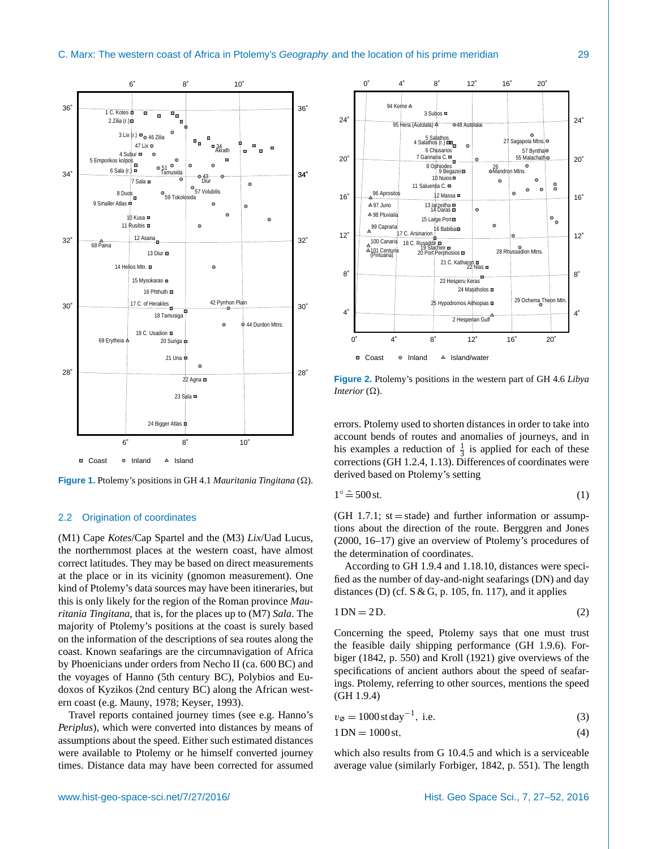<span id="page-2-1"></span>

**Figure 1.** Ptolemy's positions in GH 4.1 *Mauritania Tingitana*  $(\Omega)$ .

#### <span id="page-2-0"></span>2.2 Origination of coordinates

(M1) Cape *Kotes*/Cap Spartel and the (M3) *Lix*/Uad Lucus, the northernmost places at the western coast, have almost correct latitudes. They may be based on direct measurements at the place or in its vicinity (gnomon measurement). One kind of Ptolemy's data sources may have been itineraries, but this is only likely for the region of the Roman province *Mauritania Tingitana*, that is, for the places up to (M7) *Sala*. The majority of Ptolemy's positions at the coast is surely based on the information of the descriptions of sea routes along the coast. Known seafarings are the circumnavigation of Africa by Phoenicians under orders from Necho II (ca. 600 BC) and the voyages of Hanno (5th century BC), Polybios and Eudoxos of Kyzikos (2nd century BC) along the African western coast (e.g. [Mauny,](#page-25-9) [1978;](#page-25-9) [Keyser,](#page-24-5) [1993\)](#page-24-5).

Travel reports contained journey times (see e.g. Hanno's *Periplus*), which were converted into distances by means of assumptions about the speed. Either such estimated distances were available to Ptolemy or he himself converted journey times. Distance data may have been corrected for assumed

<span id="page-2-2"></span>

**Figure 2.** Ptolemy's positions in the western part of GH 4.6 *Libya Interior*  $(\Omega)$ .

errors. Ptolemy used to shorten distances in order to take into account bends of routes and anomalies of journeys, and in his examples a reduction of  $\frac{1}{3}$  is applied for each of these corrections (GH 1.2.4, 1.13). Differences of coordinates were derived based on Ptolemy's setting

<span id="page-2-4"></span>
$$
1^{\circ} \hat{=} 500 \,\text{st.} \tag{1}
$$

 $(GH 1.7.1; st = stade)$  and further information or assumptions about the direction of the route. [Berggren and Jones](#page-24-3) [\(2000,](#page-24-3) 16–17) give an overview of Ptolemy's procedures of the determination of coordinates.

According to GH 1.9.4 and 1.18.10, distances were specified as the number of day-and-night seafarings (DN) and day distances (D) (cf.  $S & G$ , p. 105, fn. 117), and it applies

$$
1 \text{DN} = 2 \text{D}.\tag{2}
$$

Concerning the speed, Ptolemy says that one must trust the feasible daily shipping performance (GH 1.9.6). [For](#page-24-13)[biger](#page-24-13) [\(1842,](#page-24-13) p. 550) and [Kroll](#page-24-14) [\(1921\)](#page-24-14) give overviews of the specifications of ancient authors about the speed of seafarings. Ptolemy, referring to other sources, mentions the speed (GH 1.9.4)

<span id="page-2-5"></span><span id="page-2-3"></span>

|  | (3) |
|--|-----|

$$
1 \text{DN} = 1000 \text{ st},\tag{4}
$$

which also results from G 10.4.5 and which is a serviceable average value (similarly [Forbiger,](#page-24-13) [1842,](#page-24-13) p. 551). The length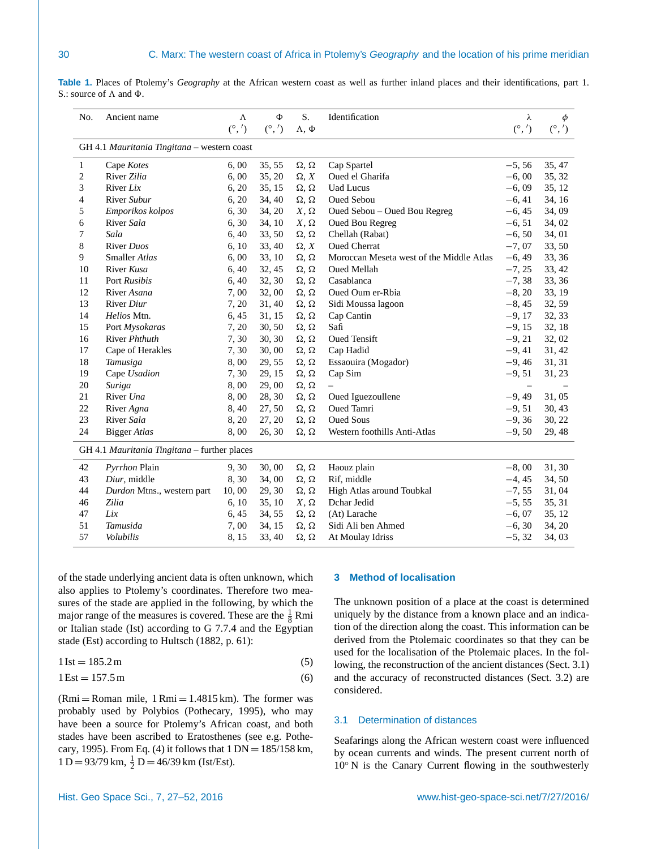<span id="page-3-1"></span>

| Table 1. Places of Ptolemy's <i>Geography</i> at the African western coast as well as further inland places and their identifications, part 1. |  |  |  |  |  |  |  |  |
|------------------------------------------------------------------------------------------------------------------------------------------------|--|--|--|--|--|--|--|--|
| S: source of $\Lambda$ and $\Phi$ .                                                                                                            |  |  |  |  |  |  |  |  |

| $(^\circ,')$<br>$\Lambda, \Phi$<br>GH 4.1 Mauritania Tingitana – western coast<br>35, 55<br>35, 47<br>6,00<br>$\Omega$ , $\Omega$<br>Cap Spartel<br>$-5, 56$<br>1<br>Cape Kotes<br>2<br>River Zilia<br>35, 20<br>Oued el Gharifa<br>6,00<br>$\Omega$ , X<br>$-6,00$<br>35, 32<br>3<br>River Lix<br>6, 20<br>35, 15<br><b>Uad Lucus</b><br>$-6,09$<br>35, 12<br>$\Omega$ , $\Omega$<br>River Subur<br>6, 20<br>34, 40<br><b>Oued Sebou</b><br>34, 16<br>4<br>$\Omega$ , $\Omega$<br>$-6, 41$<br>5<br>6,30<br>34, 20<br>Oued Sebou - Oued Bou Regreg<br>34,09<br>Emporikos kolpos<br>$X, \Omega$<br>$-6, 45$<br>6<br>River Sala<br>6,30<br>34, 10<br>$X, \Omega$<br><b>Oued Bou Regreg</b><br>$-6, 51$<br>34, 02<br>7<br>Sala<br>6,40<br>33, 50<br>34,01<br>$\Omega$ , $\Omega$<br>Chellah (Rabat)<br>$-6, 50$<br>8<br>River Duos<br><b>Oued Cherrat</b><br>$-7,07$<br>33, 50<br>6, 10<br>33, 40<br>$\Omega$ , X<br>9<br>Smaller Atlas<br>6,00<br>33, 10<br>$\Omega$ , $\Omega$<br>Moroccan Meseta west of the Middle Atlas<br>$-6, 49$<br>33, 36<br>10<br>River Kusa<br>6, 40<br>32, 45<br>$\Omega$ , $\Omega$<br>Oued Mellah<br>$-7, 25$<br>33, 42<br>11<br>Port Rusibis<br>32, 30<br>Casablanca<br>$-7, 38$<br>33, 36<br>6,40<br>$\Omega$ , $\Omega$<br>12<br>32,00<br>$-8, 20$<br>33, 19<br>River Asana<br>7,00<br>$\Omega$ , $\Omega$<br>Oued Oum er-Rbia<br>13<br>River Diur<br>$-8, 45$<br>32, 59<br>7, 20<br>31, 40<br>$\Omega$ , $\Omega$<br>Sidi Moussa lagoon<br>32, 33<br>14<br>Helios Mtn.<br>6, 45<br>31, 15<br>Cap Cantin<br>$-9,17$<br>$\Omega$ , $\Omega$<br>15<br>7, 20<br>30, 50<br>Safi<br>$-9, 15$<br>32, 18<br>Port Mysokaras<br>$\Omega$ , $\Omega$<br>16<br>7,30<br>30, 30<br><b>Oued Tensift</b><br>$-9, 21$<br>32, 02<br>River Phthuth<br>$\Omega$ , $\Omega$<br>$-9, 41$<br>17<br>Cape of Herakles<br>7,30<br>30,00<br>$\Omega,$ $\Omega$<br>Cap Hadid<br>31, 42<br>18<br>29, 55<br>Essaouira (Mogador)<br>$-9,46$<br>31, 31<br>Tamusiga<br>8,00<br>$\Omega$ , $\Omega$<br>19<br>7,30<br>$-9, 51$<br>31, 23<br>Cape Usadion<br>29, 15<br>$\Omega$ , $\Omega$<br>Cap Sim<br>20<br>8,00<br>29,00<br>Suriga<br>$\Omega$ , $\Omega$<br>$-9,49$<br>21<br>River Una<br>8,00<br>28, 30<br>Oued Iguezoullene<br>31,05<br>$\Omega$ , $\Omega$<br>22<br>8,40<br>27, 50<br><b>Oued Tamri</b><br>$-9, 51$<br>30, 43<br>River Agna<br>$\Omega$ , $\Omega$<br>23<br>River Sala<br><b>Oued Sous</b><br>$-9, 36$<br>8, 20<br>27, 20<br>$\Omega$ , $\Omega$<br>30, 22<br>8,00<br>24<br><b>Bigger Atlas</b><br>26, 30<br>$\Omega,$ $\Omega$<br>Western foothills Anti-Atlas<br>$-9, 50$<br>29, 48<br>GH 4.1 Mauritania Tingitana – further places<br>$-8,00$<br>31, 30<br>42<br>Pyrrhon Plain<br>30,00<br>Haouz plain<br>9, 30<br>$\Omega$ , $\Omega$<br>43<br>8,30<br>34,00<br>Rif, middle<br>$-4, 45$<br>34, 50<br>Diur, middle<br>$\Omega$ , $\Omega$<br>44<br>29, 30<br>$-7, 55$<br>10,00<br>$\Omega$ , $\Omega$<br>High Atlas around Toubkal<br>31,04<br>Durdon Mtns., western part<br>46<br>Zilia<br>6, 10<br>35, 10<br>$X, \Omega$<br>Dchar Jedid<br>$-5, 55$<br>35, 31<br>47<br>Lix<br>6, 45<br>34, 55<br>(At) Larache<br>$-6,07$<br>35, 12<br>$\Omega$ , $\Omega$<br>51<br>Tamusida<br>7,00<br>34, 15<br>$\Omega$ , $\Omega$<br>Sidi Ali ben Ahmed<br>$-6, 30$<br>34, 20<br>57<br>Volubilis<br>8,15<br>33, 40<br>$\Omega$ , $\Omega$<br>At Moulay Idriss<br>$-5, 32$<br>34, 03 | No. | Ancient name | $\Lambda$ | Φ                   | S. | Identification | λ            | Φ            |
|------------------------------------------------------------------------------------------------------------------------------------------------------------------------------------------------------------------------------------------------------------------------------------------------------------------------------------------------------------------------------------------------------------------------------------------------------------------------------------------------------------------------------------------------------------------------------------------------------------------------------------------------------------------------------------------------------------------------------------------------------------------------------------------------------------------------------------------------------------------------------------------------------------------------------------------------------------------------------------------------------------------------------------------------------------------------------------------------------------------------------------------------------------------------------------------------------------------------------------------------------------------------------------------------------------------------------------------------------------------------------------------------------------------------------------------------------------------------------------------------------------------------------------------------------------------------------------------------------------------------------------------------------------------------------------------------------------------------------------------------------------------------------------------------------------------------------------------------------------------------------------------------------------------------------------------------------------------------------------------------------------------------------------------------------------------------------------------------------------------------------------------------------------------------------------------------------------------------------------------------------------------------------------------------------------------------------------------------------------------------------------------------------------------------------------------------------------------------------------------------------------------------------------------------------------------------------------------------------------------------------------------------------------------------------------------------------------------------------------------------------------------------------------------------------------------------------------------------------------------------------------------------------------------------------------------------------------------------------------------------------------------------------------------------------------------------------------------------------------------------------------------------------------------------------------------------------------------------------------------------------------------------------------------------------------------------------------------------------------------------------------------------|-----|--------------|-----------|---------------------|----|----------------|--------------|--------------|
|                                                                                                                                                                                                                                                                                                                                                                                                                                                                                                                                                                                                                                                                                                                                                                                                                                                                                                                                                                                                                                                                                                                                                                                                                                                                                                                                                                                                                                                                                                                                                                                                                                                                                                                                                                                                                                                                                                                                                                                                                                                                                                                                                                                                                                                                                                                                                                                                                                                                                                                                                                                                                                                                                                                                                                                                                                                                                                                                                                                                                                                                                                                                                                                                                                                                                                                                                                                                |     |              |           | $({}^{\circ},{}' )$ |    |                | $(^\circ,')$ | $(^\circ,')$ |
|                                                                                                                                                                                                                                                                                                                                                                                                                                                                                                                                                                                                                                                                                                                                                                                                                                                                                                                                                                                                                                                                                                                                                                                                                                                                                                                                                                                                                                                                                                                                                                                                                                                                                                                                                                                                                                                                                                                                                                                                                                                                                                                                                                                                                                                                                                                                                                                                                                                                                                                                                                                                                                                                                                                                                                                                                                                                                                                                                                                                                                                                                                                                                                                                                                                                                                                                                                                                |     |              |           |                     |    |                |              |              |
|                                                                                                                                                                                                                                                                                                                                                                                                                                                                                                                                                                                                                                                                                                                                                                                                                                                                                                                                                                                                                                                                                                                                                                                                                                                                                                                                                                                                                                                                                                                                                                                                                                                                                                                                                                                                                                                                                                                                                                                                                                                                                                                                                                                                                                                                                                                                                                                                                                                                                                                                                                                                                                                                                                                                                                                                                                                                                                                                                                                                                                                                                                                                                                                                                                                                                                                                                                                                |     |              |           |                     |    |                |              |              |
|                                                                                                                                                                                                                                                                                                                                                                                                                                                                                                                                                                                                                                                                                                                                                                                                                                                                                                                                                                                                                                                                                                                                                                                                                                                                                                                                                                                                                                                                                                                                                                                                                                                                                                                                                                                                                                                                                                                                                                                                                                                                                                                                                                                                                                                                                                                                                                                                                                                                                                                                                                                                                                                                                                                                                                                                                                                                                                                                                                                                                                                                                                                                                                                                                                                                                                                                                                                                |     |              |           |                     |    |                |              |              |
|                                                                                                                                                                                                                                                                                                                                                                                                                                                                                                                                                                                                                                                                                                                                                                                                                                                                                                                                                                                                                                                                                                                                                                                                                                                                                                                                                                                                                                                                                                                                                                                                                                                                                                                                                                                                                                                                                                                                                                                                                                                                                                                                                                                                                                                                                                                                                                                                                                                                                                                                                                                                                                                                                                                                                                                                                                                                                                                                                                                                                                                                                                                                                                                                                                                                                                                                                                                                |     |              |           |                     |    |                |              |              |
|                                                                                                                                                                                                                                                                                                                                                                                                                                                                                                                                                                                                                                                                                                                                                                                                                                                                                                                                                                                                                                                                                                                                                                                                                                                                                                                                                                                                                                                                                                                                                                                                                                                                                                                                                                                                                                                                                                                                                                                                                                                                                                                                                                                                                                                                                                                                                                                                                                                                                                                                                                                                                                                                                                                                                                                                                                                                                                                                                                                                                                                                                                                                                                                                                                                                                                                                                                                                |     |              |           |                     |    |                |              |              |
|                                                                                                                                                                                                                                                                                                                                                                                                                                                                                                                                                                                                                                                                                                                                                                                                                                                                                                                                                                                                                                                                                                                                                                                                                                                                                                                                                                                                                                                                                                                                                                                                                                                                                                                                                                                                                                                                                                                                                                                                                                                                                                                                                                                                                                                                                                                                                                                                                                                                                                                                                                                                                                                                                                                                                                                                                                                                                                                                                                                                                                                                                                                                                                                                                                                                                                                                                                                                |     |              |           |                     |    |                |              |              |
|                                                                                                                                                                                                                                                                                                                                                                                                                                                                                                                                                                                                                                                                                                                                                                                                                                                                                                                                                                                                                                                                                                                                                                                                                                                                                                                                                                                                                                                                                                                                                                                                                                                                                                                                                                                                                                                                                                                                                                                                                                                                                                                                                                                                                                                                                                                                                                                                                                                                                                                                                                                                                                                                                                                                                                                                                                                                                                                                                                                                                                                                                                                                                                                                                                                                                                                                                                                                |     |              |           |                     |    |                |              |              |
|                                                                                                                                                                                                                                                                                                                                                                                                                                                                                                                                                                                                                                                                                                                                                                                                                                                                                                                                                                                                                                                                                                                                                                                                                                                                                                                                                                                                                                                                                                                                                                                                                                                                                                                                                                                                                                                                                                                                                                                                                                                                                                                                                                                                                                                                                                                                                                                                                                                                                                                                                                                                                                                                                                                                                                                                                                                                                                                                                                                                                                                                                                                                                                                                                                                                                                                                                                                                |     |              |           |                     |    |                |              |              |
|                                                                                                                                                                                                                                                                                                                                                                                                                                                                                                                                                                                                                                                                                                                                                                                                                                                                                                                                                                                                                                                                                                                                                                                                                                                                                                                                                                                                                                                                                                                                                                                                                                                                                                                                                                                                                                                                                                                                                                                                                                                                                                                                                                                                                                                                                                                                                                                                                                                                                                                                                                                                                                                                                                                                                                                                                                                                                                                                                                                                                                                                                                                                                                                                                                                                                                                                                                                                |     |              |           |                     |    |                |              |              |
|                                                                                                                                                                                                                                                                                                                                                                                                                                                                                                                                                                                                                                                                                                                                                                                                                                                                                                                                                                                                                                                                                                                                                                                                                                                                                                                                                                                                                                                                                                                                                                                                                                                                                                                                                                                                                                                                                                                                                                                                                                                                                                                                                                                                                                                                                                                                                                                                                                                                                                                                                                                                                                                                                                                                                                                                                                                                                                                                                                                                                                                                                                                                                                                                                                                                                                                                                                                                |     |              |           |                     |    |                |              |              |
|                                                                                                                                                                                                                                                                                                                                                                                                                                                                                                                                                                                                                                                                                                                                                                                                                                                                                                                                                                                                                                                                                                                                                                                                                                                                                                                                                                                                                                                                                                                                                                                                                                                                                                                                                                                                                                                                                                                                                                                                                                                                                                                                                                                                                                                                                                                                                                                                                                                                                                                                                                                                                                                                                                                                                                                                                                                                                                                                                                                                                                                                                                                                                                                                                                                                                                                                                                                                |     |              |           |                     |    |                |              |              |
|                                                                                                                                                                                                                                                                                                                                                                                                                                                                                                                                                                                                                                                                                                                                                                                                                                                                                                                                                                                                                                                                                                                                                                                                                                                                                                                                                                                                                                                                                                                                                                                                                                                                                                                                                                                                                                                                                                                                                                                                                                                                                                                                                                                                                                                                                                                                                                                                                                                                                                                                                                                                                                                                                                                                                                                                                                                                                                                                                                                                                                                                                                                                                                                                                                                                                                                                                                                                |     |              |           |                     |    |                |              |              |
|                                                                                                                                                                                                                                                                                                                                                                                                                                                                                                                                                                                                                                                                                                                                                                                                                                                                                                                                                                                                                                                                                                                                                                                                                                                                                                                                                                                                                                                                                                                                                                                                                                                                                                                                                                                                                                                                                                                                                                                                                                                                                                                                                                                                                                                                                                                                                                                                                                                                                                                                                                                                                                                                                                                                                                                                                                                                                                                                                                                                                                                                                                                                                                                                                                                                                                                                                                                                |     |              |           |                     |    |                |              |              |
|                                                                                                                                                                                                                                                                                                                                                                                                                                                                                                                                                                                                                                                                                                                                                                                                                                                                                                                                                                                                                                                                                                                                                                                                                                                                                                                                                                                                                                                                                                                                                                                                                                                                                                                                                                                                                                                                                                                                                                                                                                                                                                                                                                                                                                                                                                                                                                                                                                                                                                                                                                                                                                                                                                                                                                                                                                                                                                                                                                                                                                                                                                                                                                                                                                                                                                                                                                                                |     |              |           |                     |    |                |              |              |
|                                                                                                                                                                                                                                                                                                                                                                                                                                                                                                                                                                                                                                                                                                                                                                                                                                                                                                                                                                                                                                                                                                                                                                                                                                                                                                                                                                                                                                                                                                                                                                                                                                                                                                                                                                                                                                                                                                                                                                                                                                                                                                                                                                                                                                                                                                                                                                                                                                                                                                                                                                                                                                                                                                                                                                                                                                                                                                                                                                                                                                                                                                                                                                                                                                                                                                                                                                                                |     |              |           |                     |    |                |              |              |
|                                                                                                                                                                                                                                                                                                                                                                                                                                                                                                                                                                                                                                                                                                                                                                                                                                                                                                                                                                                                                                                                                                                                                                                                                                                                                                                                                                                                                                                                                                                                                                                                                                                                                                                                                                                                                                                                                                                                                                                                                                                                                                                                                                                                                                                                                                                                                                                                                                                                                                                                                                                                                                                                                                                                                                                                                                                                                                                                                                                                                                                                                                                                                                                                                                                                                                                                                                                                |     |              |           |                     |    |                |              |              |
|                                                                                                                                                                                                                                                                                                                                                                                                                                                                                                                                                                                                                                                                                                                                                                                                                                                                                                                                                                                                                                                                                                                                                                                                                                                                                                                                                                                                                                                                                                                                                                                                                                                                                                                                                                                                                                                                                                                                                                                                                                                                                                                                                                                                                                                                                                                                                                                                                                                                                                                                                                                                                                                                                                                                                                                                                                                                                                                                                                                                                                                                                                                                                                                                                                                                                                                                                                                                |     |              |           |                     |    |                |              |              |
|                                                                                                                                                                                                                                                                                                                                                                                                                                                                                                                                                                                                                                                                                                                                                                                                                                                                                                                                                                                                                                                                                                                                                                                                                                                                                                                                                                                                                                                                                                                                                                                                                                                                                                                                                                                                                                                                                                                                                                                                                                                                                                                                                                                                                                                                                                                                                                                                                                                                                                                                                                                                                                                                                                                                                                                                                                                                                                                                                                                                                                                                                                                                                                                                                                                                                                                                                                                                |     |              |           |                     |    |                |              |              |
|                                                                                                                                                                                                                                                                                                                                                                                                                                                                                                                                                                                                                                                                                                                                                                                                                                                                                                                                                                                                                                                                                                                                                                                                                                                                                                                                                                                                                                                                                                                                                                                                                                                                                                                                                                                                                                                                                                                                                                                                                                                                                                                                                                                                                                                                                                                                                                                                                                                                                                                                                                                                                                                                                                                                                                                                                                                                                                                                                                                                                                                                                                                                                                                                                                                                                                                                                                                                |     |              |           |                     |    |                |              |              |
|                                                                                                                                                                                                                                                                                                                                                                                                                                                                                                                                                                                                                                                                                                                                                                                                                                                                                                                                                                                                                                                                                                                                                                                                                                                                                                                                                                                                                                                                                                                                                                                                                                                                                                                                                                                                                                                                                                                                                                                                                                                                                                                                                                                                                                                                                                                                                                                                                                                                                                                                                                                                                                                                                                                                                                                                                                                                                                                                                                                                                                                                                                                                                                                                                                                                                                                                                                                                |     |              |           |                     |    |                |              |              |
|                                                                                                                                                                                                                                                                                                                                                                                                                                                                                                                                                                                                                                                                                                                                                                                                                                                                                                                                                                                                                                                                                                                                                                                                                                                                                                                                                                                                                                                                                                                                                                                                                                                                                                                                                                                                                                                                                                                                                                                                                                                                                                                                                                                                                                                                                                                                                                                                                                                                                                                                                                                                                                                                                                                                                                                                                                                                                                                                                                                                                                                                                                                                                                                                                                                                                                                                                                                                |     |              |           |                     |    |                |              |              |
|                                                                                                                                                                                                                                                                                                                                                                                                                                                                                                                                                                                                                                                                                                                                                                                                                                                                                                                                                                                                                                                                                                                                                                                                                                                                                                                                                                                                                                                                                                                                                                                                                                                                                                                                                                                                                                                                                                                                                                                                                                                                                                                                                                                                                                                                                                                                                                                                                                                                                                                                                                                                                                                                                                                                                                                                                                                                                                                                                                                                                                                                                                                                                                                                                                                                                                                                                                                                |     |              |           |                     |    |                |              |              |
|                                                                                                                                                                                                                                                                                                                                                                                                                                                                                                                                                                                                                                                                                                                                                                                                                                                                                                                                                                                                                                                                                                                                                                                                                                                                                                                                                                                                                                                                                                                                                                                                                                                                                                                                                                                                                                                                                                                                                                                                                                                                                                                                                                                                                                                                                                                                                                                                                                                                                                                                                                                                                                                                                                                                                                                                                                                                                                                                                                                                                                                                                                                                                                                                                                                                                                                                                                                                |     |              |           |                     |    |                |              |              |
|                                                                                                                                                                                                                                                                                                                                                                                                                                                                                                                                                                                                                                                                                                                                                                                                                                                                                                                                                                                                                                                                                                                                                                                                                                                                                                                                                                                                                                                                                                                                                                                                                                                                                                                                                                                                                                                                                                                                                                                                                                                                                                                                                                                                                                                                                                                                                                                                                                                                                                                                                                                                                                                                                                                                                                                                                                                                                                                                                                                                                                                                                                                                                                                                                                                                                                                                                                                                |     |              |           |                     |    |                |              |              |
|                                                                                                                                                                                                                                                                                                                                                                                                                                                                                                                                                                                                                                                                                                                                                                                                                                                                                                                                                                                                                                                                                                                                                                                                                                                                                                                                                                                                                                                                                                                                                                                                                                                                                                                                                                                                                                                                                                                                                                                                                                                                                                                                                                                                                                                                                                                                                                                                                                                                                                                                                                                                                                                                                                                                                                                                                                                                                                                                                                                                                                                                                                                                                                                                                                                                                                                                                                                                |     |              |           |                     |    |                |              |              |
|                                                                                                                                                                                                                                                                                                                                                                                                                                                                                                                                                                                                                                                                                                                                                                                                                                                                                                                                                                                                                                                                                                                                                                                                                                                                                                                                                                                                                                                                                                                                                                                                                                                                                                                                                                                                                                                                                                                                                                                                                                                                                                                                                                                                                                                                                                                                                                                                                                                                                                                                                                                                                                                                                                                                                                                                                                                                                                                                                                                                                                                                                                                                                                                                                                                                                                                                                                                                |     |              |           |                     |    |                |              |              |
|                                                                                                                                                                                                                                                                                                                                                                                                                                                                                                                                                                                                                                                                                                                                                                                                                                                                                                                                                                                                                                                                                                                                                                                                                                                                                                                                                                                                                                                                                                                                                                                                                                                                                                                                                                                                                                                                                                                                                                                                                                                                                                                                                                                                                                                                                                                                                                                                                                                                                                                                                                                                                                                                                                                                                                                                                                                                                                                                                                                                                                                                                                                                                                                                                                                                                                                                                                                                |     |              |           |                     |    |                |              |              |
|                                                                                                                                                                                                                                                                                                                                                                                                                                                                                                                                                                                                                                                                                                                                                                                                                                                                                                                                                                                                                                                                                                                                                                                                                                                                                                                                                                                                                                                                                                                                                                                                                                                                                                                                                                                                                                                                                                                                                                                                                                                                                                                                                                                                                                                                                                                                                                                                                                                                                                                                                                                                                                                                                                                                                                                                                                                                                                                                                                                                                                                                                                                                                                                                                                                                                                                                                                                                |     |              |           |                     |    |                |              |              |
|                                                                                                                                                                                                                                                                                                                                                                                                                                                                                                                                                                                                                                                                                                                                                                                                                                                                                                                                                                                                                                                                                                                                                                                                                                                                                                                                                                                                                                                                                                                                                                                                                                                                                                                                                                                                                                                                                                                                                                                                                                                                                                                                                                                                                                                                                                                                                                                                                                                                                                                                                                                                                                                                                                                                                                                                                                                                                                                                                                                                                                                                                                                                                                                                                                                                                                                                                                                                |     |              |           |                     |    |                |              |              |
|                                                                                                                                                                                                                                                                                                                                                                                                                                                                                                                                                                                                                                                                                                                                                                                                                                                                                                                                                                                                                                                                                                                                                                                                                                                                                                                                                                                                                                                                                                                                                                                                                                                                                                                                                                                                                                                                                                                                                                                                                                                                                                                                                                                                                                                                                                                                                                                                                                                                                                                                                                                                                                                                                                                                                                                                                                                                                                                                                                                                                                                                                                                                                                                                                                                                                                                                                                                                |     |              |           |                     |    |                |              |              |
|                                                                                                                                                                                                                                                                                                                                                                                                                                                                                                                                                                                                                                                                                                                                                                                                                                                                                                                                                                                                                                                                                                                                                                                                                                                                                                                                                                                                                                                                                                                                                                                                                                                                                                                                                                                                                                                                                                                                                                                                                                                                                                                                                                                                                                                                                                                                                                                                                                                                                                                                                                                                                                                                                                                                                                                                                                                                                                                                                                                                                                                                                                                                                                                                                                                                                                                                                                                                |     |              |           |                     |    |                |              |              |
|                                                                                                                                                                                                                                                                                                                                                                                                                                                                                                                                                                                                                                                                                                                                                                                                                                                                                                                                                                                                                                                                                                                                                                                                                                                                                                                                                                                                                                                                                                                                                                                                                                                                                                                                                                                                                                                                                                                                                                                                                                                                                                                                                                                                                                                                                                                                                                                                                                                                                                                                                                                                                                                                                                                                                                                                                                                                                                                                                                                                                                                                                                                                                                                                                                                                                                                                                                                                |     |              |           |                     |    |                |              |              |
|                                                                                                                                                                                                                                                                                                                                                                                                                                                                                                                                                                                                                                                                                                                                                                                                                                                                                                                                                                                                                                                                                                                                                                                                                                                                                                                                                                                                                                                                                                                                                                                                                                                                                                                                                                                                                                                                                                                                                                                                                                                                                                                                                                                                                                                                                                                                                                                                                                                                                                                                                                                                                                                                                                                                                                                                                                                                                                                                                                                                                                                                                                                                                                                                                                                                                                                                                                                                |     |              |           |                     |    |                |              |              |

of the stade underlying ancient data is often unknown, which also applies to Ptolemy's coordinates. Therefore two measures of the stade are applied in the following, by which the major range of the measures is covered. These are the  $\frac{1}{8}$  Rmi or Italian stade (Ist) according to G 7.7.4 and the Egyptian stade (Est) according to [Hultsch](#page-24-15) [\(1882,](#page-24-15) p. 61):

$$
1\,\text{Ist} = 185.2\,\text{m}\tag{5}
$$

$$
1\,\text{Est} = 157.5\,\text{m}\tag{6}
$$

 $(Rmi = Roman mile, 1 Rmi = 1.4815 km)$ . The former was probably used by Polybios [\(Pothecary,](#page-25-11) [1995\)](#page-25-11), who may have been a source for Ptolemy's African coast, and both stades have been ascribed to Eratosthenes (see e.g. [Pothe](#page-25-11)[cary,](#page-25-11) [1995\)](#page-25-11). From Eq. [\(4\)](#page-2-3) it follows that  $1 DN = 185/158 km$ ,  $1 D = 93/79$  km,  $\frac{1}{2} D = 46/39$  km (Ist/Est).

## <span id="page-3-0"></span>**3 Method of localisation**

<span id="page-3-3"></span>The unknown position of a place at the coast is determined uniquely by the distance from a known place and an indication of the direction along the coast. This information can be derived from the Ptolemaic coordinates so that they can be used for the localisation of the Ptolemaic places. In the following, the reconstruction of the ancient distances (Sect. [3.1\)](#page-3-2) and the accuracy of reconstructed distances (Sect. [3.2\)](#page-5-0) are considered.

## <span id="page-3-4"></span><span id="page-3-2"></span>3.1 Determination of distances

Seafarings along the African western coast were influenced by ocean currents and winds. The present current north of 10◦ N is the Canary Current flowing in the southwesterly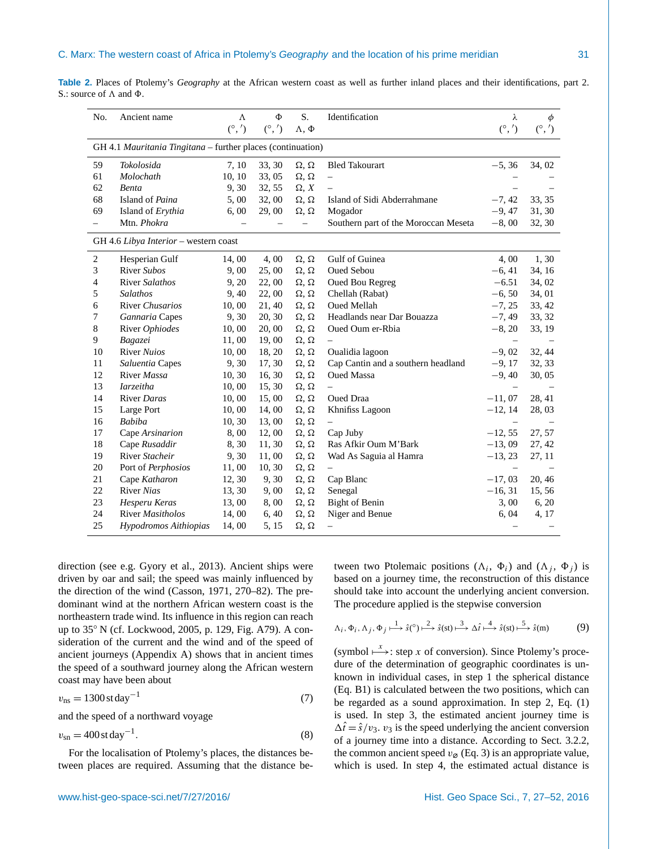<span id="page-4-3"></span>

| <b>Table 2.</b> Places of Ptolemy's <i>Geography</i> at the African western coast as well as further inland places and their identifications, part 2. |  |  |  |  |  |  |
|-------------------------------------------------------------------------------------------------------------------------------------------------------|--|--|--|--|--|--|
| S.: source of $\Lambda$ and $\Phi$ .                                                                                                                  |  |  |  |  |  |  |

| No. | Ancient name                                                | Λ            | Ф            | S.                  | Identification                       | λ                 | φ            |
|-----|-------------------------------------------------------------|--------------|--------------|---------------------|--------------------------------------|-------------------|--------------|
|     |                                                             | $(^\circ,')$ | $(^\circ,')$ | $\Lambda, \Phi$     |                                      | $(^\circ,')$      | $(^\circ,')$ |
|     | GH 4.1 Mauritania Tingitana - further places (continuation) |              |              |                     |                                      |                   |              |
| 59  | Tokolosida                                                  | 7, 10        | 33, 30       | $\Omega$ , $\Omega$ | <b>Bled Takourart</b>                | $-5, 36$          | 34, 02       |
| 61  | Molochath                                                   | 10, 10       | 33,05        | $\Omega$ , $\Omega$ | $\overline{\phantom{0}}$             |                   |              |
| 62  | <b>Benta</b>                                                | 9,30         | 32, 55       | $\Omega$ , X        |                                      |                   |              |
| 68  | Island of Paina                                             | 5,00         | 32,00        | $\Omega$ , $\Omega$ | Island of Sidi Abderrahmane          | $-7, 42$          | 33, 35       |
| 69  | Island of Erythia                                           | 6,00         | 29,00        | $\Omega$ , $\Omega$ | Mogador                              | $-9,47$           | 31, 30       |
|     | Mtn. Phokra                                                 |              |              |                     | Southern part of the Moroccan Meseta | $-8,00$           | 32, 30       |
|     | GH 4.6 Libya Interior - western coast                       |              |              |                     |                                      |                   |              |
| 2   | Hesperian Gulf                                              | 14,00        | 4,00         | $\Omega$ , $\Omega$ | Gulf of Guinea                       | 4,00              | 1,30         |
| 3   | River Subos                                                 | 9,00         | 25,00        | $\Omega$ , $\Omega$ | <b>Oued Sebou</b>                    | $-6, 41$          | 34, 16       |
| 4   | <b>River Salathos</b>                                       | 9, 20        | 22,00        | $\Omega$ , $\Omega$ | <b>Oued Bou Regreg</b>               | $-6.51$           | 34, 02       |
| 5   | <b>Salathos</b>                                             | 9,40         | 22,00        | $\Omega$ , $\Omega$ | Chellah (Rabat)                      | $-6, 50$          | 34, 01       |
| 6   | River Chusarios                                             | 10,00        | 21, 40       | $\Omega$ , $\Omega$ | Oued Mellah                          | $-7, 25$          | 33, 42       |
| 7   | Gannaria Capes                                              | 9,30         | 20, 30       | $\Omega$ , $\Omega$ | Headlands near Dar Bouazza           | $-7, 49$          | 33, 32       |
| 8   | River Ophiodes                                              | 10,00        | 20, 00       | $\Omega$ , $\Omega$ | Oued Oum er-Rbia                     | $-8, 20$          | 33, 19       |
| 9   | Bagazei                                                     | 11,00        | 19,00        | $\Omega$ , $\Omega$ |                                      |                   |              |
| 10  | River Nuios                                                 | 10,00        | 18, 20       | $\Omega$ , $\Omega$ | Oualidia lagoon                      | $-9,02$           | 32, 44       |
| 11  | Saluentia Capes                                             | 9,30         | 17, 30       | $\Omega$ , $\Omega$ | Cap Cantin and a southern headland   | $-9,17$           | 32, 33       |
| 12  | River Massa                                                 | 10, 30       | 16, 30       | $\Omega$ , $\Omega$ | <b>Oued Massa</b>                    | $-9, 40$          | 30, 05       |
| 13  | <i>Iarzeitha</i>                                            | 10,00        | 15, 30       | $\Omega$ , $\Omega$ |                                      |                   |              |
| 14  | River Daras                                                 | 10,00        | 15,00        | $\Omega$ , $\Omega$ | Oued Draa                            | $-11,07$          | 28, 41       |
| 15  | Large Port                                                  | 10,00        | 14,00        | $\Omega$ , $\Omega$ | Khnifiss Lagoon                      | $-12, 14$         | 28, 03       |
| 16  | <b>Babiba</b>                                               | 10, 30       | 13,00        | $\Omega$ , $\Omega$ |                                      | $\qquad \qquad -$ |              |
| 17  | Cape Arsinarion                                             | 8,00         | 12,00        | $\Omega$ , $\Omega$ | Cap Juby                             | $-12, 55$         | 27, 57       |
| 18  | Cape Rusaddir                                               | 8,30         | 11, 30       | $\Omega$ , $\Omega$ | Ras Afkir Oum M'Bark                 | $-13,09$          | 27, 42       |
| 19  | River Stacheir                                              | 9,30         | 11,00        | $\Omega$ , $\Omega$ | Wad As Saguia al Hamra               | $-13, 23$         | 27, 11       |
| 20  | Port of Perphosios                                          | 11,00        | 10, 30       | $\Omega$ , $\Omega$ |                                      |                   |              |
| 21  | Cape Katharon                                               | 12, 30       | 9,30         | $\Omega$ , $\Omega$ | Cap Blanc                            | $-17,03$          | 20, 46       |
| 22  | <b>River Nias</b>                                           | 13, 30       | 9,00         | $\Omega$ , $\Omega$ | Senegal                              | $-16, 31$         | 15,56        |
| 23  | Hesperu Keras                                               | 13,00        | 8,00         | $\Omega$ , $\Omega$ | <b>Bight of Benin</b>                | 3,00              | 6, 20        |
| 24  | River Masitholos                                            | 14,00        | 6,40         | $\Omega$ , $\Omega$ | Niger and Benue                      | 6,04              | 4, 17        |
| 25  | Hypodromos Aithiopias                                       | 14,00        | 5, 15        | $\Omega$ , $\Omega$ |                                      |                   |              |

direction (see e.g. [Gyory et al.,](#page-24-16) [2013\)](#page-24-16). Ancient ships were driven by oar and sail; the speed was mainly influenced by the direction of the wind [\(Casson,](#page-24-17) [1971,](#page-24-17) 270–82). The predominant wind at the northern African western coast is the northeastern trade wind. Its influence in this region can reach up to 35◦ N (cf. [Lockwood,](#page-24-18) [2005,](#page-24-18) p. 129, Fig. A79). A consideration of the current and the wind and of the speed of ancient journeys (Appendix [A\)](#page-22-0) shows that in ancient times the speed of a southward journey along the African western coast may have been about

<span id="page-4-0"></span>
$$
v_{\rm ns} = 1300 \,\text{stday}^{-1} \tag{7}
$$

and the speed of a northward voyage

$$
v_{\rm sn} = 400 \,\text{st} \,\text{day}^{-1}.\tag{8}
$$

For the localisation of Ptolemy's places, the distances between places are required. Assuming that the distance be-

tween two Ptolemaic positions  $(\Lambda_i, \Phi_i)$  and  $(\Lambda_j, \Phi_j)$  is based on a journey time, the reconstruction of this distance should take into account the underlying ancient conversion. The procedure applied is the stepwise conversion

<span id="page-4-1"></span>
$$
\Lambda_i, \Phi_i, \Lambda_j, \Phi_j \stackrel{1}{\longmapsto} \hat{s}({}^{\circ}) \stackrel{2}{\longmapsto} \hat{s}(\text{st}) \stackrel{3}{\longmapsto} \Delta \hat{t} \stackrel{4}{\longmapsto} \hat{s}(\text{st}) \stackrel{5}{\longmapsto} \hat{s}(\text{m})
$$
 (9)

<span id="page-4-2"></span>(symbol  $\stackrel{x}{\longmapsto}$ : step x of conversion). Since Ptolemy's procedure of the determination of geographic coordinates is unknown in individual cases, in step 1 the spherical distance (Eq. [B1\)](#page-22-1) is calculated between the two positions, which can be regarded as a sound approximation. In step 2, Eq. [\(1\)](#page-2-4) is used. In step 3, the estimated ancient journey time is  $\Delta \hat{t} = \hat{s}/v_3$ .  $v_3$  is the speed underlying the ancient conversion of a journey time into a distance. According to Sect. [3.2.2,](#page-6-0) the common ancient speed  $v_{\varnothing}$  (Eq. [3\)](#page-2-5) is an appropriate value, which is used. In step 4, the estimated actual distance is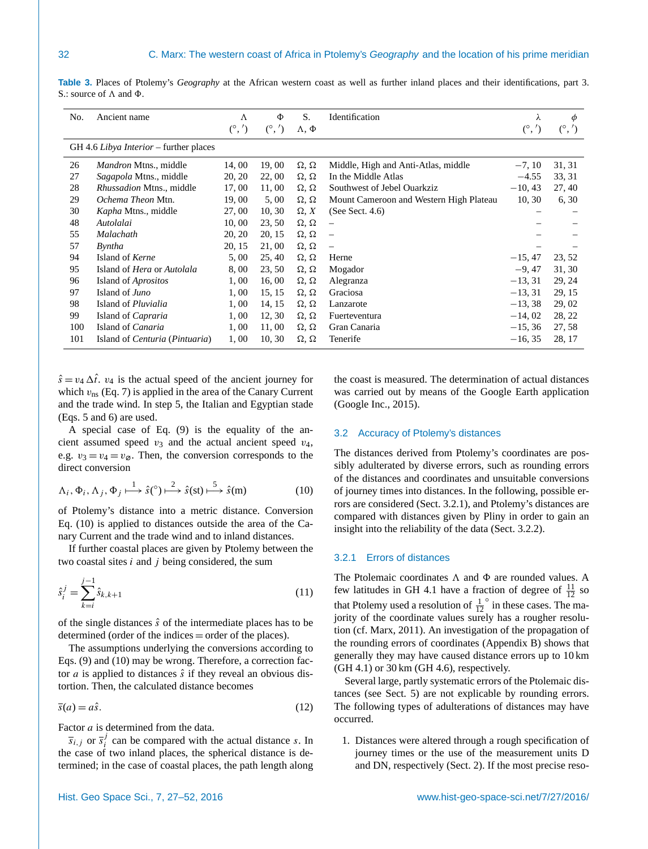| No. | Ancient name                                   | Λ<br>$(^\circ,')$ | Φ<br>$(^\circ,')$ | S.<br>$\Lambda$ , $\Phi$ | Identification                          | λ<br>$(^\circ,')$ | φ<br>$(^\circ,')$ |
|-----|------------------------------------------------|-------------------|-------------------|--------------------------|-----------------------------------------|-------------------|-------------------|
|     |                                                |                   |                   |                          |                                         |                   |                   |
|     | GH 4.6 Libya Interior – further places         |                   |                   |                          |                                         |                   |                   |
| 26  | Mandron Mtns., middle                          | 14,00             | 19,00             | $\Omega$ , $\Omega$      | Middle, High and Anti-Atlas, middle     | $-7, 10$          | 31, 31            |
| 27  | Sagapola Mtns., middle                         | 20, 20            | 22,00             | $\Omega$ , $\Omega$      | In the Middle Atlas                     | $-4.55$           | 33, 31            |
| 28  | <i>Rhussadion Mtns., middle</i>                | 17,00             | 11,00             | $\Omega$ , $\Omega$      | Southwest of Jebel Ouarkziz             | $-10, 43$         | 27, 40            |
| 29  | Ochema Theon Mtn.                              | 19,00             | 5,00              | $\Omega$ , $\Omega$      | Mount Cameroon and Western High Plateau | 10, 30            | 6, 30             |
| 30  | Kapha Mtns., middle                            | 27,00             | 10, 30            | $\Omega$ , X             | (See Sect. $4.6$ )                      |                   |                   |
| 48  | Autolalai                                      | 10,00             | 23, 50            | $\Omega$ , $\Omega$      | $\overline{\phantom{m}}$                |                   |                   |
| 55  | Malachath                                      | 20, 20            | 20, 15            | $\Omega$ , $\Omega$      | $\overline{\phantom{m}}$                |                   |                   |
| 57  | Byntha                                         | 20, 15            | 21,00             | $\Omega$ , $\Omega$      |                                         |                   |                   |
| 94  | Island of Kerne                                | 5,00              | 25, 40            | $\Omega$ , $\Omega$      | Herne                                   | $-15, 47$         | 23, 52            |
| 95  | Island of <i>Hera</i> or <i>Autolala</i>       | 8,00              | 23, 50            | $\Omega$ , $\Omega$      | Mogador                                 | $-9.47$           | 31, 30            |
| 96  | Island of <i>Aprositos</i>                     | 1,00              | 16,00             | $\Omega$ , $\Omega$      | Alegranza                               | $-13, 31$         | 29, 24            |
| 97  | Island of <i>Juno</i>                          | 1,00              | 15, 15            | $\Omega$ , $\Omega$      | Graciosa                                | $-13, 31$         | 29, 15            |
| 98  | Island of <i>Pluvialia</i>                     | 1,00              | 14, 15            | $\Omega$ , $\Omega$      | Lanzarote                               | $-13, 38$         | 29, 02            |
| 99  | Island of <i>Capraria</i>                      | 1,00              | 12, 30            | $\Omega$ , $\Omega$      | Fuerteventura                           | $-14,02$          | 28, 22            |
| 100 | Island of <i>Canaria</i>                       | 1,00              | 11,00             | $\Omega$ , $\Omega$      | Gran Canaria                            | $-15, 36$         | 27, 58            |
| 101 | Island of <i>Centuria</i> ( <i>Pintuaria</i> ) | 1,00              | 10, 30            | $\Omega$ , $\Omega$      | Tenerife                                | $-16, 35$         | 28, 17            |

<span id="page-5-1"></span>**Table 3.** Places of Ptolemy's *Geography* at the African western coast as well as further inland places and their identifications, part 3. S.: source of  $\Lambda$  and  $\Phi$ .

 $\hat{s} = v_4 \Delta t$ .  $v_4$  is the actual speed of the ancient journey for which  $v_{\text{ns}}$  (Eq. [7\)](#page-4-0) is applied in the area of the Canary Current and the trade wind. In step 5, the Italian and Egyptian stade (Eqs. [5](#page-3-3) and [6\)](#page-3-4) are used.

A special case of Eq. [\(9\)](#page-4-1) is the equality of the ancient assumed speed  $v_3$  and the actual ancient speed  $v_4$ , e.g.  $v_3 = v_4 = v_\emptyset$ . Then, the conversion corresponds to the direct conversion

<span id="page-5-2"></span>
$$
\Lambda_i, \Phi_i, \Lambda_j, \Phi_j \stackrel{1}{\longmapsto} \hat{s}({}^{\circ}) \stackrel{2}{\longmapsto} \hat{s}(\text{st}) \stackrel{5}{\longmapsto} \hat{s}(\text{m})
$$
 (10)

of Ptolemy's distance into a metric distance. Conversion Eq. [\(10\)](#page-5-2) is applied to distances outside the area of the Canary Current and the trade wind and to inland distances.

If further coastal places are given by Ptolemy between the two coastal sites  $i$  and  $j$  being considered, the sum

$$
\hat{s}_i^j = \sum_{k=i}^{j-1} \hat{s}_{k,k+1} \tag{11}
$$

of the single distances  $\hat{s}$  of the intermediate places has to be determined (order of the indices = order of the places).

The assumptions underlying the conversions according to Eqs. [\(9\)](#page-4-1) and [\(10\)](#page-5-2) may be wrong. Therefore, a correction factor *a* is applied to distances  $\hat{s}$  if they reveal an obvious distortion. Then, the calculated distance becomes

$$
\overline{s}(a) = a\hat{s}.\tag{12}
$$

Factor a is determined from the data.

 $\overline{s}_{i,j}$  or  $\overline{s}_{i}^{j}$  $i$  can be compared with the actual distance s. In the case of two inland places, the spherical distance is determined; in the case of coastal places, the path length along

the coast is measured. The determination of actual distances was carried out by means of the Google Earth application [\(Google Inc.,](#page-24-9) [2015\)](#page-24-9).

#### <span id="page-5-0"></span>3.2 Accuracy of Ptolemy's distances

The distances derived from Ptolemy's coordinates are possibly adulterated by diverse errors, such as rounding errors of the distances and coordinates and unsuitable conversions of journey times into distances. In the following, possible errors are considered (Sect. [3.2.1\)](#page-5-3), and Ptolemy's distances are compared with distances given by Pliny in order to gain an insight into the reliability of the data (Sect. [3.2.2\)](#page-6-0).

# <span id="page-5-4"></span><span id="page-5-3"></span>3.2.1 Errors of distances

The Ptolemaic coordinates  $\Lambda$  and  $\Phi$  are rounded values. A few latitudes in GH 4.1 have a fraction of degree of  $\frac{11}{12}$  so that Ptolemy used a resolution of  $\frac{1}{12}$  $\degree$  in these cases. The majority of the coordinate values surely has a rougher resolution (cf. [Marx,](#page-25-12) [2011\)](#page-25-12). An investigation of the propagation of the rounding errors of coordinates (Appendix [B\)](#page-22-2) shows that generally they may have caused distance errors up to 10 km  $(GH 4.1)$  or 30 km  $(GH 4.6)$ , respectively.

<span id="page-5-5"></span>Several large, partly systematic errors of the Ptolemaic distances (see Sect. [5\)](#page-14-0) are not explicable by rounding errors. The following types of adulterations of distances may have occurred.

1. Distances were altered through a rough specification of journey times or the use of the measurement units D and DN, respectively (Sect. [2\)](#page-1-0). If the most precise reso-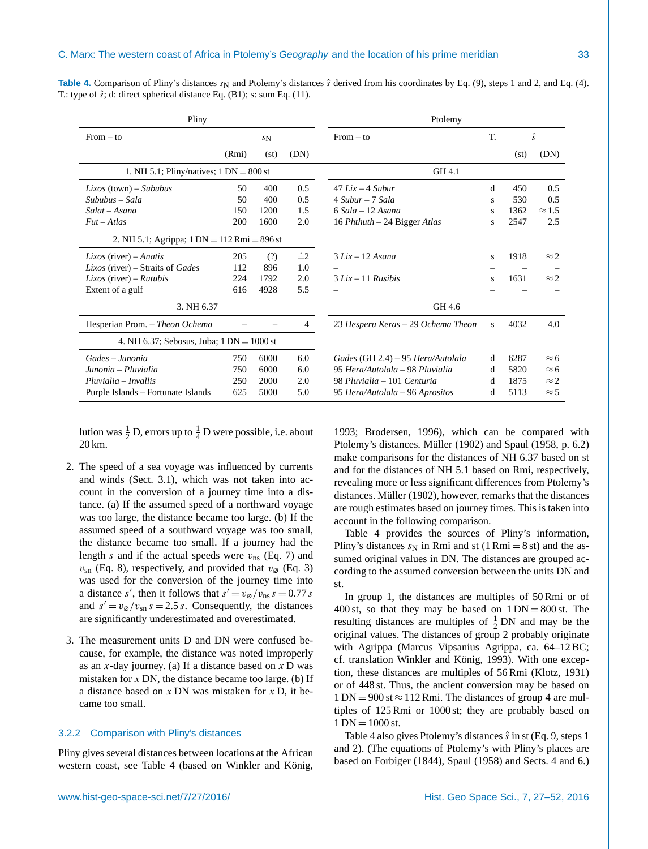| Pliny                                         |       |         |            | Ptolemy                            |    |      |               |  |  |
|-----------------------------------------------|-------|---------|------------|------------------------------------|----|------|---------------|--|--|
| $From - to$                                   |       | $S_{N}$ |            | $From - to$                        | T. |      | $\hat{s}$     |  |  |
|                                               | (Rmi) | (st)    | (DN)       |                                    |    | (st) | (DN)          |  |  |
| 1. NH 5.1; Pliny/natives; $1 DN = 800$ st     |       |         |            | GH 4.1                             |    |      |               |  |  |
| $Lixos$ (town) – Sububus                      | 50    | 400     | 0.5        | $47$ Lix $-$ 4 Subur               | d  | 450  | 0.5           |  |  |
| Sububus – Sala                                | 50    | 400     | 0.5        | $4$ Subur – 7 Sala                 | s  | 530  | 0.5           |  |  |
| Salat – Asana                                 | 150   | 1200    | 1.5        | $6$ Sala – 12 Asana                | s  | 1362 | $\approx$ 1.5 |  |  |
| $Fut - Atlas$                                 | 200   | 1600    | 2.0        | 16 Phthuth $-$ 24 Bigger Atlas     | S  | 2547 | 2.5           |  |  |
| 2. NH 5.1; Agrippa; $1 DN = 112 Rmi = 896 st$ |       |         |            |                                    |    |      |               |  |  |
| <i>Lixos</i> (river) – <i>Anatis</i>          | 205   | (?)     | $\dot{=}2$ | $3 Lix - 12 Asana$                 | S  | 1918 | $\approx$ 2   |  |  |
| Lixos (river) – Straits of Gades              | 112   | 896     | 1.0        |                                    |    |      |               |  |  |
| <i>Lixos</i> (river) – <i>Rutubis</i>         | 224   | 1792    | 2.0        | $3 Lix - 11 Rusibis$               | S  | 1631 | $\approx$ 2.  |  |  |
| Extent of a gulf                              | 616   | 4928    | 5.5        |                                    |    |      |               |  |  |
| 3. NH 6.37                                    |       |         |            | GH 4.6                             |    |      |               |  |  |
| Hesperian Prom. - Theon Ochema                |       |         | 4          | 23 Hesperu Keras – 29 Ochema Theon | s  | 4032 | 4.0           |  |  |
| 4. NH 6.37; Sebosus, Juba; $1 DN = 1000$ st   |       |         |            |                                    |    |      |               |  |  |
| Gades – Junonia                               | 750   | 6000    | 6.0        | Gades (GH 2.4) – 95 Hera/Autolala  | d  | 6287 | $\approx$ 6   |  |  |
| Junonia – Pluvialia                           | 750   | 6000    | 6.0        | 95 Hera/Autolala – 98 Pluvialia    | d  | 5820 | $\approx$ 6   |  |  |
| $Pluvialia - Invallis$                        | 250   | 2000    | 2.0        | 98 Pluvialia – 101 Centuria        | d  | 1875 | $\approx$ 2.  |  |  |
| Purple Islands – Fortunate Islands            | 625   | 5000    | 5.0        | 95 Hera/Autolala – 96 Aprositos    | d  | 5113 | $\approx$ 5   |  |  |

<span id="page-6-1"></span>**Table 4.** Comparison of Pliny's distances  $s_N$  and Ptolemy's distances  $\hat{s}$  derived from his coordinates by Eq. [\(9\)](#page-4-1), steps 1 and 2, and Eq. [\(4\)](#page-2-3). T.: type of  $\hat{s}$ ; d: direct spherical distance Eq. [\(B1\)](#page-22-1); s: sum Eq. [\(11\)](#page-5-4).

lution was  $\frac{1}{2}$  D, errors up to  $\frac{1}{4}$  D were possible, i.e. about 20 km.

- 2. The speed of a sea voyage was influenced by currents and winds (Sect. [3.1\)](#page-3-2), which was not taken into account in the conversion of a journey time into a distance. (a) If the assumed speed of a northward voyage was too large, the distance became too large. (b) If the assumed speed of a southward voyage was too small, the distance became too small. If a journey had the length s and if the actual speeds were  $v_{\text{ns}}$  (Eq. [7\)](#page-4-0) and  $v_{\rm sn}$  (Eq. [8\)](#page-4-2), respectively, and provided that  $v_{\varnothing}$  (Eq. [3\)](#page-2-5) was used for the conversion of the journey time into a distance s', then it follows that  $s' = v_{\varnothing}/v_{\text{ns}} s = 0.77 s$ and  $s' = v_{\varnothing}/v_{\rm sn} s = 2.5 s$ . Consequently, the distances are significantly underestimated and overestimated.
- 3. The measurement units D and DN were confused because, for example, the distance was noted improperly as an  $x$ -day journey. (a) If a distance based on  $x$  D was mistaken for  $x$  DN, the distance became too large. (b) If a distance based on  $x$  DN was mistaken for  $x$  D, it became too small.

## <span id="page-6-0"></span>3.2.2 Comparison with Pliny's distances

Pliny gives several distances between locations at the African western coast, see Table [4](#page-6-1) (based on [Winkler and König,](#page-25-10)

[1993;](#page-25-10) [Brodersen,](#page-24-11) [1996\)](#page-24-11), which can be compared with Ptolemy's distances. [Müller](#page-25-13) [\(1902\)](#page-25-13) and [Spaul](#page-25-4) [\(1958,](#page-25-4) p. 6.2) make comparisons for the distances of NH 6.37 based on st and for the distances of NH 5.1 based on Rmi, respectively, revealing more or less significant differences from Ptolemy's distances. [Müller](#page-25-13) [\(1902\)](#page-25-13), however, remarks that the distances are rough estimates based on journey times. This is taken into account in the following comparison.

Table [4](#page-6-1) provides the sources of Pliny's information, Pliny's distances  $s_N$  in Rmi and st (1 Rmi = 8 st) and the assumed original values in DN. The distances are grouped according to the assumed conversion between the units DN and st.

In group 1, the distances are multiples of 50 Rmi or of 400 st, so that they may be based on  $1 \text{ DN} = 800 \text{ st}$ . The resulting distances are multiples of  $\frac{1}{2}$  DN and may be the original values. The distances of group 2 probably originate with Agrippa (Marcus Vipsanius Agrippa, ca. 64–12 BC; cf. translation [Winkler and König,](#page-25-10) [1993\)](#page-25-10). With one exception, these distances are multiples of 56 Rmi [\(Klotz,](#page-24-19) [1931\)](#page-24-19) or of 448 st. Thus, the ancient conversion may be based on  $1 \text{ DN} = 900 \text{ st} \approx 112 \text{ Rmi}$ . The distances of group 4 are multiples of 125 Rmi or 1000 st; they are probably based on  $1 \text{ DN} = 1000 \text{ st.}$ 

Table [4](#page-6-1) also gives Ptolemy's distances  $\hat{s}$  in st (Eq. [9,](#page-4-1) steps 1) and 2). (The equations of Ptolemy's with Pliny's places are based on [Forbiger](#page-24-8) [\(1844\)](#page-24-8), [Spaul](#page-25-4) [\(1958\)](#page-25-4) and Sects. [4](#page-7-0) and [6.](#page-16-0))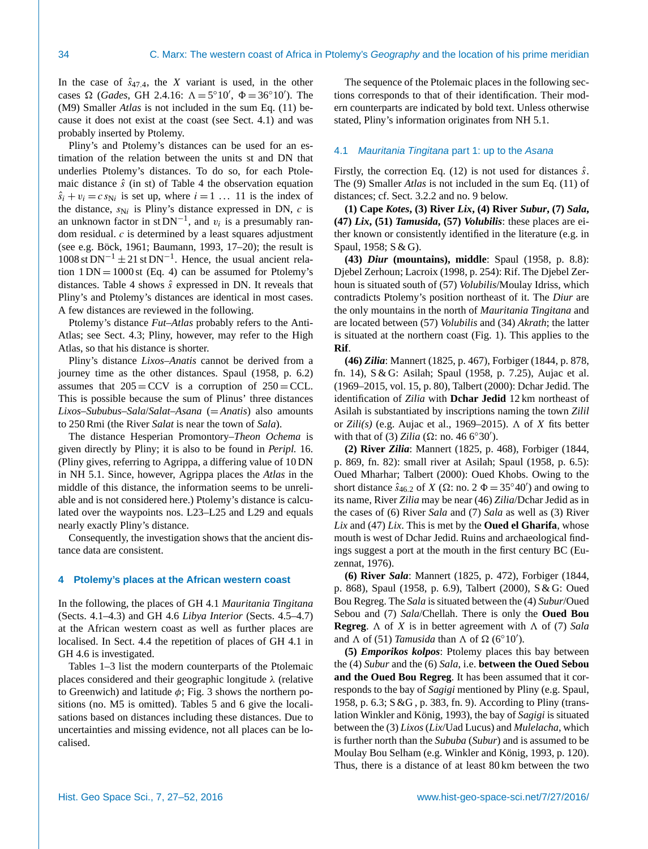In the case of  $\hat{s}_{47,4}$ , the X variant is used, in the other cases  $\Omega$  (*Gades*, GH 2.4.16:  $\Lambda = 5^{\circ}10'$ ,  $\Phi = 36^{\circ}10'$ ). The (M9) Smaller *Atlas* is not included in the sum Eq. [\(11\)](#page-5-4) because it does not exist at the coast (see Sect. [4.1\)](#page-7-1) and was probably inserted by Ptolemy.

Pliny's and Ptolemy's distances can be used for an estimation of the relation between the units st and DN that underlies Ptolemy's distances. To do so, for each Ptolemaic distance  $\hat{s}$  (in st) of Table [4](#page-6-1) the observation equation  $\hat{s}_i + v_i = c s_{\text{N}i}$  is set up, where  $i = 1 \dots 11$  is the index of the distance,  $s_{Ni}$  is Pliny's distance expressed in DN,  $c$  is an unknown factor in st  $DN^{-1}$ , and  $v_i$  is a presumably random residual.  $c$  is determined by a least squares adjustment (see e.g. [Böck,](#page-24-20) [1961;](#page-24-20) [Baumann,](#page-24-21) [1993,](#page-24-21) 17–20); the result is  $1008$  st DN<sup>-1</sup> ± 21 st DN<sup>-1</sup>. Hence, the usual ancient relation  $1 DN = 1000$  st (Eq. [4\)](#page-2-3) can be assumed for Ptolemy's distances. Table [4](#page-6-1) shows  $\hat{s}$  expressed in DN. It reveals that Pliny's and Ptolemy's distances are identical in most cases. A few distances are reviewed in the following.

Ptolemy's distance *Fut*–*Atlas* probably refers to the Anti-Atlas; see Sect. [4.3;](#page-10-0) Pliny, however, may refer to the High Atlas, so that his distance is shorter.

Pliny's distance *Lixos*–*Anatis* cannot be derived from a journey time as the other distances. [Spaul](#page-25-4) [\(1958,](#page-25-4) p. 6.2) assumes that  $205 = CCV$  is a corruption of  $250 = CCL$ . This is possible because the sum of Plinus' three distances *Lixos*–*Sububus*–*Sala*/*Salat*–*Asana* (= *Anatis*) also amounts to 250 Rmi (the River *Salat* is near the town of *Sala*).

The distance Hesperian Promontory–*Theon Ochema* is given directly by Pliny; it is also to be found in *Peripl.* 16. (Pliny gives, referring to Agrippa, a differing value of 10 DN in NH 5.1. Since, however, Agrippa places the *Atlas* in the middle of this distance, the information seems to be unreliable and is not considered here.) Ptolemy's distance is calculated over the waypoints nos. L23–L25 and L29 and equals nearly exactly Pliny's distance.

Consequently, the investigation shows that the ancient distance data are consistent.

## <span id="page-7-0"></span>**4 Ptolemy's places at the African western coast**

In the following, the places of GH 4.1 *Mauritania Tingitana* (Sects. [4.1](#page-7-1)[–4.3\)](#page-10-0) and GH 4.6 *Libya Interior* (Sects. [4.5–](#page-12-0)[4.7\)](#page-13-1) at the African western coast as well as further places are localised. In Sect. [4.4](#page-11-0) the repetition of places of GH 4.1 in GH 4.6 is investigated.

Tables [1](#page-3-1)[–3](#page-5-1) list the modern counterparts of the Ptolemaic places considered and their geographic longitude  $\lambda$  (relative to Greenwich) and latitude  $\phi$ ; Fig. [3](#page-8-0) shows the northern positions (no. M5 is omitted). Tables [5](#page-9-0) and [6](#page-9-1) give the localisations based on distances including these distances. Due to uncertainties and missing evidence, not all places can be localised.

The sequence of the Ptolemaic places in the following sections corresponds to that of their identification. Their modern counterparts are indicated by bold text. Unless otherwise stated, Pliny's information originates from NH 5.1.

## <span id="page-7-1"></span>4.1 *Mauritania Tingitana* part 1: up to the *Asana*

Firstly, the correction Eq. [\(12\)](#page-5-5) is not used for distances  $\hat{s}$ . The (9) Smaller *Atlas* is not included in the sum Eq. [\(11\)](#page-5-4) of distances; cf. Sect. [3.2.2](#page-6-0) and no. 9 below.

**(1) Cape** *Kotes***, (3) River** *Lix***, (4) River** *Subur***, (7)** *Sala***, (47)** *Lix***, (51)** *Tamusida***, (57)** *Volubilis*: these places are either known or consistently identified in the literature (e.g. in [Spaul,](#page-25-4) [1958;](#page-25-4) S & G).

**(43)** *Diur* **(mountains), middle**: [Spaul](#page-25-4) [\(1958,](#page-25-4) p. 8.8): Djebel Zerhoun; [Lacroix](#page-24-6) [\(1998,](#page-24-6) p. 254): Rif. The Djebel Zerhoun is situated south of (57) *Volubilis*/Moulay Idriss, which contradicts Ptolemy's position northeast of it. The *Diur* are the only mountains in the north of *Mauritania Tingitana* and are located between (57) *Volubilis* and (34) *Akrath*; the latter is situated at the northern coast (Fig. [1\)](#page-2-1). This applies to the **Rif**.

**(46)** *Zilia*: [Mannert](#page-25-6) [\(1825,](#page-25-6) p. 467), [Forbiger](#page-24-8) [\(1844,](#page-24-8) p. 878, fn. 14), S & G: Asilah; [Spaul](#page-25-4) [\(1958,](#page-25-4) p. 7.25), [Aujac et al.](#page-24-1) [\(1969–2015,](#page-24-1) vol. 15, p. 80), [Talbert](#page-25-5) [\(2000\)](#page-25-5): Dchar Jedid. The identification of *Zilia* with **Dchar Jedid** 12 km northeast of Asilah is substantiated by inscriptions naming the town *Zilil* or *Zili(s)* (e.g. [Aujac et al.,](#page-24-1) [1969–2015\)](#page-24-1).  $\Lambda$  of X fits better with that of (3) *Zilia* ( $\Omega$ : no. 46 6°30').

**(2) River** *Zilia*: [Mannert](#page-25-6) [\(1825,](#page-25-6) p. 468), [Forbiger](#page-24-8) [\(1844,](#page-24-8) p. 869, fn. 82): small river at Asilah; [Spaul](#page-25-4) [\(1958,](#page-25-4) p. 6.5): Oued Mharhar; [Talbert](#page-25-5) [\(2000\)](#page-25-5): Oued Khobs. Owing to the short distance  $\hat{s}_{46.2}$  of X ( $\Omega$ : no. 2  $\Phi = 35^{\circ}40'$ ) and owing to its name, River *Zilia* may be near (46) *Zilia*/Dchar Jedid as in the cases of (6) River *Sala* and (7) *Sala* as well as (3) River *Lix* and (47) *Lix*. This is met by the **Oued el Gharifa**, whose mouth is west of Dchar Jedid. Ruins and archaeological findings suggest a port at the mouth in the first century BC [\(Eu](#page-24-22)[zennat,](#page-24-22) [1976\)](#page-24-22).

**(6) River** *Sala*: [Mannert](#page-25-6) [\(1825,](#page-25-6) p. 472), [Forbiger](#page-24-8) [\(1844,](#page-24-8) p. 868), [Spaul](#page-25-4) [\(1958,](#page-25-4) p. 6.9), [Talbert](#page-25-5) [\(2000\)](#page-25-5), S & G: Oued Bou Regreg. The *Sala* is situated between the (4) *Subur*/Oued Sebou and (7) *Sala*/Chellah. There is only the **Oued Bou Regreg.**  $\Lambda$  of X is in better agreement with  $\Lambda$  of (7) *Sala* and  $\Lambda$  of (51) *Tamusida* than  $\Lambda$  of  $\Omega$  (6°10').

**(5)** *Emporikos kolpos*: Ptolemy places this bay between the (4) *Subur* and the (6) *Sala*, i.e. **between the Oued Sebou and the Oued Bou Regreg**. It has been assumed that it corresponds to the bay of *Sagigi* mentioned by Pliny (e.g. [Spaul,](#page-25-4) [1958,](#page-25-4) p. 6.3; S &G , p. 383, fn. 9). According to Pliny (translation [Winkler and König,](#page-25-10) [1993\)](#page-25-10), the bay of *Sagigi* is situated between the (3) *Lixos* (*Lix*/Uad Lucus) and *Mulelacha*, which is further north than the *Sububa* (*Subur*) and is assumed to be Moulay Bou Selham (e.g. [Winkler and König,](#page-25-10) [1993,](#page-25-10) p. 120). Thus, there is a distance of at least 80 km between the two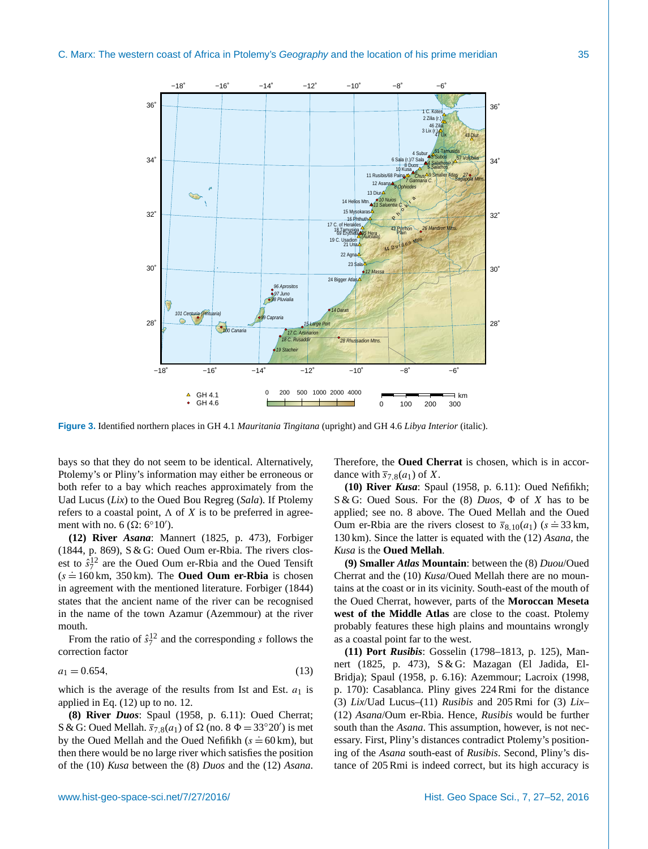<span id="page-8-0"></span>

**Figure 3.** Identified northern places in GH 4.1 *Mauritania Tingitana* (upright) and GH 4.6 *Libya Interior* (italic).

bays so that they do not seem to be identical. Alternatively, Ptolemy's or Pliny's information may either be erroneous or both refer to a bay which reaches approximately from the Uad Lucus (*Lix*) to the Oued Bou Regreg (*Sala*). If Ptolemy refers to a coastal point,  $\Lambda$  of X is to be preferred in agreement with no. 6 ( $\Omega$ : 6°10′).

**(12) River** *Asana*: [Mannert](#page-25-6) [\(1825,](#page-25-6) p. 473), [Forbiger](#page-24-8) [\(1844,](#page-24-8) p. 869), S & G: Oued Oum er-Rbia. The rivers closest to  $\hat{s}_7^{12}$  are the Oued Oum er-Rbia and the Oued Tensift  $(s = 160 \text{ km}, 350 \text{ km})$ . The **Oued Oum er-Rbia** is chosen in agreement with the mentioned literature. [Forbiger](#page-24-8) [\(1844\)](#page-24-8) states that the ancient name of the river can be recognised in the name of the town Azamur (Azemmour) at the river mouth.

<span id="page-8-1"></span>From the ratio of  $\hat{s}_7^{12}$  and the corresponding s follows the correction factor

$$
a_1 = 0.654,\t(13)
$$

which is the average of the results from Ist and Est.  $a_1$  is applied in Eq. [\(12\)](#page-5-5) up to no. 12.

**(8) River** *Duos*: [Spaul](#page-25-4) [\(1958,](#page-25-4) p. 6.11): Oued Cherrat; S & G: Oued Mellah.  $\overline{s}_{7,8}(a_1)$  of  $\Omega$  (no. 8  $\Phi = 33^{\circ}20'$ ) is met by the Oued Mellah and the Oued Nefifikh ( $s = 60$  km), but then there would be no large river which satisfies the position of the (10) *Kusa* between the (8) *Duos* and the (12) *Asana*. Therefore, the **Oued Cherrat** is chosen, which is in accordance with  $\overline{s}_{7,8}(a_1)$  of X.

**(10) River** *Kusa*: [Spaul](#page-25-4) [\(1958,](#page-25-4) p. 6.11): Oued Nefifikh; S & G: Oued Sous. For the  $(8)$  *Duos*,  $\Phi$  of X has to be applied; see no. 8 above. The Oued Mellah and the Oued Oum er-Rbia are the rivers closest to  $\bar{s}_{8,10}(a_1)$  ( $s = 33$  km, 130 km). Since the latter is equated with the (12) *Asana*, the *Kusa* is the **Oued Mellah**.

**(9) Smaller** *Atlas* **Mountain**: between the (8) *Duou*/Oued Cherrat and the (10) *Kusa*/Oued Mellah there are no mountains at the coast or in its vicinity. South-east of the mouth of the Oued Cherrat, however, parts of the **Moroccan Meseta west of the Middle Atlas** are close to the coast. Ptolemy probably features these high plains and mountains wrongly as a coastal point far to the west.

**(11) Port** *Rusibis*: [Gosselin](#page-24-7) [\(1798–1813,](#page-24-7) p. 125), [Man](#page-25-6)[nert](#page-25-6) [\(1825,](#page-25-6) p. 473), S & G: Mazagan (El Jadida, El-Bridja); [Spaul](#page-25-4) [\(1958,](#page-25-4) p. 6.16): Azemmour; [Lacroix](#page-24-6) [\(1998,](#page-24-6) p. 170): Casablanca. Pliny gives 224 Rmi for the distance (3) *Lix*/Uad Lucus–(11) *Rusibis* and 205 Rmi for (3) *Lix*– (12) *Asana*/Oum er-Rbia. Hence, *Rusibis* would be further south than the *Asana*. This assumption, however, is not necessary. First, Pliny's distances contradict Ptolemy's positioning of the *Asana* south-east of *Rusibis*. Second, Pliny's distance of 205 Rmi is indeed correct, but its high accuracy is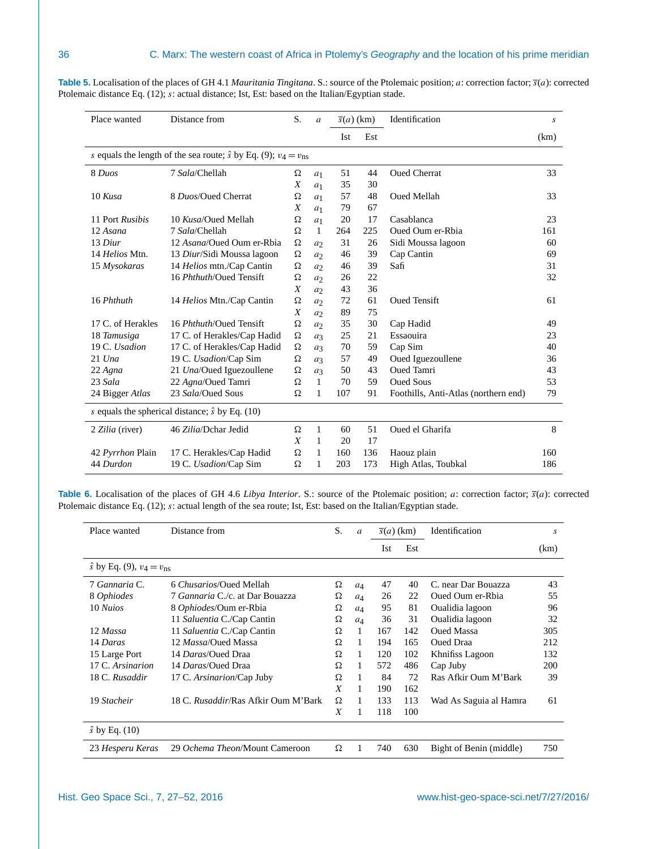| Place wanted      | Distance from                                                                     | S.               | $\boldsymbol{a}$ |     | $\overline{s}(a)$ (km) | Identification                       | S    |
|-------------------|-----------------------------------------------------------------------------------|------------------|------------------|-----|------------------------|--------------------------------------|------|
|                   |                                                                                   |                  |                  | Ist | Est                    |                                      | (km) |
|                   | s equals the length of the sea route; $\hat{s}$ by Eq. (9); $v_4 = v_{\text{ns}}$ |                  |                  |     |                        |                                      |      |
| 8 Duos            | 7 Sala/Chellah                                                                    | Ω                | a <sub>1</sub>   | 51  | 44                     | <b>Oued Cherrat</b>                  | 33   |
|                   |                                                                                   | X                | a <sub>1</sub>   | 35  | 30                     |                                      |      |
| 10 Kusa           | 8 Duos/Oued Cherrat                                                               | Ω                | a <sub>1</sub>   | 57  | 48                     | <b>Oued Mellah</b>                   | 33   |
|                   |                                                                                   | X                | $a_1$            | 79  | 67                     |                                      |      |
| 11 Port Rusibis   | 10 Kusa/Oued Mellah                                                               | Ω                | a <sub>1</sub>   | 20  | 17                     | Casablanca                           | 23   |
| 12 Asana          | 7 Sala/Chellah                                                                    | Ω                | 1                | 264 | 225                    | Oued Oum er-Rbia                     | 161  |
| 13 Diur           | 12 Asana/Oued Oum er-Rbia                                                         | Ω                | a <sub>2</sub>   | 31  | 26                     | Sidi Moussa lagoon                   | 60   |
| 14 Helios Mtn.    | 13 Diur/Sidi Moussa lagoon                                                        | Ω                | a <sub>2</sub>   | 46  | 39                     | Cap Cantin                           | 69   |
| 15 Mysokaras      | 14 Helios mtn./Cap Cantin                                                         | Ω                | a <sub>2</sub>   | 46  | 39                     | Safi                                 | 31   |
|                   | 16 Phthuth/Oued Tensift                                                           | Ω                | a <sub>2</sub>   | 26  | 22                     |                                      | 32   |
|                   |                                                                                   | X                | a <sub>2</sub>   | 43  | 36                     |                                      |      |
| 16 Phthuth        | 14 Helios Mtn./Cap Cantin                                                         | Ω                | a <sub>2</sub>   | 72  | 61                     | <b>Oued Tensift</b>                  | 61   |
|                   |                                                                                   | X                | a <sub>2</sub>   | 89  | 75                     |                                      |      |
| 17 C. of Herakles | 16 <i>Phthuth</i> /Oued Tensift                                                   | Ω                | a <sub>2</sub>   | 35  | 30                     | Cap Hadid                            | 49   |
| 18 Tamusiga       | 17 C. of Herakles/Cap Hadid                                                       | Ω                | $a_3$            | 25  | 21                     | Essaouira                            | 23   |
| 19 C. Usadion     | 17 C. of Herakles/Cap Hadid                                                       | Ω                | $a_3$            | 70  | 59                     | Cap Sim                              | 40   |
| $21$ Una          | 19 C. Usadion/Cap Sim                                                             | Ω                | $a_3$            | 57  | 49                     | Oued Iguezoullene                    | 36   |
| 22 Agna           | 21 Una/Oued Iguezoullene                                                          | Ω                | $a_3$            | 50  | 43                     | <b>Oued Tamri</b>                    | 43   |
| 23 Sala           | 22 Agna/Oued Tamri                                                                | Ω                | 1                | 70  | 59                     | <b>Oued Sous</b>                     | 53   |
| 24 Bigger Atlas   | 23 Sala/Oued Sous                                                                 | Ω                | 1                | 107 | 91                     | Foothills, Anti-Atlas (northern end) | 79   |
|                   | s equals the spherical distance; $\hat{s}$ by Eq. (10)                            |                  |                  |     |                        |                                      |      |
| 2 Zilia (river)   | 46 Zilia/Dchar Jedid                                                              | Ω                | 1                | 60  | 51                     | Oued el Gharifa                      | 8    |
|                   |                                                                                   | $\boldsymbol{X}$ | 1                | 20  | 17                     |                                      |      |
| 42 Pyrrhon Plain  | 17 C. Herakles/Cap Hadid                                                          | Ω                | 1                | 160 | 136                    | Haouz plain                          | 160  |
| 44 Durdon         | 19 C. Usadion/Cap Sim                                                             | Ω                | 1                | 203 | 173                    | High Atlas, Toubkal                  | 186  |

<span id="page-9-0"></span>**Table 5.** Localisation of the places of GH 4.1 *Mauritania Tingitana*. S.: source of the Ptolemaic position; a: correction factor; s(a): corrected Ptolemaic distance Eq. [\(12\)](#page-5-5); s: actual distance; Ist, Est: based on the Italian/Egyptian stade.

<span id="page-9-1"></span>**Table 6.** Localisation of the places of GH 4.6 *Libya Interior*. S.: source of the Ptolemaic position; a: correction factor;  $\bar{s}(a)$ : corrected Ptolemaic distance Eq. [\(12\)](#page-5-5); s: actual length of the sea route; Ist, Est: based on the Italian/Egyptian stade.

| Place wanted                                | Distance from                          | S. | $\mathfrak{a}$ | $\overline{s}(a)$ (km) |     | Identification          | S    |
|---------------------------------------------|----------------------------------------|----|----------------|------------------------|-----|-------------------------|------|
|                                             |                                        |    |                | Ist                    | Est |                         | (km) |
| $\hat{s}$ by Eq. (9), $v_4 = v_{\text{ns}}$ |                                        |    |                |                        |     |                         |      |
| 7 Gannaria C.                               | 6 Chusarios/Oued Mellah                | Ω  | $a_4$          | 47                     | 40  | C. near Dar Bouazza     | 43   |
| 8 Ophiodes                                  | <i>7 Gannaria C./c.</i> at Dar Bouazza | Ω  | $a_4$          | 26                     | 22  | Oued Oum er-Rhia        | 55   |
| 10 Nuios                                    | 8 Ophiodes/Oum er-Rbia                 | Ω  | $a_4$          | 95                     | 81  | Oualidia lagoon         | 96   |
|                                             | 11 Saluentia C./Cap Cantin             | Ω  | $a_4$          | 36                     | 31  | Oualidia lagoon         | 32   |
| 12 Massa                                    | 11 Saluentia C./Cap Cantin             | Ω  |                | 167                    | 142 | <b>Oued Massa</b>       | 305  |
| 14 Daras                                    | 12 <i>Massa</i> /Oued Massa            | Ω  | 1              | 194                    | 165 | <b>Oued Draa</b>        | 212  |
| 15 Large Port                               | 14 Daras/Oued Draa                     | Ω  | 1              | 120                    | 102 | Khnifiss Lagoon         | 132  |
| 17 C. Arsinarion                            | 14 Daras/Oued Draa                     | Ω  | 1              | 572                    | 486 | Cap Juby                | 200  |
| 18 C. Rusaddir                              | 17 C. Arsinarion/Cap Juby              | Ω  |                | 84                     | 72  | Ras Afkir Oum M'Bark    | 39   |
|                                             |                                        | X  |                | 190                    | 162 |                         |      |
| 19 Stacheir                                 | 18 C. Rusaddir/Ras Afkir Oum M'Bark    | Ω  | 1              | 133                    | 113 | Wad As Saguia al Hamra  | 61   |
|                                             |                                        | X  | 1              | 118                    | 100 |                         |      |
| $\hat{s}$ by Eq. (10)                       |                                        |    |                |                        |     |                         |      |
| 23 Hesperu Keras                            | 29 Ochema Theon/Mount Cameroon         | Ω  |                | 740                    | 630 | Bight of Benin (middle) | 750  |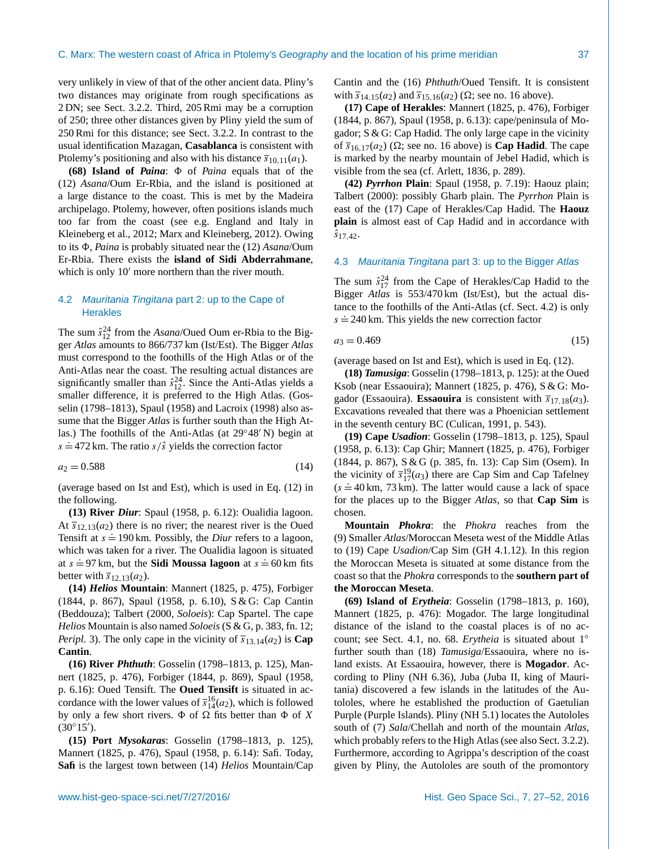very unlikely in view of that of the other ancient data. Pliny's two distances may originate from rough specifications as 2 DN; see Sect. [3.2.2.](#page-6-0) Third, 205 Rmi may be a corruption of 250; three other distances given by Pliny yield the sum of 250 Rmi for this distance; see Sect. [3.2.2.](#page-6-0) In contrast to the usual identification Mazagan, **Casablanca** is consistent with Ptolemy's positioning and also with his distance  $\overline{s}_{10,11}(a_1)$ .

**(68) Island of** *Paina*: 8 of *Paina* equals that of the (12) *Asana*/Oum Er-Rbia, and the island is positioned at a large distance to the coast. This is met by the Madeira archipelago. Ptolemy, however, often positions islands much too far from the coast (see e.g. England and Italy in [Kleineberg et al.,](#page-24-23) [2012;](#page-24-23) [Marx and Kleineberg,](#page-25-8) [2012\)](#page-25-8). Owing to its 8, *Paina* is probably situated near the (12) *Asana*/Oum Er-Rbia. There exists the **island of Sidi Abderrahmane**, which is only  $10<sup>′</sup>$  more northern than the river mouth.

# <span id="page-10-1"></span>4.2 *Mauritania Tingitana* part 2: up to the Cape of **Herakles**

The sum  $\hat{s}_{12}^{24}$  from the *Asana/Oued Oum er-Rbia to the Big*ger *Atlas* amounts to 866/737 km (Ist/Est). The Bigger *Atlas* must correspond to the foothills of the High Atlas or of the Anti-Atlas near the coast. The resulting actual distances are significantly smaller than  $\hat{s}_{12}^{24}$ . Since the Anti-Atlas yields a smaller difference, it is preferred to the High Atlas. [\(Gos](#page-24-7)[selin](#page-24-7) [\(1798–1813\)](#page-24-7), [Spaul](#page-25-4) [\(1958\)](#page-25-4) and [Lacroix](#page-24-6) [\(1998\)](#page-24-6) also assume that the Bigger *Atlas* is further south than the High Atlas.) The foothills of the Anti-Atlas (at  $29°48'$  N) begin at s  $\approx$  472 km. The ratio s/ŝ yields the correction factor

$$
a_2 = 0.588 \tag{14}
$$

(average based on Ist and Est), which is used in Eq. [\(12\)](#page-5-5) in the following.

**(13) River** *Diur*: [Spaul](#page-25-4) [\(1958,](#page-25-4) p. 6.12): Oualidia lagoon. At  $\overline{s}_{12,13}(a_2)$  there is no river; the nearest river is the Oued The  $s_{12,13(x_2)}$  and is no liver, the heatest liver is the success triver in the success of  $s = 190 \text{ km}$ . Possibly, the *Diur* refers to a lagoon, which was taken for a river. The Oualidia lagoon is situated at  $s = 97$  km, but the **Sidi Moussa lagoon** at  $s = 60$  km fits better with  $\overline{s}_{12,13}(a_2)$ .

**(14)** *Helios* **Mountain**: [Mannert](#page-25-6) [\(1825,](#page-25-6) p. 475), [Forbiger](#page-24-8) [\(1844,](#page-24-8) p. 867), [Spaul](#page-25-4) [\(1958,](#page-25-4) p. 6.10), S & G: Cap Cantin (Beddouza); [Talbert](#page-25-5) [\(2000,](#page-25-5) *Soloeis*): Cap Spartel. The cape *Helios* Mountain is also named *Soloeis* (S & G, p. 383, fn. 12; *Peripl.* 3). The only cape in the vicinity of  $\overline{s}_{13,14}(a_2)$  is **Cap Cantin**.

**(16) River** *Phthuth*: [Gosselin](#page-24-7) [\(1798–1813,](#page-24-7) p. 125), [Man](#page-25-6)[nert](#page-25-6) [\(1825,](#page-25-6) p. 476), [Forbiger](#page-24-8) [\(1844,](#page-24-8) p. 869), [Spaul](#page-25-4) [\(1958,](#page-25-4) p. 6.16): Oued Tensift. The **Oued Tensift** is situated in accordance with the lower values of  $\bar{s}^{16}_{14}(a_2)$ , which is followed by only a few short rivers.  $\Phi$  of  $\Omega$  fits better than  $\Phi$  of X  $(30^{\circ}15^{\prime})$ .

**(15) Port** *Mysokaras*: [Gosselin](#page-24-7) [\(1798–1813,](#page-24-7) p. 125), [Mannert](#page-25-6) [\(1825,](#page-25-6) p. 476), [Spaul](#page-25-4) [\(1958,](#page-25-4) p. 6.14): Safi. Today, **Safi** is the largest town between (14) *Helios* Mountain/Cap Cantin and the (16) *Phthuth*/Oued Tensift. It is consistent with  $\overline{s}_{14,15}(a_2)$  and  $\overline{s}_{15,16}(a_2)$  ( $\Omega$ ; see no. 16 above).

**(17) Cape of Herakles**: [Mannert](#page-25-6) [\(1825,](#page-25-6) p. 476), [Forbiger](#page-24-8) [\(1844,](#page-24-8) p. 867), [Spaul](#page-25-4) [\(1958,](#page-25-4) p. 6.13): cape/peninsula of Mogador; S & G: Cap Hadid. The only large cape in the vicinity of  $\overline{s}_{16,17}(a_2)$  ( $\Omega$ ; see no. 16 above) is **Cap Hadid**. The cape is marked by the nearby mountain of Jebel Hadid, which is visible from the sea (cf. [Arlett,](#page-24-24) [1836,](#page-24-24) p. 289).

**(42)** *Pyrrhon* **Plain**: [Spaul](#page-25-4) [\(1958,](#page-25-4) p. 7.19): Haouz plain; [Talbert](#page-25-5) [\(2000\)](#page-25-5): possibly Gharb plain. The *Pyrrhon* Plain is east of the (17) Cape of Herakles/Cap Hadid. The **Haouz plain** is almost east of Cap Hadid and in accordance with  $\hat{s}_{17,42}$ .

## <span id="page-10-0"></span>4.3 *Mauritania Tingitana* part 3: up to the Bigger *Atlas*

The sum  $\hat{s}_{17}^{24}$  from the Cape of Herakles/Cap Hadid to the Bigger *Atlas* is 553/470 km (Ist/Est), but the actual distance to the foothills of the Anti-Atlas (cf. Sect. [4.2\)](#page-10-1) is only s  $\approx$  240 km. This yields the new correction factor

$$
a_3 = 0.469 \tag{15}
$$

(average based on Ist and Est), which is used in Eq. [\(12\)](#page-5-5).

**(18)** *Tamusiga*: [Gosselin](#page-24-7) [\(1798–1813,](#page-24-7) p. 125): at the Oued Ksob (near Essaouira); [Mannert](#page-25-6) [\(1825,](#page-25-6) p. 476), S & G: Mogador (Essaouira). **Essaouira** is consistent with  $\overline{s}_{17,18}(a_3)$ . Excavations revealed that there was a Phoenician settlement in the seventh century BC [\(Culican,](#page-24-25) [1991,](#page-24-25) p. 543).

<span id="page-10-2"></span>**(19) Cape** *Usadion*: [Gosselin](#page-24-7) [\(1798–1813,](#page-24-7) p. 125), [Spaul](#page-25-4) [\(1958,](#page-25-4) p. 6.13): Cap Ghir; [Mannert](#page-25-6) [\(1825,](#page-25-6) p. 476), [Forbiger](#page-24-8) [\(1844,](#page-24-8) p. 867), S & G (p. 385, fn. 13): Cap Sim (Osem). In the vicinity of  $\bar{s}_{17}^{19}(a_3)$  there are Cap Sim and Cap Tafelney  $(s = 40 \text{ km}, 73 \text{ km})$ . The latter would cause a lack of space for the places up to the Bigger *Atlas*, so that **Cap Sim** is chosen.

**Mountain** *Phokra*: the *Phokra* reaches from the (9) Smaller *Atlas*/Moroccan Meseta west of the Middle Atlas to (19) Cape *Usadion*/Cap Sim (GH 4.1.12). In this region the Moroccan Meseta is situated at some distance from the coast so that the *Phokra* corresponds to the **southern part of the Moroccan Meseta**.

**(69) Island of** *Erytheia*: [Gosselin](#page-24-7) [\(1798–1813,](#page-24-7) p. 160), [Mannert](#page-25-6) [\(1825,](#page-25-6) p. 476): Mogador. The large longitudinal distance of the island to the coastal places is of no account; see Sect. [4.1,](#page-7-1) no. 68. *Erytheia* is situated about 1◦ further south than (18) *Tamusiga*/Essaouira, where no island exists. At Essaouira, however, there is **Mogador**. According to Pliny (NH 6.36), Juba (Juba II, king of Mauritania) discovered a few islands in the latitudes of the Autololes, where he established the production of Gaetulian Purple (Purple Islands). Pliny (NH 5.1) locates the Autololes south of (7) *Sala*/Chellah and north of the mountain *Atlas*, which probably refers to the High Atlas (see also Sect. [3.2.2\)](#page-6-0). Furthermore, according to Agrippa's description of the coast given by Pliny, the Autololes are south of the promontory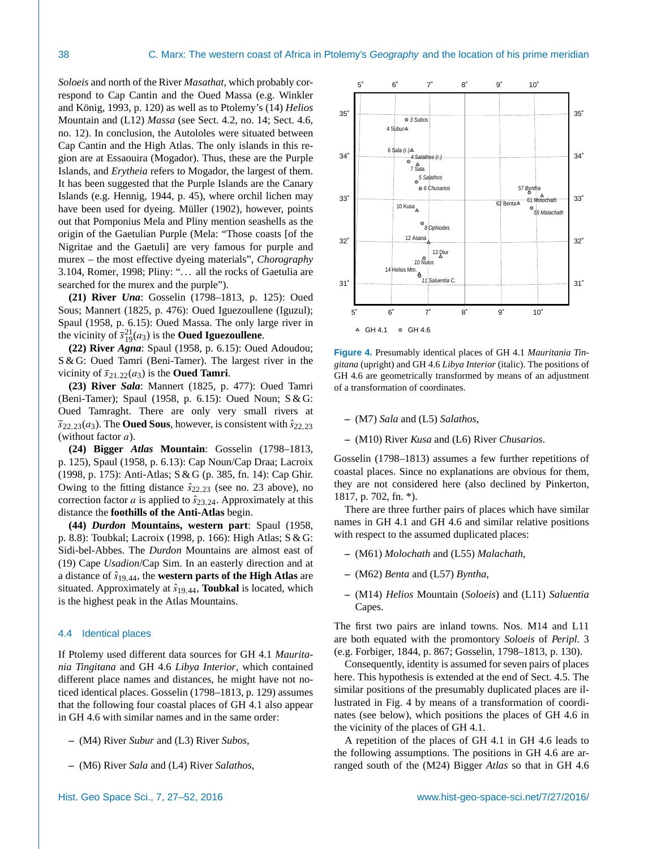*Soloeis* and north of the River *Masathat*, which probably correspond to Cap Cantin and the Oued Massa (e.g. [Winkler](#page-25-10) [and König,](#page-25-10) [1993,](#page-25-10) p. 120) as well as to Ptolemy's (14) *Helios* Mountain and (L12) *Massa* (see Sect. [4.2,](#page-10-1) no. 14; Sect. [4.6,](#page-13-0) no. 12). In conclusion, the Autololes were situated between Cap Cantin and the High Atlas. The only islands in this region are at Essaouira (Mogador). Thus, these are the Purple Islands, and *Erytheia* refers to Mogador, the largest of them. It has been suggested that the Purple Islands are the Canary Islands (e.g. [Hennig,](#page-24-26) [1944,](#page-24-26) p. 45), where orchil lichen may have been used for dyeing. [Müller](#page-25-13) [\(1902\)](#page-25-13), however, points out that Pomponius Mela and Pliny mention seashells as the origin of the Gaetulian Purple (Mela: "Those coasts [of the Nigritae and the Gaetuli] are very famous for purple and murex – the most effective dyeing materials", *Chorography* 3.104, [Romer,](#page-25-14) [1998;](#page-25-14) Pliny: "... all the rocks of Gaetulia are searched for the murex and the purple").

**(21) River** *Una*: [Gosselin](#page-24-7) [\(1798–1813,](#page-24-7) p. 125): Oued Sous; [Mannert](#page-25-6) [\(1825,](#page-25-6) p. 476): Oued Iguezoullene (Iguzul); [Spaul](#page-25-4) [\(1958,](#page-25-4) p. 6.15): Oued Massa. The only large river in the vicinity of  $\bar{s}_{19}^{21}(a_3)$  is the **Oued Iguezoullene**.

**(22) River** *Agna*: [Spaul](#page-25-4) [\(1958,](#page-25-4) p. 6.15): Oued Adoudou; S & G: Oued Tamri (Beni-Tamer). The largest river in the vicinity of  $\overline{s}_{21,22}(a_3)$  is the **Oued Tamri**.

**(23) River** *Sala*: [Mannert](#page-25-6) [\(1825,](#page-25-6) p. 477): Oued Tamri (Beni-Tamer); [Spaul](#page-25-4) [\(1958,](#page-25-4) p. 6.15): Oued Noun; S & G: Oued Tamraght. There are only very small rivers at  $\overline{s}_{22,23}(a_3)$ . The **Oued Sous**, however, is consistent with  $\hat{s}_{22,23}$ (without factor a).

**(24) Bigger** *Atlas* **Mountain**: [Gosselin](#page-24-7) [\(1798–1813,](#page-24-7) p. 125), [Spaul](#page-25-4) [\(1958,](#page-25-4) p. 6.13): Cap Noun/Cap Draa; [Lacroix](#page-24-6) [\(1998,](#page-24-6) p. 175): Anti-Atlas; S & G (p. 385, fn. 14): Cap Ghir. Owing to the fitting distance  $\hat{s}_{22.23}$  (see no. 23 above), no correction factor a is applied to  $\hat{s}_{23,24}$ . Approximately at this distance the **foothills of the Anti-Atlas** begin.

**(44)** *Durdon* **Mountains, western part**: [Spaul](#page-25-4) [\(1958,](#page-25-4) p. 8.8): Toubkal; [Lacroix](#page-24-6) [\(1998,](#page-24-6) p. 166): High Atlas; S & G: Sidi-bel-Abbes. The *Durdon* Mountains are almost east of (19) Cape *Usadion*/Cap Sim. In an easterly direction and at a distance of  $\hat{s}_{19,44}$ , the **western parts of the High Atlas** are situated. Approximately at  $\hat{s}_{19,44}$ , **Toubkal** is located, which is the highest peak in the Atlas Mountains.

## <span id="page-11-0"></span>4.4 Identical places

If Ptolemy used different data sources for GH 4.1 *Mauritania Tingitana* and GH 4.6 *Libya Interior*, which contained different place names and distances, he might have not noticed identical places. [Gosselin](#page-24-7) [\(1798–1813,](#page-24-7) p. 129) assumes that the following four coastal places of GH 4.1 also appear in GH 4.6 with similar names and in the same order:

- **–** (M4) River *Subur* and (L3) River *Subos*,
- **–** (M6) River *Sala* and (L4) River *Salathos*,

<span id="page-11-1"></span>

**Figure 4.** Presumably identical places of GH 4.1 *Mauritania Tingitana* (upright) and GH 4.6 *Libya Interior* (italic). The positions of GH 4.6 are geometrically transformed by means of an adjustment of a transformation of coordinates.

- **–** (M7) *Sala* and (L5) *Salathos*,
- **–** (M10) River *Kusa* and (L6) River *Chusarios*.

[Gosselin](#page-24-7) [\(1798–1813\)](#page-24-7) assumes a few further repetitions of coastal places. Since no explanations are obvious for them, they are not considered here (also declined by [Pinkerton,](#page-25-15) [1817,](#page-25-15) p. 702, fn. \*).

There are three further pairs of places which have similar names in GH 4.1 and GH 4.6 and similar relative positions with respect to the assumed duplicated places:

- **–** (M61) *Molochath* and (L55) *Malachath*,
- **–** (M62) *Benta* and (L57) *Byntha*,
- **–** (M14) *Helios* Mountain (*Soloeis*) and (L11) *Saluentia* Capes.

The first two pairs are inland towns. Nos. M14 and L11 are both equated with the promontory *Soloeis* of *Peripl.* 3 (e.g. [Forbiger,](#page-24-8) [1844,](#page-24-8) p. 867; [Gosselin,](#page-24-7) [1798–1813,](#page-24-7) p. 130).

Consequently, identity is assumed for seven pairs of places here. This hypothesis is extended at the end of Sect. [4.5.](#page-12-0) The similar positions of the presumably duplicated places are illustrated in Fig. [4](#page-11-1) by means of a transformation of coordinates (see below), which positions the places of GH 4.6 in the vicinity of the places of GH 4.1.

A repetition of the places of GH 4.1 in GH 4.6 leads to the following assumptions. The positions in GH 4.6 are arranged south of the (M24) Bigger *Atlas* so that in GH 4.6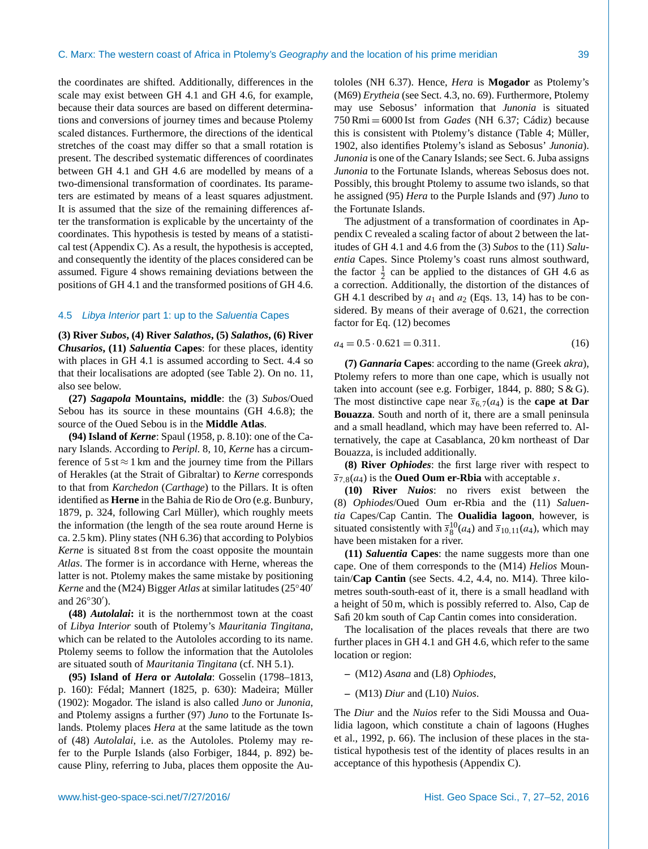the coordinates are shifted. Additionally, differences in the scale may exist between GH 4.1 and GH 4.6, for example, because their data sources are based on different determinations and conversions of journey times and because Ptolemy scaled distances. Furthermore, the directions of the identical stretches of the coast may differ so that a small rotation is present. The described systematic differences of coordinates between GH 4.1 and GH 4.6 are modelled by means of a two-dimensional transformation of coordinates. Its parameters are estimated by means of a least squares adjustment. It is assumed that the size of the remaining differences after the transformation is explicable by the uncertainty of the coordinates. This hypothesis is tested by means of a statistical test (Appendix [C\)](#page-22-3). As a result, the hypothesis is accepted, and consequently the identity of the places considered can be assumed. Figure [4](#page-11-1) shows remaining deviations between the positions of GH 4.1 and the transformed positions of GH 4.6.

#### <span id="page-12-0"></span>4.5 *Libya Interior* part 1: up to the *Saluentia* Capes

**(3) River** *Subos***, (4) River** *Salathos***, (5)** *Salathos***, (6) River** *Chusarios***, (11)** *Saluentia* **Capes**: for these places, identity with places in GH 4.1 is assumed according to Sect. [4.4](#page-11-0) so that their localisations are adopted (see Table [2\)](#page-4-3). On no. 11, also see below.

**(27)** *Sagapola* **Mountains, middle**: the (3) *Subos*/Oued Sebou has its source in these mountains (GH 4.6.8); the source of the Oued Sebou is in the **Middle Atlas**.

**(94) Island of** *Kerne*: [Spaul](#page-25-4) [\(1958,](#page-25-4) p. 8.10): one of the Canary Islands. According to *Peripl.* 8, 10, *Kerne* has a circumference of  $5 \text{ st} \approx 1 \text{ km}$  and the journey time from the Pillars of Herakles (at the Strait of Gibraltar) to *Kerne* corresponds to that from *Karchedon* (*Carthage*) to the Pillars. It is often identified as **Herne** in the Bahia de Rio de Oro (e.g. [Bunbury,](#page-24-27) [1879,](#page-24-27) p. 324, following Carl Müller), which roughly meets the information (the length of the sea route around Herne is ca. 2.5 km). Pliny states (NH 6.36) that according to Polybios *Kerne* is situated 8 st from the coast opposite the mountain *Atlas*. The former is in accordance with Herne, whereas the latter is not. Ptolemy makes the same mistake by positioning *Kerne* and the (M24) Bigger *Atlas* at similar latitudes (25<sup>°</sup>40<sup>′</sup> and  $26°30'$ ).

**(48)** *Autolalai***:** it is the northernmost town at the coast of *Libya Interior* south of Ptolemy's *Mauritania Tingitana*, which can be related to the Autololes according to its name. Ptolemy seems to follow the information that the Autololes are situated south of *Mauritania Tingitana* (cf. NH 5.1).

**(95) Island of** *Hera* **or** *Autolala*: [Gosselin](#page-24-7) [\(1798–1813,](#page-24-7) p. 160): Fédal; [Mannert](#page-25-6) [\(1825,](#page-25-6) p. 630): Madeira; [Müller](#page-25-13) [\(1902\)](#page-25-13): Mogador. The island is also called *Juno* or *Junonia*, and Ptolemy assigns a further (97) *Juno* to the Fortunate Islands. Ptolemy places *Hera* at the same latitude as the town of (48) *Autolalai*, i.e. as the Autololes. Ptolemy may refer to the Purple Islands (also [Forbiger,](#page-24-8) [1844,](#page-24-8) p. 892) because Pliny, referring to Juba, places them opposite the Autololes (NH 6.37). Hence, *Hera* is **Mogador** as Ptolemy's (M69) *Erytheia* (see Sect. [4.3,](#page-10-0) no. 69). Furthermore, Ptolemy may use Sebosus' information that *Junonia* is situated 750 Rmi = 6000 Ist from *Gades* (NH 6.37; Cádiz) because this is consistent with Ptolemy's distance (Table [4;](#page-6-1) [Müller,](#page-25-13) [1902,](#page-25-13) also identifies Ptolemy's island as Sebosus' *Junonia*). *Junonia* is one of the Canary Islands; see Sect. [6.](#page-16-0) Juba assigns *Junonia* to the Fortunate Islands, whereas Sebosus does not. Possibly, this brought Ptolemy to assume two islands, so that he assigned (95) *Hera* to the Purple Islands and (97) *Juno* to the Fortunate Islands.

The adjustment of a transformation of coordinates in Appendix [C](#page-22-3) revealed a scaling factor of about 2 between the latitudes of GH 4.1 and 4.6 from the (3) *Subos* to the (11) *Saluentia* Capes. Since Ptolemy's coast runs almost southward, the factor  $\frac{1}{2}$  can be applied to the distances of GH 4.6 as a correction. Additionally, the distortion of the distances of GH 4.1 described by  $a_1$  and  $a_2$  (Eqs. [13,](#page-8-1) [14\)](#page-10-2) has to be considered. By means of their average of 0.621, the correction factor for Eq. [\(12\)](#page-5-5) becomes

<span id="page-12-1"></span>
$$
a_4 = 0.5 \cdot 0.621 = 0.311. \tag{16}
$$

**(7)** *Gannaria* **Capes**: according to the name (Greek *akra*), Ptolemy refers to more than one cape, which is usually not taken into account (see e.g. [Forbiger,](#page-24-8) [1844,](#page-24-8) p. 880;  $S & G$ ). The most distinctive cape near  $\overline{s}_6$   $\tau$ ( $a_4$ ) is the **cape at Dar Bouazza**. South and north of it, there are a small peninsula and a small headland, which may have been referred to. Alternatively, the cape at Casablanca, 20 km northeast of Dar Bouazza, is included additionally.

**(8) River** *Ophiodes*: the first large river with respect to  $\overline{s}_7$   $_8(a_4)$  is the **Oued Oum er-Rbia** with acceptable *s*.

**(10) River** *Nuios*: no rivers exist between the (8) *Ophiodes*/Oued Oum er-Rbia and the (11) *Saluentia* Capes/Cap Cantin. The **Oualidia lagoon**, however, is situated consistently with  $\bar{s}_8^{10}(a_4)$  and  $\bar{s}_{10,11}(a_4)$ , which may have been mistaken for a river.

**(11)** *Saluentia* **Capes**: the name suggests more than one cape. One of them corresponds to the (M14) *Helios* Mountain/**Cap Cantin** (see Sects. [4.2,](#page-10-1) [4.4,](#page-11-0) no. M14). Three kilometres south-south-east of it, there is a small headland with a height of 50 m, which is possibly referred to. Also, Cap de Safi 20 km south of Cap Cantin comes into consideration.

The localisation of the places reveals that there are two further places in GH 4.1 and GH 4.6, which refer to the same location or region:

- **–** (M12) *Asana* and (L8) *Ophiodes*,
- **–** (M13) *Diur* and (L10) *Nuios*.

The *Diur* and the *Nuios* refer to the Sidi Moussa and Oualidia lagoon, which constitute a chain of lagoons [\(Hughes](#page-24-28) [et al.,](#page-24-28) [1992,](#page-24-28) p. 66). The inclusion of these places in the statistical hypothesis test of the identity of places results in an acceptance of this hypothesis (Appendix [C\)](#page-22-3).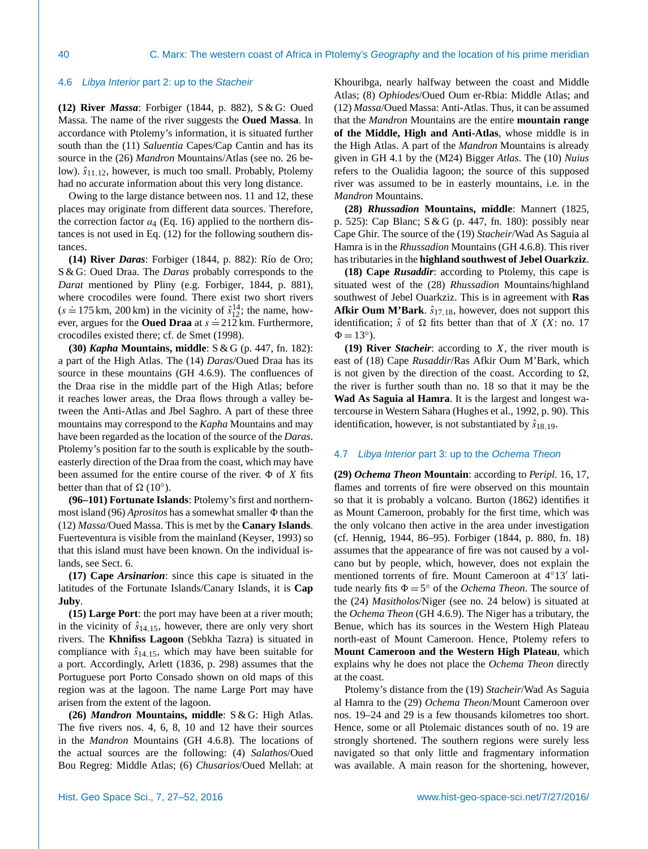#### <span id="page-13-0"></span>4.6 *Libya Interior* part 2: up to the *Stacheir*

**(12) River** *Massa*: [Forbiger](#page-24-8) [\(1844,](#page-24-8) p. 882), S & G: Oued Massa. The name of the river suggests the **Oued Massa**. In accordance with Ptolemy's information, it is situated further south than the (11) *Saluentia* Capes/Cap Cantin and has its source in the (26) *Mandron* Mountains/Atlas (see no. 26 below).  $\hat{s}_{11,12}$ , however, is much too small. Probably, Ptolemy had no accurate information about this very long distance.

Owing to the large distance between nos. 11 and 12, these places may originate from different data sources. Therefore, the correction factor  $a_4$  (Eq. [16\)](#page-12-1) applied to the northern distances is not used in Eq. [\(12\)](#page-5-5) for the following southern distances.

**(14) River** *Daras*: [Forbiger](#page-24-8) [\(1844,](#page-24-8) p. 882): Río de Oro; S & G: Oued Draa. The *Daras* probably corresponds to the *Darat* mentioned by Pliny (e.g. [Forbiger,](#page-24-8) [1844,](#page-24-8) p. 881), where crocodiles were found. There exist two short rivers (s = 175 km, 200 km) in the vicinity of  $\hat{s}_{12}^{14}$ ; the name, however, argues for the **Oued Draa** at  $s = 212$  km. Furthermore, crocodiles existed there; cf. [de Smet](#page-24-29) [\(1998\)](#page-24-29).

**(30)** *Kapha* **Mountains, middle**: S & G (p. 447, fn. 182): a part of the High Atlas. The (14) *Daras*/Oued Draa has its source in these mountains (GH 4.6.9). The confluences of the Draa rise in the middle part of the High Atlas; before it reaches lower areas, the Draa flows through a valley between the Anti-Atlas and Jbel Saghro. A part of these three mountains may correspond to the *Kapha* Mountains and may have been regarded as the location of the source of the *Daras*. Ptolemy's position far to the south is explicable by the southeasterly direction of the Draa from the coast, which may have been assumed for the entire course of the river.  $\Phi$  of X fits better than that of  $\Omega$  (10<sup>°</sup>).

**(96–101) Fortunate Islands**: Ptolemy's first and northernmost island (96) *Aprositos* has a somewhat smaller  $\Phi$  than the (12) *Massa*/Oued Massa. This is met by the **Canary Islands**. Fuerteventura is visible from the mainland [\(Keyser,](#page-24-5) [1993\)](#page-24-5) so that this island must have been known. On the individual islands, see Sect. [6.](#page-16-0)

**(17) Cape** *Arsinarion*: since this cape is situated in the latitudes of the Fortunate Islands/Canary Islands, it is **Cap Juby**.

**(15) Large Port**: the port may have been at a river mouth; in the vicinity of  $\hat{s}_{14,15}$ , however, there are only very short rivers. The **Khnifiss Lagoon** (Sebkha Tazra) is situated in compliance with  $\hat{s}_{14,15}$ , which may have been suitable for a port. Accordingly, [Arlett](#page-24-24) [\(1836,](#page-24-24) p. 298) assumes that the Portuguese port Porto Consado shown on old maps of this region was at the lagoon. The name Large Port may have arisen from the extent of the lagoon.

**(26)** *Mandron* **Mountains, middle**: S & G: High Atlas. The five rivers nos. 4, 6, 8, 10 and 12 have their sources in the *Mandron* Mountains (GH 4.6.8). The locations of the actual sources are the following: (4) *Salathos*/Oued Bou Regreg: Middle Atlas; (6) *Chusarios*/Oued Mellah: at

Khouribga, nearly halfway between the coast and Middle Atlas; (8) *Ophiodes*/Oued Oum er-Rbia: Middle Atlas; and (12) *Massa*/Oued Massa: Anti-Atlas. Thus, it can be assumed that the *Mandron* Mountains are the entire **mountain range of the Middle, High and Anti-Atlas**, whose middle is in the High Atlas. A part of the *Mandron* Mountains is already given in GH 4.1 by the (M24) Bigger *Atlas*. The (10) *Nuius* refers to the Oualidia lagoon; the source of this supposed river was assumed to be in easterly mountains, i.e. in the *Mandron* Mountains.

**(28)** *Rhussadion* **Mountains, middle**: [Mannert](#page-25-6) [\(1825,](#page-25-6) p. 525): Cap Blanc; S & G (p. 447, fn. 180): possibly near Cape Ghir. The source of the (19) *Stacheir*/Wad As Saguia al Hamra is in the *Rhussadion* Mountains (GH 4.6.8). This river has tributaries in the **highland southwest of Jebel Ouarkziz**.

**(18) Cape** *Rusaddir*: according to Ptolemy, this cape is situated west of the (28) *Rhussadion* Mountains/highland southwest of Jebel Ouarkziz. This is in agreement with **Ras Afkir Oum M'Bark.**  $\hat{s}_{17,18}$ , however, does not support this identification;  $\hat{s}$  of  $\Omega$  fits better than that of X (X: no. 17  $\Phi = 13^{\circ}$ ).

**(19) River** *Stacheir*: according to X, the river mouth is east of (18) Cape *Rusaddir*/Ras Afkir Oum M'Bark, which is not given by the direction of the coast. According to  $\Omega$ , the river is further south than no. 18 so that it may be the **Wad As Saguia al Hamra**. It is the largest and longest watercourse in Western Sahara [\(Hughes et al.,](#page-24-28) [1992,](#page-24-28) p. 90). This identification, however, is not substantiated by  $\hat{s}_{18,19}$ .

## <span id="page-13-1"></span>4.7 *Libya Interior* part 3: up to the *Ochema Theon*

**(29)** *Ochema Theon* **Mountain**: according to *Peripl.* 16, 17, flames and torrents of fire were observed on this mountain so that it is probably a volcano. [Burton](#page-24-30) [\(1862\)](#page-24-30) identifies it as Mount Cameroon, probably for the first time, which was the only volcano then active in the area under investigation (cf. [Hennig,](#page-24-26) [1944,](#page-24-26) 86–95). [Forbiger](#page-24-8) [\(1844,](#page-24-8) p. 880, fn. 18) assumes that the appearance of fire was not caused by a volcano but by people, which, however, does not explain the mentioned torrents of fire. Mount Cameroon at 4°13' latitude nearly fits  $\Phi = 5^{\circ}$  of the *Ochema Theon*. The source of the (24) *Masitholos*/Niger (see no. 24 below) is situated at the *Ochema Theon* (GH 4.6.9). The Niger has a tributary, the Benue, which has its sources in the Western High Plateau north-east of Mount Cameroon. Hence, Ptolemy refers to **Mount Cameroon and the Western High Plateau**, which explains why he does not place the *Ochema Theon* directly at the coast.

Ptolemy's distance from the (19) *Stacheir*/Wad As Saguia al Hamra to the (29) *Ochema Theon*/Mount Cameroon over nos. 19–24 and 29 is a few thousands kilometres too short. Hence, some or all Ptolemaic distances south of no. 19 are strongly shortened. The southern regions were surely less navigated so that only little and fragmentary information was available. A main reason for the shortening, however,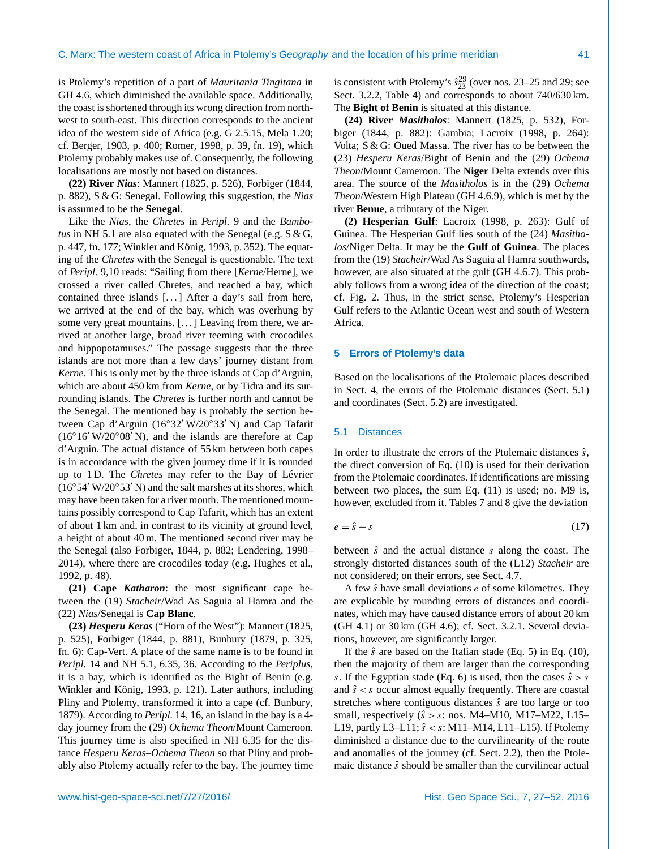is Ptolemy's repetition of a part of *Mauritania Tingitana* in GH 4.6, which diminished the available space. Additionally, the coast is shortened through its wrong direction from northwest to south-east. This direction corresponds to the ancient idea of the western side of Africa (e.g. G 2.5.15, Mela 1.20; cf. [Berger,](#page-24-31) [1903,](#page-24-31) p. 400; [Romer,](#page-25-14) [1998,](#page-25-14) p. 39, fn. 19), which Ptolemy probably makes use of. Consequently, the following localisations are mostly not based on distances.

**(22) River** *Nias*: [Mannert](#page-25-6) [\(1825,](#page-25-6) p. 526), [Forbiger](#page-24-8) [\(1844,](#page-24-8) p. 882), S & G: Senegal. Following this suggestion, the *Nias* is assumed to be the **Senegal**.

Like the *Nias*, the *Chretes* in *Peripl.* 9 and the *Bambotus* in NH 5.1 are also equated with the Senegal (e.g. S & G, p. 447, fn. 177; [Winkler and König,](#page-25-10) [1993,](#page-25-10) p. 352). The equating of the *Chretes* with the Senegal is questionable. The text of *Peripl.* 9,10 reads: "Sailing from there [*Kerne*/Herne], we crossed a river called Chretes, and reached a bay, which contained three islands [...] After a day's sail from here, we arrived at the end of the bay, which was overhung by some very great mountains. [...] Leaving from there, we arrived at another large, broad river teeming with crocodiles and hippopotamuses." The passage suggests that the three islands are not more than a few days' journey distant from *Kerne*. This is only met by the three islands at Cap d'Arguin, which are about 450 km from *Kerne*, or by Tidra and its surrounding islands. The *Chretes* is further north and cannot be the Senegal. The mentioned bay is probably the section between Cap d'Arguin (16°32′ W/20°33′ N) and Cap Tafarit  $(16°16' W/20°08' N)$ , and the islands are therefore at Cap d'Arguin. The actual distance of 55 km between both capes is in accordance with the given journey time if it is rounded up to 1 D. The *Chretes* may refer to the Bay of Lévrier  $(16°54' W/20°53' N)$  and the salt marshes at its shores, which may have been taken for a river mouth. The mentioned mountains possibly correspond to Cap Tafarit, which has an extent of about 1 km and, in contrast to its vicinity at ground level, a height of about 40 m. The mentioned second river may be the Senegal (also [Forbiger,](#page-24-8) [1844,](#page-24-8) p. 882; [Lendering,](#page-24-12) [1998–](#page-24-12) [2014\)](#page-24-12), where there are crocodiles today (e.g. [Hughes et al.,](#page-24-28) [1992,](#page-24-28) p. 48).

**(21) Cape** *Katharon*: the most significant cape between the (19) *Stacheir*/Wad As Saguia al Hamra and the (22) *Nias*/Senegal is **Cap Blanc**.

**(23)** *Hesperu Keras* ("Horn of the West"): [Mannert](#page-25-6) [\(1825,](#page-25-6) p. 525), [Forbiger](#page-24-8) [\(1844,](#page-24-8) p. 881), [Bunbury](#page-24-27) [\(1879,](#page-24-27) p. 325, fn. 6): Cap-Vert. A place of the same name is to be found in *Peripl.* 14 and NH 5.1, 6.35, 36. According to the *Periplus*, it is a bay, which is identified as the Bight of Benin (e.g. [Winkler and König,](#page-25-10) [1993,](#page-25-10) p. 121). Later authors, including Pliny and Ptolemy, transformed it into a cape (cf. [Bunbury,](#page-24-27) [1879\)](#page-24-27). According to *Peripl.* 14, 16, an island in the bay is a 4 day journey from the (29) *Ochema Theon*/Mount Cameroon. This journey time is also specified in NH 6.35 for the distance *Hesperu Keras*–*Ochema Theon* so that Pliny and probably also Ptolemy actually refer to the bay. The journey time

is consistent with Ptolemy's  $\hat{s}_{23}^{29}$  (over nos. 23–25 and 29; see Sect. [3.2.2,](#page-6-0) Table [4\)](#page-6-1) and corresponds to about 740/630 km. The **Bight of Benin** is situated at this distance.

**(24) River** *Masitholos*: [Mannert](#page-25-6) [\(1825,](#page-25-6) p. 532), [For](#page-24-8)[biger](#page-24-8) [\(1844,](#page-24-8) p. 882): Gambia; [Lacroix](#page-24-6) [\(1998,](#page-24-6) p. 264): Volta; S & G: Oued Massa. The river has to be between the (23) *Hesperu Keras*/Bight of Benin and the (29) *Ochema Theon*/Mount Cameroon. The **Niger** Delta extends over this area. The source of the *Masitholos* is in the (29) *Ochema Theon*/Western High Plateau (GH 4.6.9), which is met by the river **Benue**, a tributary of the Niger.

**(2) Hesperian Gulf**: [Lacroix](#page-24-6) [\(1998,](#page-24-6) p. 263): Gulf of Guinea. The Hesperian Gulf lies south of the (24) *Masitholos*/Niger Delta. It may be the **Gulf of Guinea**. The places from the (19) *Stacheir*/Wad As Saguia al Hamra southwards, however, are also situated at the gulf (GH 4.6.7). This probably follows from a wrong idea of the direction of the coast; cf. Fig. [2.](#page-2-2) Thus, in the strict sense, Ptolemy's Hesperian Gulf refers to the Atlantic Ocean west and south of Western Africa.

## <span id="page-14-0"></span>**5 Errors of Ptolemy's data**

Based on the localisations of the Ptolemaic places described in Sect. [4,](#page-7-0) the errors of the Ptolemaic distances (Sect. [5.1\)](#page-14-1) and coordinates (Sect. [5.2\)](#page-15-0) are investigated.

## <span id="page-14-1"></span>5.1 Distances

In order to illustrate the errors of the Ptolemaic distances  $\hat{s}$ , the direct conversion of Eq. [\(10\)](#page-5-2) is used for their derivation from the Ptolemaic coordinates. If identifications are missing between two places, the sum Eq. [\(11\)](#page-5-4) is used; no. M9 is, however, excluded from it. Tables [7](#page-15-1) and [8](#page-15-2) give the deviation

$$
e = \hat{s} - s \tag{17}
$$

between  $\hat{s}$  and the actual distance s along the coast. The strongly distorted distances south of the (L12) *Stacheir* are not considered; on their errors, see Sect. [4.7.](#page-13-1)

A few  $\hat{s}$  have small deviations  $e$  of some kilometres. They are explicable by rounding errors of distances and coordinates, which may have caused distance errors of about 20 km (GH 4.1) or 30 km (GH 4.6); cf. Sect. [3.2.1.](#page-5-3) Several deviations, however, are significantly larger.

If the  $\hat{s}$  are based on the Italian stade (Eq. [5\)](#page-3-3) in Eq. [\(10\)](#page-5-2), then the majority of them are larger than the corresponding s. If the Egyptian stade (Eq. [6\)](#page-3-4) is used, then the cases  $\hat{s} > s$ and  $\hat{s} < s$  occur almost equally frequently. There are coastal stretches where contiguous distances  $\hat{s}$  are too large or too small, respectively  $(\hat{s} > s)$ : nos. M4–M10, M17–M22, L15– L19, partly L3–L11;  $\hat{s} < s$ : M11–M14, L11–L15). If Ptolemy diminished a distance due to the curvilinearity of the route and anomalies of the journey (cf. Sect. [2.2\)](#page-2-0), then the Ptolemaic distance  $\hat{s}$  should be smaller than the curvilinear actual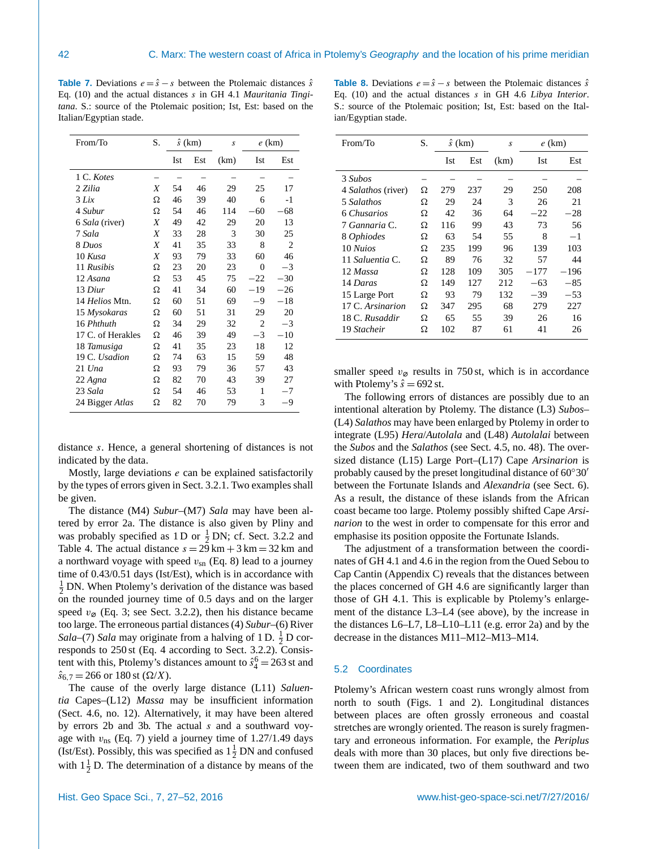<span id="page-15-1"></span>**Table 7.** Deviations  $e = \hat{s} - s$  between the Ptolemaic distances  $\hat{s}$ Eq. [\(10\)](#page-5-2) and the actual distances s in GH 4.1 *Mauritania Tingitana*. S.: source of the Ptolemaic position; Ist, Est: based on the Italian/Egyptian stade.

| From/To           | S. |     | $\hat{s}$ (km) | S    |          | $e$ (km)       |
|-------------------|----|-----|----------------|------|----------|----------------|
|                   |    | Ist | Est            | (km) | Ist      | Est            |
| 1 C. Kotes        |    |     |                |      |          |                |
| 2 Zilia           | X  | 54  | 46             | 29   | 25       | 17             |
| 3 Lix             | Ω  | 46  | 39             | 40   | 6        | $-1$           |
| 4 Subur           | Ω  | 54  | 46             | 114  | $-60$    | 68             |
| 6 Sala (river)    | Χ  | 49  | 42             | 29   | 20       | 13             |
| 7 Sala            | Χ  | 33  | 28             | 3    | 30       | 25             |
| 8 Duos            | X  | 41  | 35             | 33   | 8        | $\overline{2}$ |
| 10 Kusa           | Χ  | 93  | 79             | 33   | 60       | 46             |
| 11 Rusibis        | Ω  | 23  | 20             | 23   | $\theta$ | $-3$           |
| 12 Asana          | Ω  | 53  | 45             | 75   | $-22$    | $-30$          |
| 13 Diur           | Ω  | 41  | 34             | 60   | $-19$    | $-26$          |
| 14 Helios Mtn.    | Ω  | 60  | 51             | 69   | $-9$     | $-18$          |
| 15 Mysokaras      | Ω  | 60  | 51             | 31   | 29       | 20             |
| 16 Phthuth        | Ω  | 34  | 29             | 32   | 2        | $-3$           |
| 17 C. of Herakles | Ω  | 46  | 39             | 49   | $-3$     | $-10$          |
| 18 Tamusiga       | Ω  | 41  | 35             | 23   | 18       | 12             |
| 19 C. Usadion     | Ω  | 74  | 63             | 15   | 59       | 48             |
| $21$ Una          | Ω  | 93  | 79             | 36   | 57       | 43             |
| 22 Agna           | Ω  | 82  | 70             | 43   | 39       | 27             |
| 23 Sala           | Ω  | 54  | 46             | 53   | 1        | $-7$           |
| 24 Bigger Atlas   | Ω  | 82  | 70             | 79   | 3        | -9             |

distance s. Hence, a general shortening of distances is not indicated by the data.

Mostly, large deviations  $e$  can be explained satisfactorily by the types of errors given in Sect. [3.2.1.](#page-5-3) Two examples shall be given.

The distance (M4) *Subur*–(M7) *Sala* may have been altered by error 2a. The distance is also given by Pliny and was probably specified as 1 D or  $\frac{1}{2}$  DN; cf. Sect. [3.2.2](#page-6-0) and Table [4.](#page-6-1) The actual distance  $s = 29 \text{ km} + 3 \text{ km} = 32 \text{ km}$  and a northward voyage with speed  $v_{\rm sn}$  (Eq. [8\)](#page-4-2) lead to a journey time of 0.43/0.51 days (Ist/Est), which is in accordance with  $\frac{1}{2}$  DN. When Ptolemy's derivation of the distance was based on the rounded journey time of 0.5 days and on the larger speed  $v_{\varnothing}$  (Eq. [3;](#page-2-5) see Sect. [3.2.2\)](#page-6-0), then his distance became too large. The erroneous partial distances (4) *Subur*–(6) River *Sala*–(7) *Sala* may originate from a halving of 1 D.  $\frac{1}{2}$  D corresponds to 250 st (Eq. [4](#page-2-3) according to Sect. [3.2.2\)](#page-6-0). Consistent with this, Ptolemy's distances amount to  $\hat{s}_4^6 = 263$  st and  $\hat{s}_6$ , 7 = 266 or 180 st ( $\Omega/X$ ).

The cause of the overly large distance (L11) *Saluentia* Capes–(L12) *Massa* may be insufficient information (Sect. [4.6,](#page-13-0) no. 12). Alternatively, it may have been altered by errors 2b and 3b. The actual s and a southward voyage with  $v_{\text{ns}}$  (Eq. [7\)](#page-4-0) yield a journey time of 1.27/1.49 days (Ist/Est). Possibly, this was specified as  $1\frac{1}{2}$  DN and confused with  $1\frac{1}{2}$  D. The determination of a distance by means of the

<span id="page-15-2"></span>**Table 8.** Deviations  $e = \hat{s} - s$  between the Ptolemaic distances  $\hat{s}$ Eq. [\(10\)](#page-5-2) and the actual distances s in GH 4.6 *Libya Interior*. S.: source of the Ptolemaic position; Ist, Est: based on the Italian/Egyptian stade.

| From/To            | S. | $\hat{s}$ (km) |     | S    | $e$ (km) |          |
|--------------------|----|----------------|-----|------|----------|----------|
|                    |    | Ist            | Est | (km) | Ist      | Est      |
| 3 Subos            |    |                |     |      |          |          |
| 4 Salathos (river) | Ω  | 279            | 237 | 29   | 250      | 208      |
| 5 Salathos         | Ω  | 29             | 24  | 3    | 26       | 21       |
| 6 Chusarios        | Ω  | 42             | 36  | 64   | $-22$    | $^{-28}$ |
| 7 Gannaria C.      | Ω  | 116            | 99  | 43   | 73       | 56       |
| 8 Ophiodes         | Ω  | 63             | 54  | 55   | 8        | $-1$     |
| 10 Nuios           | Ω  | 235            | 199 | 96   | 139      | 103      |
| 11 Saluentia C.    | Ω  | 89             | 76  | 32   | 57       | 44       |
| 12 Massa           | Ω  | 128            | 109 | 305  | $-177$   | $-196$   |
| 14 Daras           | Ω  | 149            | 127 | 212  | $-63$    | $-85$    |
| 15 Large Port      | Ω  | 93             | 79  | 132  | $-39$    | $-53$    |
| 17 C. Arsinarion   | Ω  | 347            | 295 | 68   | 279      | 227      |
| 18 C. Rusaddir     | Ω  | 65             | 55  | 39   | 26       | 16       |
| 19 Stacheir        | Ω  | 102            | 87  | 61   | 41       | 26       |

smaller speed  $v_{\varnothing}$  results in 750 st, which is in accordance with Ptolemy's  $\hat{s} = 692$  st.

The following errors of distances are possibly due to an intentional alteration by Ptolemy. The distance (L3) *Subos*– (L4) *Salathos* may have been enlarged by Ptolemy in order to integrate (L95) *Hera*/*Autolala* and (L48) *Autolalai* between the *Subos* and the *Salathos* (see Sect. [4.5,](#page-12-0) no. 48). The oversized distance (L15) Large Port–(L17) Cape *Arsinarion* is probably caused by the preset longitudinal distance of  $60°30'$ between the Fortunate Islands and *Alexandria* (see Sect. [6\)](#page-16-0). As a result, the distance of these islands from the African coast became too large. Ptolemy possibly shifted Cape *Arsinarion* to the west in order to compensate for this error and emphasise its position opposite the Fortunate Islands.

The adjustment of a transformation between the coordinates of GH 4.1 and 4.6 in the region from the Oued Sebou to Cap Cantin (Appendix [C\)](#page-22-3) reveals that the distances between the places concerned of GH 4.6 are significantly larger than those of GH 4.1. This is explicable by Ptolemy's enlargement of the distance L3–L4 (see above), by the increase in the distances L6–L7, L8–L10–L11 (e.g. error 2a) and by the decrease in the distances M11–M12–M13–M14.

#### <span id="page-15-0"></span>5.2 Coordinates

Ptolemy's African western coast runs wrongly almost from north to south (Figs. [1](#page-2-1) and [2\)](#page-2-2). Longitudinal distances between places are often grossly erroneous and coastal stretches are wrongly oriented. The reason is surely fragmentary and erroneous information. For example, the *Periplus* deals with more than 30 places, but only five directions between them are indicated, two of them southward and two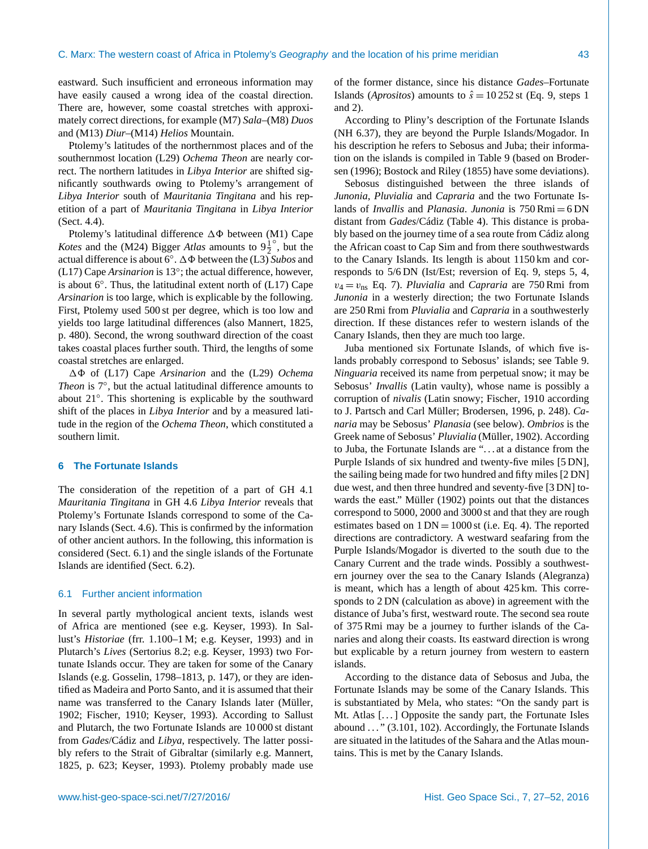eastward. Such insufficient and erroneous information may have easily caused a wrong idea of the coastal direction. There are, however, some coastal stretches with approximately correct directions, for example (M7) *Sala*–(M8) *Duos* and (M13) *Diur*–(M14) *Helios* Mountain.

Ptolemy's latitudes of the northernmost places and of the southernmost location (L29) *Ochema Theon* are nearly correct. The northern latitudes in *Libya Interior* are shifted significantly southwards owing to Ptolemy's arrangement of *Libya Interior* south of *Mauritania Tingitana* and his repetition of a part of *Mauritania Tingitana* in *Libya Interior* (Sect. [4.4\)](#page-11-0).

Ptolemy's latitudinal difference  $\Delta\Phi$  between (M1) Cape *Kotes* and the (M24) Bigger *Atlas* amounts to  $9\frac{1}{2}$  $\frac{1}{2}$ , but the actual difference is about 6◦ . 18 between the (L3) *Subos* and (L17) Cape *Arsinarion* is 13◦ ; the actual difference, however, is about  $6^\circ$ . Thus, the latitudinal extent north of (L17) Cape *Arsinarion* is too large, which is explicable by the following. First, Ptolemy used 500 st per degree, which is too low and yields too large latitudinal differences (also [Mannert,](#page-25-6) [1825,](#page-25-6) p. 480). Second, the wrong southward direction of the coast takes coastal places further south. Third, the lengths of some coastal stretches are enlarged.

18 of (L17) Cape *Arsinarion* and the (L29) *Ochema Theon* is 7◦ , but the actual latitudinal difference amounts to about 21◦ . This shortening is explicable by the southward shift of the places in *Libya Interior* and by a measured latitude in the region of the *Ochema Theon*, which constituted a southern limit.

## <span id="page-16-0"></span>**6 The Fortunate Islands**

The consideration of the repetition of a part of GH 4.1 *Mauritania Tingitana* in GH 4.6 *Libya Interior* reveals that Ptolemy's Fortunate Islands correspond to some of the Canary Islands (Sect. [4.6\)](#page-13-0). This is confirmed by the information of other ancient authors. In the following, this information is considered (Sect. [6.1\)](#page-16-1) and the single islands of the Fortunate Islands are identified (Sect. [6.2\)](#page-17-0).

## <span id="page-16-1"></span>6.1 Further ancient information

In several partly mythological ancient texts, islands west of Africa are mentioned (see e.g. [Keyser,](#page-24-5) [1993\)](#page-24-5). In Sallust's *Historiae* (frr. 1.100–1 M; e.g. [Keyser,](#page-24-5) [1993\)](#page-24-5) and in Plutarch's *Lives* (Sertorius 8.2; e.g. [Keyser,](#page-24-5) [1993\)](#page-24-5) two Fortunate Islands occur. They are taken for some of the Canary Islands (e.g. [Gosselin,](#page-24-7) [1798–1813,](#page-24-7) p. 147), or they are identified as Madeira and Porto Santo, and it is assumed that their name was transferred to the Canary Islands later [\(Müller,](#page-25-13) [1902;](#page-25-13) [Fischer,](#page-24-32) [1910;](#page-24-32) [Keyser,](#page-24-5) [1993\)](#page-24-5). According to Sallust and Plutarch, the two Fortunate Islands are 10 000 st distant from *Gades*/Cádiz and *Libya*, respectively. The latter possibly refers to the Strait of Gibraltar (similarly e.g. [Mannert,](#page-25-6) [1825,](#page-25-6) p. 623; [Keyser,](#page-24-5) [1993\)](#page-24-5). Ptolemy probably made use of the former distance, since his distance *Gades*–Fortunate Islands (*Aprositos*) amounts to  $\hat{s} = 10\,252$  st (Eq. [9,](#page-4-1) steps 1 and 2).

According to Pliny's description of the Fortunate Islands (NH 6.37), they are beyond the Purple Islands/Mogador. In his description he refers to Sebosus and Juba; their information on the islands is compiled in Table [9](#page-17-1) (based on [Broder](#page-24-11)[sen](#page-24-11) [\(1996\)](#page-24-11); [Bostock and Riley](#page-24-10) [\(1855\)](#page-24-10) have some deviations).

Sebosus distinguished between the three islands of *Junonia*, *Pluvialia* and *Capraria* and the two Fortunate Islands of *Invallis* and *Planasia*. *Junonia* is 750 Rmi = 6 DN distant from *Gades*/Cádiz (Table [4\)](#page-6-1). This distance is probably based on the journey time of a sea route from Cádiz along the African coast to Cap Sim and from there southwestwards to the Canary Islands. Its length is about 1150 km and corresponds to 5/6 DN (Ist/Est; reversion of Eq. [9,](#page-4-1) steps 5, 4,  $v_4 = v_{\text{ns}}$  Eq. [7\)](#page-4-0). *Pluvialia* and *Capraria* are 750 Rmi from *Junonia* in a westerly direction; the two Fortunate Islands are 250 Rmi from *Pluvialia* and *Capraria* in a southwesterly direction. If these distances refer to western islands of the Canary Islands, then they are much too large.

Juba mentioned six Fortunate Islands, of which five islands probably correspond to Sebosus' islands; see Table [9.](#page-17-1) *Ninguaria* received its name from perpetual snow; it may be Sebosus' *Invallis* (Latin vaulty), whose name is possibly a corruption of *nivalis* (Latin snowy; [Fischer,](#page-24-32) [1910](#page-24-32) according to J. Partsch and Carl Müller; [Brodersen,](#page-24-11) [1996,](#page-24-11) p. 248). *Canaria* may be Sebosus' *Planasia* (see below). *Ombrios* is the Greek name of Sebosus' *Pluvialia* [\(Müller,](#page-25-13) [1902\)](#page-25-13). According to Juba, the Fortunate Islands are ". . . at a distance from the Purple Islands of six hundred and twenty-five miles [5 DN], the sailing being made for two hundred and fifty miles [2 DN] due west, and then three hundred and seventy-five [3 DN] towards the east." [Müller](#page-25-13) [\(1902\)](#page-25-13) points out that the distances correspond to 5000, 2000 and 3000 st and that they are rough estimates based on  $1 \text{ DN} = 1000 \text{ st}$  (i.e. Eq. [4\)](#page-2-3). The reported directions are contradictory. A westward seafaring from the Purple Islands/Mogador is diverted to the south due to the Canary Current and the trade winds. Possibly a southwestern journey over the sea to the Canary Islands (Alegranza) is meant, which has a length of about 425 km. This corresponds to 2 DN (calculation as above) in agreement with the distance of Juba's first, westward route. The second sea route of 375 Rmi may be a journey to further islands of the Canaries and along their coasts. Its eastward direction is wrong but explicable by a return journey from western to eastern islands.

According to the distance data of Sebosus and Juba, the Fortunate Islands may be some of the Canary Islands. This is substantiated by Mela, who states: "On the sandy part is Mt. Atlas [...] Opposite the sandy part, the Fortunate Isles abound . . . " (3.101, 102). Accordingly, the Fortunate Islands are situated in the latitudes of the Sahara and the Atlas mountains. This is met by the Canary Islands.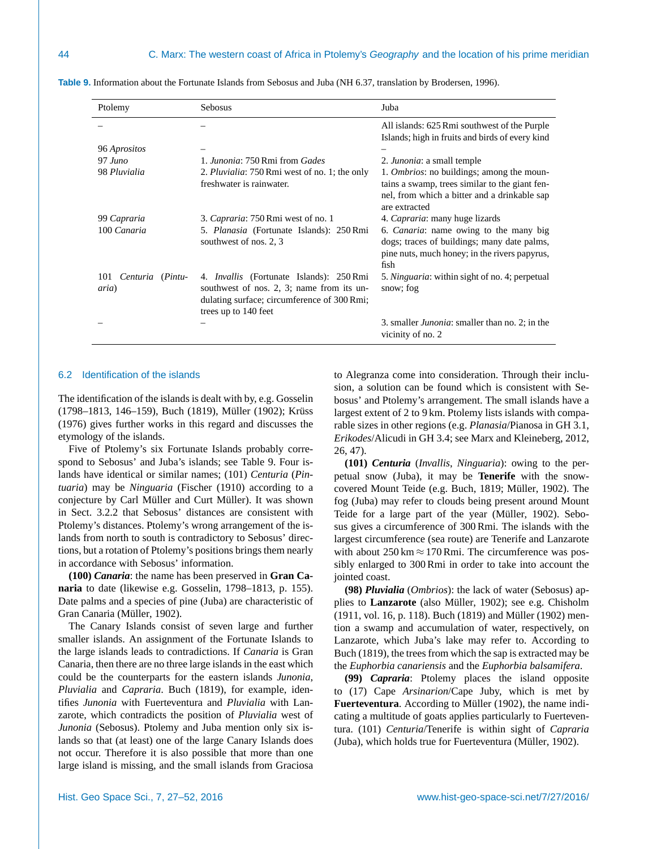| Ptolemy                                  | Sebosus                                                                                                                                                             | Juba                                                                                                                                                                 |
|------------------------------------------|---------------------------------------------------------------------------------------------------------------------------------------------------------------------|----------------------------------------------------------------------------------------------------------------------------------------------------------------------|
|                                          |                                                                                                                                                                     | All islands: 625 Rmi southwest of the Purple<br>Islands; high in fruits and birds of every kind                                                                      |
| 96 Aprositos                             |                                                                                                                                                                     |                                                                                                                                                                      |
| $97 \, \textit{Juno}$                    | 1. Junonia: 750 Rmi from Gades                                                                                                                                      | 2. <i>Junonia</i> : a small temple                                                                                                                                   |
| 98 Pluvialia                             | 2. Pluvialia: 750 Rmi west of no. 1; the only<br>freshwater is rainwater.                                                                                           | 1. <i>Ombrios</i> : no buildings; among the moun-<br>tains a swamp, trees similar to the giant fen-<br>nel, from which a bitter and a drinkable sap<br>are extracted |
| 99 Capraria                              | 3. Capraria: 750 Rmi west of no. 1                                                                                                                                  | 4. <i>Capraria</i> : many huge lizards                                                                                                                               |
| 100 Canaria                              | 5. Planasia (Fortunate Islands): 250 Rmi<br>southwest of nos. 2, 3                                                                                                  | 6. <i>Canaria</i> : name owing to the many big<br>dogs; traces of buildings; many date palms,<br>pine nuts, much honey; in the rivers papyrus,<br>fish               |
| Centuria (Pintu-<br>101<br><i>aria</i> ) | 4. <i>Invallis</i> (Fortunate Islands): 250 Rmi<br>southwest of nos. 2, 3; name from its un-<br>dulating surface; circumference of 300 Rmi;<br>trees up to 140 feet | 5. Ninguaria: within sight of no. 4; perpetual<br>snow; fog                                                                                                          |
|                                          |                                                                                                                                                                     | 3. smaller <i>Junonia</i> : smaller than no. 2; in the<br>vicinity of no. 2                                                                                          |

<span id="page-17-1"></span>**Table 9.** Information about the Fortunate Islands from Sebosus and Juba (NH 6.37, translation by [Brodersen,](#page-24-11) [1996\)](#page-24-11).

## <span id="page-17-0"></span>6.2 Identification of the islands

The identification of the islands is dealt with by, e.g. [Gosselin](#page-24-7) [\(1798–1813,](#page-24-7) 146–159), [Buch](#page-24-33) [\(1819\)](#page-24-33), [Müller](#page-25-13) [\(1902\)](#page-25-13); [Krüss](#page-24-34) [\(1976\)](#page-24-34) gives further works in this regard and discusses the etymology of the islands.

Five of Ptolemy's six Fortunate Islands probably correspond to Sebosus' and Juba's islands; see Table [9.](#page-17-1) Four islands have identical or similar names; (101) *Centuria* (*Pintuaria*) may be *Ninguaria* [\(Fischer](#page-24-32) [\(1910\)](#page-24-32) according to a conjecture by Carl Müller and Curt Müller). It was shown in Sect. [3.2.2](#page-6-0) that Sebosus' distances are consistent with Ptolemy's distances. Ptolemy's wrong arrangement of the islands from north to south is contradictory to Sebosus' directions, but a rotation of Ptolemy's positions brings them nearly in accordance with Sebosus' information.

**(100)** *Canaria*: the name has been preserved in **Gran Canaria** to date (likewise e.g. [Gosselin,](#page-24-7) [1798–1813,](#page-24-7) p. 155). Date palms and a species of pine (Juba) are characteristic of Gran Canaria [\(Müller,](#page-25-13) [1902\)](#page-25-13).

The Canary Islands consist of seven large and further smaller islands. An assignment of the Fortunate Islands to the large islands leads to contradictions. If *Canaria* is Gran Canaria, then there are no three large islands in the east which could be the counterparts for the eastern islands *Junonia*, *Pluvialia* and *Capraria*. [Buch](#page-24-33) [\(1819\)](#page-24-33), for example, identifies *Junonia* with Fuerteventura and *Pluvialia* with Lanzarote, which contradicts the position of *Pluvialia* west of *Junonia* (Sebosus). Ptolemy and Juba mention only six islands so that (at least) one of the large Canary Islands does not occur. Therefore it is also possible that more than one large island is missing, and the small islands from Graciosa to Alegranza come into consideration. Through their inclusion, a solution can be found which is consistent with Sebosus' and Ptolemy's arrangement. The small islands have a largest extent of 2 to 9 km. Ptolemy lists islands with comparable sizes in other regions (e.g. *Planasia*/Pianosa in GH 3.1, *Erikodes*/Alicudi in GH 3.4; see [Marx and Kleineberg,](#page-25-8) [2012,](#page-25-8) 26, 47).

**(101)** *Centuria* (*Invallis*, *Ninguaria*): owing to the perpetual snow (Juba), it may be **Tenerife** with the snowcovered Mount Teide (e.g. [Buch,](#page-24-33) [1819;](#page-24-33) [Müller,](#page-25-13) [1902\)](#page-25-13). The fog (Juba) may refer to clouds being present around Mount Teide for a large part of the year [\(Müller,](#page-25-13) [1902\)](#page-25-13). Sebosus gives a circumference of 300 Rmi. The islands with the largest circumference (sea route) are Tenerife and Lanzarote with about  $250 \text{ km} \approx 170 \text{ Rmi}$ . The circumference was possibly enlarged to 300 Rmi in order to take into account the jointed coast.

**(98)** *Pluvialia* (*Ombrios*): the lack of water (Sebosus) applies to **Lanzarote** (also [Müller,](#page-25-13) [1902\)](#page-25-13); see e.g. [Chisholm](#page-24-35) [\(1911,](#page-24-35) vol. 16, p. 118). [Buch](#page-24-33) [\(1819\)](#page-24-33) and [Müller](#page-25-13) [\(1902\)](#page-25-13) mention a swamp and accumulation of water, respectively, on Lanzarote, which Juba's lake may refer to. According to [Buch](#page-24-33) [\(1819\)](#page-24-33), the trees from which the sap is extracted may be the *Euphorbia canariensis* and the *Euphorbia balsamifera*.

**(99)** *Capraria*: Ptolemy places the island opposite to (17) Cape *Arsinarion*/Cape Juby, which is met by **Fuerteventura**. According to [Müller](#page-25-13) [\(1902\)](#page-25-13), the name indicating a multitude of goats applies particularly to Fuerteventura. (101) *Centuria*/Tenerife is within sight of *Capraria* (Juba), which holds true for Fuerteventura [\(Müller,](#page-25-13) [1902\)](#page-25-13).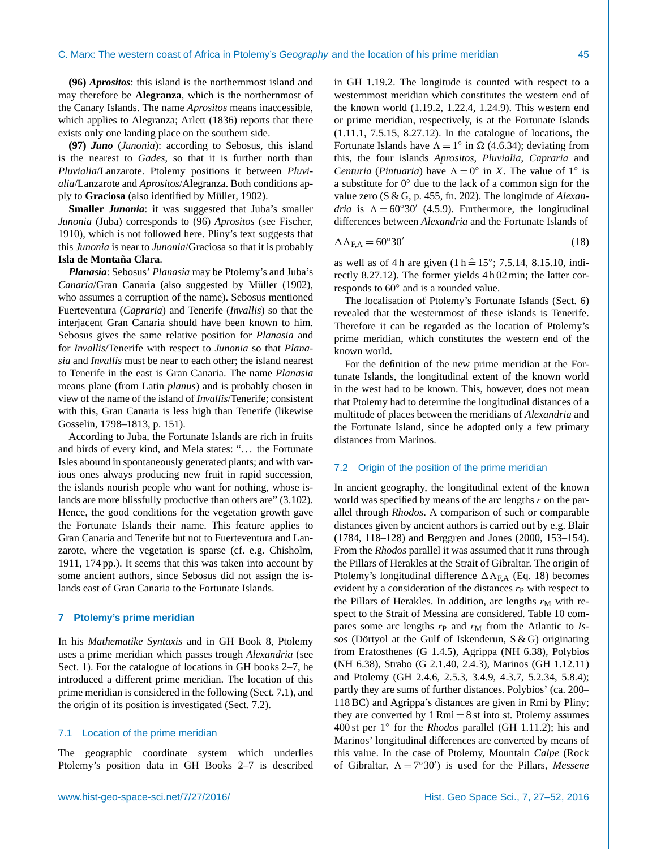**(96)** *Aprositos*: this island is the northernmost island and may therefore be **Alegranza**, which is the northernmost of the Canary Islands. The name *Aprositos* means inaccessible, which applies to Alegranza; [Arlett](#page-24-24) [\(1836\)](#page-24-24) reports that there exists only one landing place on the southern side.

**(97)** *Juno* (*Junonia*): according to Sebosus, this island is the nearest to *Gades*, so that it is further north than *Pluvialia*/Lanzarote. Ptolemy positions it between *Pluvialia*/Lanzarote and *Aprositos*/Alegranza. Both conditions apply to **Graciosa** (also identified by [Müller,](#page-25-13) [1902\)](#page-25-13).

**Smaller** *Junonia*: it was suggested that Juba's smaller *Junonia* (Juba) corresponds to (96) *Aprositos* (see [Fischer,](#page-24-32) [1910\)](#page-24-32), which is not followed here. Pliny's text suggests that this *Junonia* is near to *Junonia*/Graciosa so that it is probably **Isla de Montaña Clara**.

*Planasia*: Sebosus' *Planasia* may be Ptolemy's and Juba's *Canaria*/Gran Canaria (also suggested by [Müller](#page-25-13) [\(1902\)](#page-25-13), who assumes a corruption of the name). Sebosus mentioned Fuerteventura (*Capraria*) and Tenerife (*Invallis*) so that the interjacent Gran Canaria should have been known to him. Sebosus gives the same relative position for *Planasia* and for *Invallis*/Tenerife with respect to *Junonia* so that *Planasia* and *Invallis* must be near to each other; the island nearest to Tenerife in the east is Gran Canaria. The name *Planasia* means plane (from Latin *planus*) and is probably chosen in view of the name of the island of *Invallis*/Tenerife; consistent with this, Gran Canaria is less high than Tenerife (likewise [Gosselin,](#page-24-7) [1798–1813,](#page-24-7) p. 151).

According to Juba, the Fortunate Islands are rich in fruits and birds of every kind, and Mela states: ". . . the Fortunate Isles abound in spontaneously generated plants; and with various ones always producing new fruit in rapid succession, the islands nourish people who want for nothing, whose islands are more blissfully productive than others are" (3.102). Hence, the good conditions for the vegetation growth gave the Fortunate Islands their name. This feature applies to Gran Canaria and Tenerife but not to Fuerteventura and Lanzarote, where the vegetation is sparse (cf. e.g. [Chisholm,](#page-24-35) [1911,](#page-24-35) 174 pp.). It seems that this was taken into account by some ancient authors, since Sebosus did not assign the islands east of Gran Canaria to the Fortunate Islands.

## <span id="page-18-0"></span>**7 Ptolemy's prime meridian**

In his *Mathematike Syntaxis* and in GH Book 8, Ptolemy uses a prime meridian which passes trough *Alexandria* (see Sect. [1\)](#page-0-1). For the catalogue of locations in GH books 2–7, he introduced a different prime meridian. The location of this prime meridian is considered in the following (Sect. [7.1\)](#page-18-1), and the origin of its position is investigated (Sect. [7.2\)](#page-18-2).

## <span id="page-18-1"></span>7.1 Location of the prime meridian

The geographic coordinate system which underlies Ptolemy's position data in GH Books 2–7 is described in GH 1.19.2. The longitude is counted with respect to a westernmost meridian which constitutes the western end of the known world (1.19.2, 1.22.4, 1.24.9). This western end or prime meridian, respectively, is at the Fortunate Islands (1.11.1, 7.5.15, 8.27.12). In the catalogue of locations, the Fortunate Islands have  $\Lambda = 1^{\circ}$  in  $\Omega$  (4.6.34); deviating from this, the four islands *Aprositos*, *Pluvialia*, *Capraria* and *Centuria* (*Pintuaria*) have  $\Lambda = 0^{\circ}$  in X. The value of 1<sup>°</sup> is a substitute for 0◦ due to the lack of a common sign for the value zero (S & G, p. 455, fn. 202). The longitude of *Alexandria* is  $\Lambda = 60°30'$  (4.5.9). Furthermore, the longitudinal differences between *Alexandria* and the Fortunate Islands of

<span id="page-18-3"></span>
$$
\Delta \Lambda_{\rm F,A} = 60^{\circ}30' \tag{18}
$$

as well as of 4 h are given  $(1 h \hat{=} 15\degree; 7.5.14, 8.15.10, \text{indi-}$ rectly 8.27.12). The former yields 4 h 02 min; the latter corresponds to 60◦ and is a rounded value.

The localisation of Ptolemy's Fortunate Islands (Sect. [6\)](#page-16-0) revealed that the westernmost of these islands is Tenerife. Therefore it can be regarded as the location of Ptolemy's prime meridian, which constitutes the western end of the known world.

For the definition of the new prime meridian at the Fortunate Islands, the longitudinal extent of the known world in the west had to be known. This, however, does not mean that Ptolemy had to determine the longitudinal distances of a multitude of places between the meridians of *Alexandria* and the Fortunate Island, since he adopted only a few primary distances from Marinos.

#### <span id="page-18-2"></span>7.2 Origin of the position of the prime meridian

In ancient geography, the longitudinal extent of the known world was specified by means of the arc lengths  $r$  on the parallel through *Rhodos*. A comparison of such or comparable distances given by ancient authors is carried out by e.g. [Blair](#page-24-36) [\(1784,](#page-24-36) 118–128) and [Berggren and Jones](#page-24-3) [\(2000,](#page-24-3) 153–154). From the *Rhodos* parallel it was assumed that it runs through the Pillars of Herakles at the Strait of Gibraltar. The origin of Ptolemy's longitudinal difference  $\Delta\Lambda_{\rm EA}$  (Eq. [18\)](#page-18-3) becomes evident by a consideration of the distances  $r<sub>P</sub>$  with respect to the Pillars of Herakles. In addition, arc lengths  $r_M$  with respect to the Strait of Messina are considered. Table [10](#page-19-0) compares some arc lengths  $r<sub>P</sub>$  and  $r<sub>M</sub>$  from the Atlantic to *Issos* (Dörtyol at the Gulf of Iskenderun, S & G) originating from Eratosthenes (G 1.4.5), Agrippa (NH 6.38), Polybios (NH 6.38), Strabo (G 2.1.40, 2.4.3), Marinos (GH 1.12.11) and Ptolemy (GH 2.4.6, 2.5.3, 3.4.9, 4.3.7, 5.2.34, 5.8.4); partly they are sums of further distances. Polybios' (ca. 200– 118 BC) and Agrippa's distances are given in Rmi by Pliny; they are converted by  $1$  Rmi  $= 8$  st into st. Ptolemy assumes 400 st per 1◦ for the *Rhodos* parallel (GH 1.11.2); his and Marinos' longitudinal differences are converted by means of this value. In the case of Ptolemy, Mountain *Calpe* (Rock of Gibraltar,  $\Lambda = 7^{\circ}30'$  is used for the Pillars, *Messene*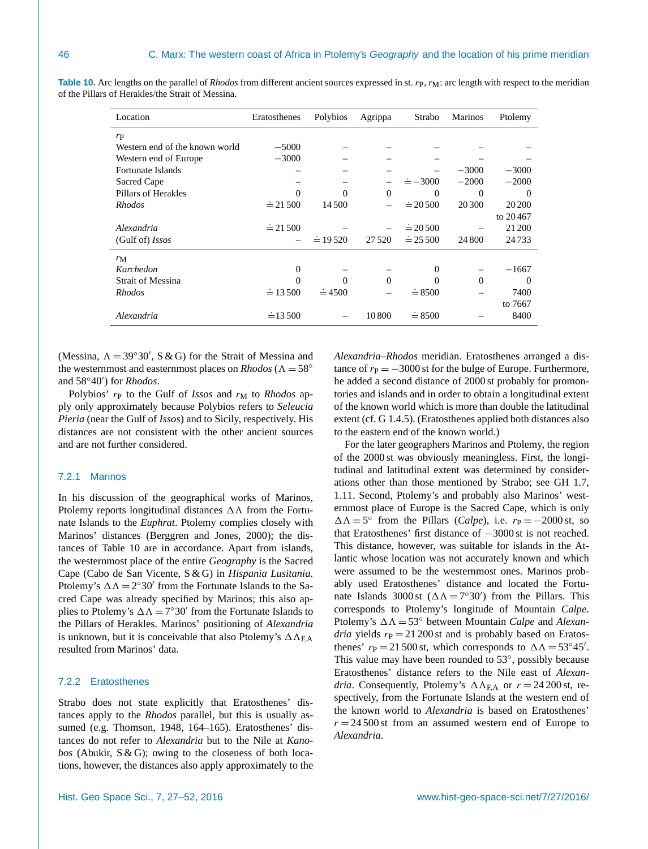| Location                       | Eratosthenes     | Polybios        | Agrippa  | Strabo          | <b>Marinos</b> | Ptolemy  |
|--------------------------------|------------------|-----------------|----------|-----------------|----------------|----------|
| $r_{\rm P}$                    |                  |                 |          |                 |                |          |
| Western end of the known world | $-5000$          |                 |          |                 |                |          |
| Western end of Europe          | $-3000$          |                 |          |                 |                |          |
| Fortunate Islands              |                  |                 |          |                 | $-3000$        | $-3000$  |
| Sacred Cape                    |                  |                 |          | $\dot{=} -3000$ | $-2000$        | $-2000$  |
| Pillars of Herakles            | $\Omega$         | $\Omega$        | $\Omega$ | $_{0}$          | 0              | $\Omega$ |
| <i>Rhodos</i>                  | $\dot{=}$ 21 500 | 14 500          |          | $\dot{=} 20500$ | 20 300         | 20 20 0  |
|                                |                  |                 |          |                 |                | to 20467 |
| Alexandria                     | $\dot{=}$ 21 500 |                 |          | $\dot{=} 20500$ |                | 21 200   |
| (Gulf of) $Isos$               |                  | $\dot{=}$ 19520 | 27520    | $\dot{=} 25500$ | 24 800         | 24733    |
| $r_{\rm M}$                    |                  |                 |          |                 |                |          |
| Karchedon                      | $\theta$         |                 |          | $\mathbf{0}$    |                | $-1667$  |
| <b>Strait of Messina</b>       | $\Omega$         | $\theta$        | $\Omega$ | 0               | $\Omega$       | 0        |
| <i>Rhodos</i>                  | $\dot{=} 13500$  | $\dot{=}$ 4500  |          | $\dot{=} 8500$  |                | 7400     |
|                                |                  |                 |          |                 |                | to 7667  |
| Alexandria                     | $\dot{=}$ 13.500 |                 | 10800    | $\dot{=} 8500$  |                | 8400     |

<span id="page-19-0"></span>**Table 10.** Arc lengths on the parallel of *Rhodos* from different ancient sources expressed in st. rp, r<sub>M</sub>: arc length with respect to the meridian of the Pillars of Herakles/the Strait of Messina.

(Messina,  $\Lambda = 39°30'$ , S & G) for the Strait of Messina and the westernmost and easternmost places on *Rhodos* ( $\Lambda = 58^\circ$ and 58°40') for *Rhodos*.

Polybios'  $r_P$  to the Gulf of *Issos* and  $r_M$  to *Rhodos* apply only approximately because Polybios refers to *Seleucia Pieria* (near the Gulf of *Issos*) and to Sicily, respectively. His distances are not consistent with the other ancient sources and are not further considered.

# 7.2.1 Marinos

In his discussion of the geographical works of Marinos, Ptolemy reports longitudinal distances  $\Delta\Lambda$  from the Fortunate Islands to the *Euphrat*. Ptolemy complies closely with Marinos' distances [\(Berggren and Jones,](#page-24-3) [2000\)](#page-24-3); the distances of Table [10](#page-19-0) are in accordance. Apart from islands, the westernmost place of the entire *Geography* is the Sacred Cape (Cabo de San Vicente, S & G) in *Hispania Lusitania*. Ptolemy's  $\Delta \Lambda = 2^{\circ}30'$  from the Fortunate Islands to the Sacred Cape was already specified by Marinos; this also applies to Ptolemy's  $\Delta \Lambda = 7^{\circ}30'$  from the Fortunate Islands to the Pillars of Herakles. Marinos' positioning of *Alexandria* is unknown, but it is conceivable that also Ptolemy's  $\Delta \Lambda_{\text{EA}}$ resulted from Marinos' data.

## 7.2.2 Eratosthenes

Strabo does not state explicitly that Eratosthenes' distances apply to the *Rhodos* parallel, but this is usually assumed (e.g. [Thomson,](#page-25-16) [1948,](#page-25-16) 164–165). Eratosthenes' distances do not refer to *Alexandria* but to the Nile at *Kanobos* (Abukir, S & G); owing to the closeness of both locations, however, the distances also apply approximately to the *Alexandria*–*Rhodos* meridian. Eratosthenes arranged a distance of  $r_{\rm P} = -3000$  st for the bulge of Europe. Furthermore, he added a second distance of 2000 st probably for promontories and islands and in order to obtain a longitudinal extent of the known world which is more than double the latitudinal extent (cf. G 1.4.5). (Eratosthenes applied both distances also to the eastern end of the known world.)

For the later geographers Marinos and Ptolemy, the region of the 2000 st was obviously meaningless. First, the longitudinal and latitudinal extent was determined by considerations other than those mentioned by Strabo; see GH 1.7, 1.11. Second, Ptolemy's and probably also Marinos' westernmost place of Europe is the Sacred Cape, which is only  $\Delta \Lambda = 5^{\circ}$  from the Pillars (*Calpe*), i.e.  $r_{\rm P} = -2000$  st, so that Eratosthenes' first distance of −3000 st is not reached. This distance, however, was suitable for islands in the Atlantic whose location was not accurately known and which were assumed to be the westernmost ones. Marinos probably used Eratosthenes' distance and located the Fortunate Islands 3000 st  $(\Delta \Lambda = 7^{\circ}30')$  from the Pillars. This corresponds to Ptolemy's longitude of Mountain *Calpe*. Ptolemy's  $\Delta \Lambda = 53^\circ$  between Mountain *Calpe* and *Alexandria* yields  $r_P = 21 200$  st and is probably based on Eratosthenes'  $r_{\rm P} = 21\,500$  st, which corresponds to  $\Delta\Lambda = 53^{\circ}45'$ . This value may have been rounded to 53°, possibly because Eratosthenes' distance refers to the Nile east of *Alexandria*. Consequently, Ptolemy's  $\Delta \Lambda_{\text{FA}}$  or  $r = 24\,200$  st, respectively, from the Fortunate Islands at the western end of the known world to *Alexandria* is based on Eratosthenes'  $r = 24500$  st from an assumed western end of Europe to *Alexandria*.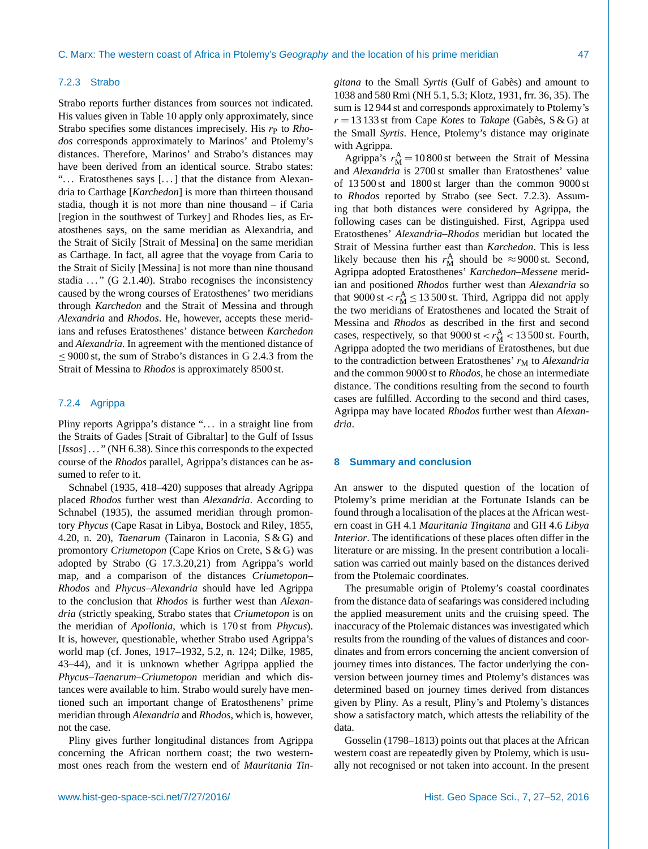## <span id="page-20-0"></span>7.2.3 Strabo

Strabo reports further distances from sources not indicated. His values given in Table [10](#page-19-0) apply only approximately, since Strabo specifies some distances imprecisely. His  $r<sub>P</sub>$  to *Rhodos* corresponds approximately to Marinos' and Ptolemy's distances. Therefore, Marinos' and Strabo's distances may have been derived from an identical source. Strabo states: "... Eratosthenes says [...] that the distance from Alexandria to Carthage [*Karchedon*] is more than thirteen thousand stadia, though it is not more than nine thousand – if Caria [region in the southwest of Turkey] and Rhodes lies, as Eratosthenes says, on the same meridian as Alexandria, and the Strait of Sicily [Strait of Messina] on the same meridian as Carthage. In fact, all agree that the voyage from Caria to the Strait of Sicily [Messina] is not more than nine thousand stadia  $\ldots$  " (G 2.1.40). Strabo recognises the inconsistency caused by the wrong courses of Eratosthenes' two meridians through *Karchedon* and the Strait of Messina and through *Alexandria* and *Rhodos*. He, however, accepts these meridians and refuses Eratosthenes' distance between *Karchedon* and *Alexandria*. In agreement with the mentioned distance of  $\leq$  9000 st, the sum of Strabo's distances in G 2.4.3 from the Strait of Messina to *Rhodos* is approximately 8500 st.

# 7.2.4 Agrippa

Pliny reports Agrippa's distance "... in a straight line from the Straits of Gades [Strait of Gibraltar] to the Gulf of Issus [*Issos*] . . . " (NH 6.38). Since this corresponds to the expected course of the *Rhodos* parallel, Agrippa's distances can be assumed to refer to it.

[Schnabel](#page-25-17) [\(1935,](#page-25-17) 418–420) supposes that already Agrippa placed *Rhodos* further west than *Alexandria*. According to [Schnabel](#page-25-17) [\(1935\)](#page-25-17), the assumed meridian through promontory *Phycus* (Cape Rasat in Libya, [Bostock and Riley,](#page-24-10) [1855,](#page-24-10) 4.20, n. 20), *Taenarum* (Tainaron in Laconia, S & G) and promontory *Criumetopon* (Cape Krios on Crete, S & G) was adopted by Strabo (G 17.3.20,21) from Agrippa's world map, and a comparison of the distances *Criumetopon*– *Rhodos* and *Phycus*–*Alexandria* should have led Agrippa to the conclusion that *Rhodos* is further west than *Alexandria* (strictly speaking, Strabo states that *Criumetopon* is on the meridian of *Apollonia*, which is 170 st from *Phycus*). It is, however, questionable, whether Strabo used Agrippa's world map (cf. [Jones,](#page-24-0) [1917–1932,](#page-24-0) 5.2, n. 124; [Dilke,](#page-24-37) [1985,](#page-24-37) 43–44), and it is unknown whether Agrippa applied the *Phycus*–*Taenarum*–*Criumetopon* meridian and which distances were available to him. Strabo would surely have mentioned such an important change of Eratosthenens' prime meridian through *Alexandria* and *Rhodos*, which is, however, not the case.

Pliny gives further longitudinal distances from Agrippa concerning the African northern coast; the two westernmost ones reach from the western end of *Mauritania Tin-* *gitana* to the Small *Syrtis* (Gulf of Gabès) and amount to 1038 and 580 Rmi (NH 5.1, 5.3; [Klotz,](#page-24-19) [1931,](#page-24-19) frr. 36, 35). The sum is 12 944 st and corresponds approximately to Ptolemy's r = 13 133 st from Cape *Kotes* to *Takape* (Gabès, S & G) at the Small *Syrtis*. Hence, Ptolemy's distance may originate with Agrippa.

Agrippa's  $r_{\rm M}^{\rm A} = 10\,800$  st between the Strait of Messina and *Alexandria* is 2700 st smaller than Eratosthenes' value of 13 500 st and 1800 st larger than the common 9000 st to *Rhodos* reported by Strabo (see Sect. [7.2.3\)](#page-20-0). Assuming that both distances were considered by Agrippa, the following cases can be distinguished. First, Agrippa used Eratosthenes' *Alexandria*–*Rhodos* meridian but located the Strait of Messina further east than *Karchedon*. This is less likely because then his  $r_{\rm M}^{\rm A}$  should be  $\approx$  9000 st. Second, Agrippa adopted Eratosthenes' *Karchedon*–*Messene* meridian and positioned *Rhodos* further west than *Alexandria* so that  $9000 \text{ st} < r_M^A \le 13500 \text{ st}$ . Third, Agrippa did not apply the two meridians of Eratosthenes and located the Strait of Messina and *Rhodos* as described in the first and second cases, respectively, so that  $9000 \text{ st} < r_M^A < 13500 \text{ st}$ . Fourth, Agrippa adopted the two meridians of Eratosthenes, but due to the contradiction between Eratosthenes'  $r<sub>M</sub>$  to *Alexandria* and the common 9000 st to *Rhodos*, he chose an intermediate distance. The conditions resulting from the second to fourth cases are fulfilled. According to the second and third cases, Agrippa may have located *Rhodos* further west than *Alexandria*.

# **8 Summary and conclusion**

An answer to the disputed question of the location of Ptolemy's prime meridian at the Fortunate Islands can be found through a localisation of the places at the African western coast in GH 4.1 *Mauritania Tingitana* and GH 4.6 *Libya Interior*. The identifications of these places often differ in the literature or are missing. In the present contribution a localisation was carried out mainly based on the distances derived from the Ptolemaic coordinates.

The presumable origin of Ptolemy's coastal coordinates from the distance data of seafarings was considered including the applied measurement units and the cruising speed. The inaccuracy of the Ptolemaic distances was investigated which results from the rounding of the values of distances and coordinates and from errors concerning the ancient conversion of journey times into distances. The factor underlying the conversion between journey times and Ptolemy's distances was determined based on journey times derived from distances given by Pliny. As a result, Pliny's and Ptolemy's distances show a satisfactory match, which attests the reliability of the data.

[Gosselin](#page-24-7) [\(1798–1813\)](#page-24-7) points out that places at the African western coast are repeatedly given by Ptolemy, which is usually not recognised or not taken into account. In the present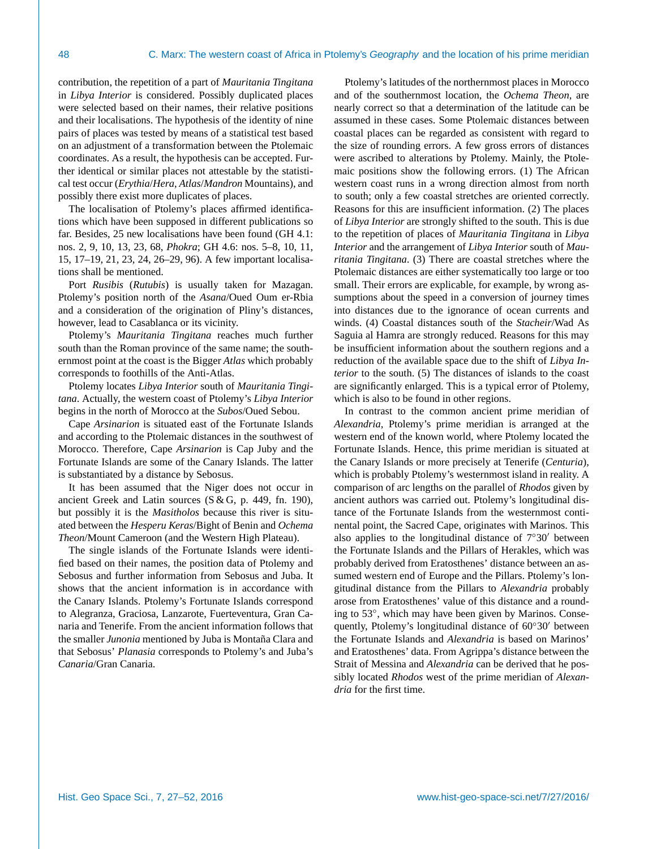contribution, the repetition of a part of *Mauritania Tingitana* in *Libya Interior* is considered. Possibly duplicated places were selected based on their names, their relative positions and their localisations. The hypothesis of the identity of nine pairs of places was tested by means of a statistical test based on an adjustment of a transformation between the Ptolemaic coordinates. As a result, the hypothesis can be accepted. Further identical or similar places not attestable by the statistical test occur (*Erythia*/*Hera*, *Atlas*/*Mandron* Mountains), and possibly there exist more duplicates of places.

The localisation of Ptolemy's places affirmed identifications which have been supposed in different publications so far. Besides, 25 new localisations have been found (GH 4.1: nos. 2, 9, 10, 13, 23, 68, *Phokra*; GH 4.6: nos. 5–8, 10, 11, 15, 17–19, 21, 23, 24, 26–29, 96). A few important localisations shall be mentioned.

Port *Rusibis* (*Rutubis*) is usually taken for Mazagan. Ptolemy's position north of the *Asana*/Oued Oum er-Rbia and a consideration of the origination of Pliny's distances, however, lead to Casablanca or its vicinity.

Ptolemy's *Mauritania Tingitana* reaches much further south than the Roman province of the same name; the southernmost point at the coast is the Bigger *Atlas* which probably corresponds to foothills of the Anti-Atlas.

Ptolemy locates *Libya Interior* south of *Mauritania Tingitana*. Actually, the western coast of Ptolemy's *Libya Interior* begins in the north of Morocco at the *Subos*/Oued Sebou.

Cape *Arsinarion* is situated east of the Fortunate Islands and according to the Ptolemaic distances in the southwest of Morocco. Therefore, Cape *Arsinarion* is Cap Juby and the Fortunate Islands are some of the Canary Islands. The latter is substantiated by a distance by Sebosus.

It has been assumed that the Niger does not occur in ancient Greek and Latin sources (S & G, p. 449, fn. 190), but possibly it is the *Masitholos* because this river is situated between the *Hesperu Keras*/Bight of Benin and *Ochema Theon*/Mount Cameroon (and the Western High Plateau).

The single islands of the Fortunate Islands were identified based on their names, the position data of Ptolemy and Sebosus and further information from Sebosus and Juba. It shows that the ancient information is in accordance with the Canary Islands. Ptolemy's Fortunate Islands correspond to Alegranza, Graciosa, Lanzarote, Fuerteventura, Gran Canaria and Tenerife. From the ancient information follows that the smaller *Junonia* mentioned by Juba is Montaña Clara and that Sebosus' *Planasia* corresponds to Ptolemy's and Juba's *Canaria*/Gran Canaria.

Ptolemy's latitudes of the northernmost places in Morocco and of the southernmost location, the *Ochema Theon*, are nearly correct so that a determination of the latitude can be assumed in these cases. Some Ptolemaic distances between coastal places can be regarded as consistent with regard to the size of rounding errors. A few gross errors of distances were ascribed to alterations by Ptolemy. Mainly, the Ptolemaic positions show the following errors. (1) The African western coast runs in a wrong direction almost from north to south; only a few coastal stretches are oriented correctly. Reasons for this are insufficient information. (2) The places of *Libya Interior* are strongly shifted to the south. This is due to the repetition of places of *Mauritania Tingitana* in *Libya Interior* and the arrangement of *Libya Interior* south of *Mauritania Tingitana*. (3) There are coastal stretches where the Ptolemaic distances are either systematically too large or too small. Their errors are explicable, for example, by wrong assumptions about the speed in a conversion of journey times into distances due to the ignorance of ocean currents and winds. (4) Coastal distances south of the *Stacheir*/Wad As Saguia al Hamra are strongly reduced. Reasons for this may be insufficient information about the southern regions and a reduction of the available space due to the shift of *Libya Interior* to the south. (5) The distances of islands to the coast are significantly enlarged. This is a typical error of Ptolemy, which is also to be found in other regions.

In contrast to the common ancient prime meridian of *Alexandria*, Ptolemy's prime meridian is arranged at the western end of the known world, where Ptolemy located the Fortunate Islands. Hence, this prime meridian is situated at the Canary Islands or more precisely at Tenerife (*Centuria*), which is probably Ptolemy's westernmost island in reality. A comparison of arc lengths on the parallel of *Rhodos* given by ancient authors was carried out. Ptolemy's longitudinal distance of the Fortunate Islands from the westernmost continental point, the Sacred Cape, originates with Marinos. This also applies to the longitudinal distance of  $7°30'$  between the Fortunate Islands and the Pillars of Herakles, which was probably derived from Eratosthenes' distance between an assumed western end of Europe and the Pillars. Ptolemy's longitudinal distance from the Pillars to *Alexandria* probably arose from Eratosthenes' value of this distance and a rounding to 53◦ , which may have been given by Marinos. Consequently, Ptolemy's longitudinal distance of  $60°30'$  between the Fortunate Islands and *Alexandria* is based on Marinos' and Eratosthenes' data. From Agrippa's distance between the Strait of Messina and *Alexandria* can be derived that he possibly located *Rhodos* west of the prime meridian of *Alexandria* for the first time.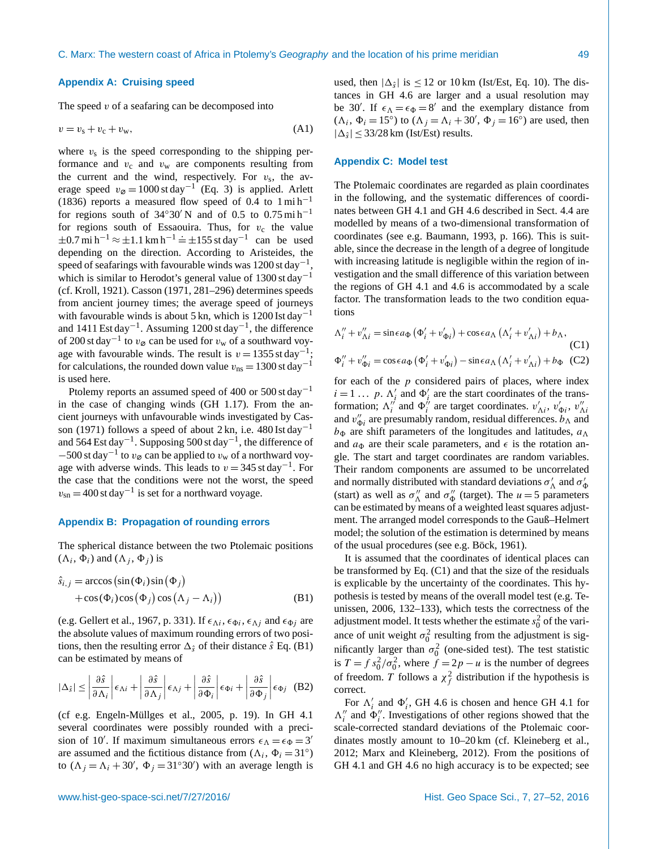#### <span id="page-22-0"></span>**Appendix A: Cruising speed**

The speed  $v$  of a seafaring can be decomposed into

$$
v = vs + vc + vw, \t(A1)
$$

where  $v_s$  is the speed corresponding to the shipping performance and  $v_c$  and  $v_w$  are components resulting from the current and the wind, respectively. For  $v_s$ , the average speed  $v_{\varnothing} = 1000 \text{ st day}^{-1}$  (Eq. [3\)](#page-2-5) is applied. [Arlett](#page-24-24) [\(1836\)](#page-24-24) reports a measured flow speed of 0.4 to  $1 \text{ mi} \text{ h}^{-1}$ for regions south of  $34°30'$  N and of 0.5 to 0.75 mi h<sup>-1</sup> for regions south of Essaouira. Thus, for  $v_c$  the value  $\pm 0.7 \text{ mi h}^{-1} \approx \pm 1.1 \text{ km h}^{-1} = \pm 155 \text{ st day}^{-1}$  can be used depending on the direction. According to Aristeides, the speed of seafarings with favourable winds was 1200 st day<sup>-1</sup> , which is similar to Herodot's general value of 1300 st day−<sup>1</sup> (cf. [Kroll,](#page-24-14) [1921\)](#page-24-14). [Casson](#page-24-17) [\(1971,](#page-24-17) 281–296) determines speeds from ancient journey times; the average speed of journeys with favourable winds is about 5 kn, which is 1200 Ist day<sup>-1</sup> and 1411 Est day<sup>-1</sup>. Assuming 1200 st day<sup>-1</sup>, the difference of 200 st day<sup>-1</sup> to  $v_{\varnothing}$  can be used for  $v_{\rm w}$  of a southward voyage with favourable winds. The result is  $v = 1355$  st day<sup>-1</sup>; for calculations, the rounded down value  $v_{\text{ns}} = 1300 \text{ st day}^{-1}$ is used here.

Ptolemy reports an assumed speed of 400 or 500 st day−<sup>1</sup> in the case of changing winds (GH 1.17). From the ancient journeys with unfavourable winds investigated by [Cas](#page-24-17)[son](#page-24-17) [\(1971\)](#page-24-17) follows a speed of about 2 kn, i.e.  $480$  Ist day<sup>-1</sup> and 564 Est day−<sup>1</sup> . Supposing 500 st day−<sup>1</sup> , the difference of  $-500$  st day<sup>-1</sup> to  $v_{\varnothing}$  can be applied to  $v_w$  of a northward voyage with adverse winds. This leads to  $v = 345$  st day<sup>-1</sup>. For the case that the conditions were not the worst, the speed  $v_{\rm sn} = 400$  st day<sup>-1</sup> is set for a northward voyage.

## <span id="page-22-2"></span>**Appendix B: Propagation of rounding errors**

The spherical distance between the two Ptolemaic positions  $(\Lambda_i, \Phi_i)$  and  $(\Lambda_j, \Phi_j)$  is

$$
\hat{s}_{i,j} = \arccos\left(\sin(\Phi_i)\sin\left(\Phi_j\right) + \cos(\Phi_i)\cos\left(\Phi_j\right)\cos\left(\Lambda_j - \Lambda_i\right)\right)
$$
\n(B1)

(e.g. [Gellert et al.,](#page-24-38) [1967,](#page-24-38) p. 331). If  $\epsilon_{\Lambda i}$ ,  $\epsilon_{\Phi i}$ ,  $\epsilon_{\Lambda j}$  and  $\epsilon_{\Phi j}$  are the absolute values of maximum rounding errors of two positions, then the resulting error  $\Delta_{\hat{s}}$  of their distance  $\hat{s}$  Eq. [\(B1\)](#page-22-1) can be estimated by means of

$$
|\Delta_{\hat{s}}| \le \left| \frac{\partial \hat{s}}{\partial \Lambda_i} \right| \epsilon_{\Lambda i} + \left| \frac{\partial \hat{s}}{\partial \Lambda_j} \right| \epsilon_{\Lambda j} + \left| \frac{\partial \hat{s}}{\partial \Phi_i} \right| \epsilon_{\Phi i} + \left| \frac{\partial \hat{s}}{\partial \Phi_j} \right| \epsilon_{\Phi j} \quad (B2)
$$

(cf e.g. [Engeln-Müllges et al.,](#page-24-39) [2005,](#page-24-39) p. 19). In GH 4.1 several coordinates were possibly rounded with a precision of 10'. If maximum simultaneous errors  $\epsilon_{\Lambda} = \epsilon_{\Phi} = 3'$ are assumed and the fictitious distance from  $(\Lambda_i, \Phi_i = 31^\circ)$ to  $(\Lambda_j = \Lambda_i + 30', \Phi_j = 31°30')$  with an average length is

used, then  $|\Delta_{\hat{s}}|$  is  $\leq 12$  or 10 km (Ist/Est, Eq. [10\)](#page-5-2). The distances in GH 4.6 are larger and a usual resolution may be 30'. If  $\epsilon_{\Lambda} = \epsilon_{\Phi} = 8'$  and the exemplary distance from  $(\Lambda_i, \Phi_i = 15^\circ)$  to  $(\Lambda_j = \Lambda_i + 30^\circ, \Phi_j = 16^\circ)$  are used, then  $|\Delta_{\hat{s}}| \leq 33/28$  km (Ist/Est) results.

## <span id="page-22-3"></span>**Appendix C: Model test**

The Ptolemaic coordinates are regarded as plain coordinates in the following, and the systematic differences of coordinates between GH 4.1 and GH 4.6 described in Sect. [4.4](#page-11-0) are modelled by means of a two-dimensional transformation of coordinates (see e.g. [Baumann,](#page-24-21) [1993,](#page-24-21) p. 166). This is suitable, since the decrease in the length of a degree of longitude with increasing latitude is negligible within the region of investigation and the small difference of this variation between the regions of GH 4.1 and 4.6 is accommodated by a scale factor. The transformation leads to the two condition equations

<span id="page-22-4"></span>
$$
\Delta_{i}'' + v_{\Delta i}'' = \sin\epsilon a_{\Phi} \left( \Phi_{i}' + v_{\Phi i}' \right) + \cos\epsilon a_{\Lambda} \left( \Delta_{i}' + v_{\Delta i}' \right) + b_{\Lambda},
$$
\n(C1)  
\n
$$
\Phi_{i}'' + v_{\Phi i}'' = \cos\epsilon a_{\Phi} \left( \Phi_{i}' + v_{\Phi i}' \right) - \sin\epsilon a_{\Lambda} \left( \Delta_{i}' + v_{\Lambda i}' \right) + b_{\Phi} \quad \text{(C2)}
$$

for each of the  $p$  considered pairs of places, where index  $i = 1 \dots p$ .  $\Lambda'_i$  and  $\Phi'_i$  are the start coordinates of the transformation;  $\Lambda_i^{i'}$  and  $\Phi_i^{j'}$  are target coordinates.  $v'_{\Lambda i}$ ,  $v'_{\Phi i}$ ,  $v''_{\Lambda i}$ and  $v''_{\Phi i}$  are presumably random, residual differences.  $b_{\Lambda}$  and  $b_{\Phi}$  are shift parameters of the longitudes and latitudes,  $a_{\Lambda}$ and  $a_{\Phi}$  are their scale parameters, and  $\epsilon$  is the rotation angle. The start and target coordinates are random variables. Their random components are assumed to be uncorrelated and normally distributed with standard deviations  $\sigma'_{\Lambda}$  and  $\sigma'_{\Phi}$ (start) as well as  $\sigma''$  and  $\sigma''_{\Phi}$  (target). The  $u = 5$  parameters can be estimated by means of a weighted least squares adjustment. The arranged model corresponds to the Gauß–Helmert model; the solution of the estimation is determined by means of the usual procedures (see e.g. [Böck,](#page-24-20) [1961\)](#page-24-20).

<span id="page-22-1"></span>It is assumed that the coordinates of identical places can be transformed by Eq. [\(C1\)](#page-22-4) and that the size of the residuals is explicable by the uncertainty of the coordinates. This hypothesis is tested by means of the overall model test (e.g. [Te](#page-25-18)[unissen,](#page-25-18) [2006,](#page-25-18) 132–133), which tests the correctness of the adjustment model. It tests whether the estimate  $s_0^2$  of the variance of unit weight  $\sigma_0^2$  resulting from the adjustment is significantly larger than  $\sigma_0^2$  (one-sided test). The test statistic is  $T = f s_0^2 / \sigma_0^2$ , where  $f = 2p - u$  is the number of degrees of freedom. T follows a  $\chi_f^2$  distribution if the hypothesis is correct.

For  $\Lambda_i'$  and  $\Phi_i'$ , GH 4.6 is chosen and hence GH 4.1 for  $\Lambda''_i$  and  $\Phi''_i$ . Investigations of other regions showed that the scale-corrected standard deviations of the Ptolemaic coordinates mostly amount to 10–20 km (cf. [Kleineberg et al.,](#page-24-23) [2012;](#page-24-23) [Marx and Kleineberg,](#page-25-8) [2012\)](#page-25-8). From the positions of GH 4.1 and GH 4.6 no high accuracy is to be expected; see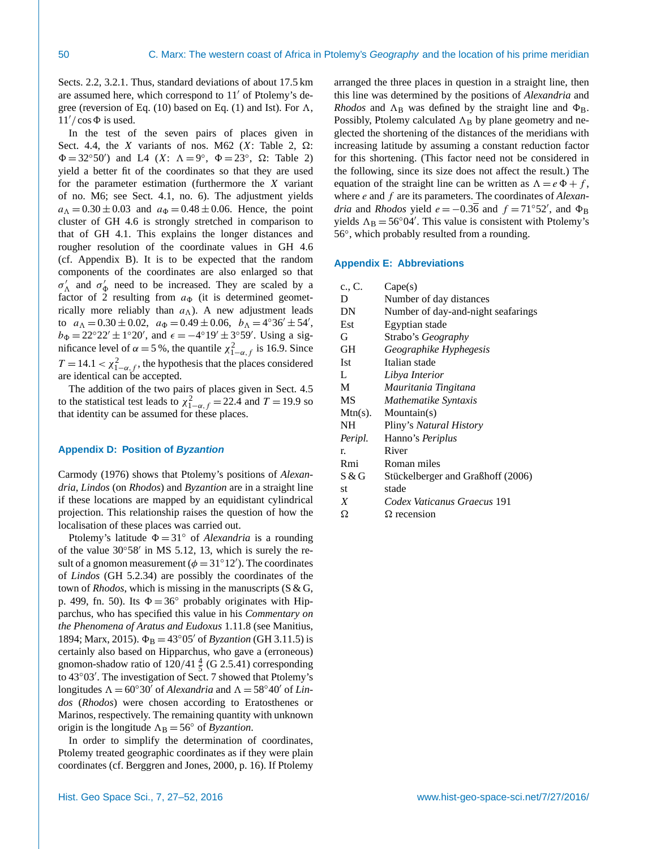Sects. [2.2,](#page-2-0) [3.2.1.](#page-5-3) Thus, standard deviations of about 17.5 km are assumed here, which correspond to  $11'$  of Ptolemy's de-gree (reversion of Eq. [\(10\)](#page-5-2) based on Eq. [\(1\)](#page-2-4) and Ist). For  $\Lambda$ ,  $11'/\cos\Phi$  is used.

In the test of the seven pairs of places given in Sect. [4.4,](#page-11-0) the X variants of nos. M62 (X: Table [2,](#page-4-3)  $\Omega$ :  $\Phi = 32^{\circ}50'$  and L4  $(X: \Lambda = 9^{\circ}, \Phi = 23^{\circ}, \Omega:$  Table [2\)](#page-4-3) yield a better fit of the coordinates so that they are used for the parameter estimation (furthermore the X variant of no. M6; see Sect. [4.1,](#page-7-1) no. 6). The adjustment yields  $a_{\Lambda} = 0.30 \pm 0.03$  and  $a_{\Phi} = 0.48 \pm 0.06$ . Hence, the point cluster of GH 4.6 is strongly stretched in comparison to that of GH 4.1. This explains the longer distances and rougher resolution of the coordinate values in GH 4.6 (cf. Appendix [B\)](#page-22-2). It is to be expected that the random components of the coordinates are also enlarged so that  $\sigma'_{\Lambda}$  and  $\sigma'_{\Phi}$  need to be increased. They are scaled by a factor of 2 resulting from  $a_{\Phi}$  (it is determined geometrically more reliably than  $a_{\Lambda}$ ). A new adjustment leads to  $a_{\Lambda} = 0.30 \pm 0.02$ ,  $a_{\Phi} = 0.49 \pm 0.06$ ,  $b_{\Lambda} = 4^{\circ}36' \pm 54'$ ,  $b_{\Phi} = 22^{\circ}22' \pm 1^{\circ}20'$ , and  $\epsilon = -4^{\circ}19' \pm 3^{\circ}59'$ . Using a sigmificance level of  $\alpha = 5$ %, the quantile  $\chi^2_{1-\alpha,f}$  is 16.9. Since  $T = 14.1 < \chi^2_{1-\alpha,f}$ , the hypothesis that the places considered are identical can be accepted.

The addition of the two pairs of places given in Sect. [4.5](#page-12-0) to the statistical test leads to  $\chi^2_{1-\alpha,f} = 22.4$  and  $T = 19.9$  so that identity can be assumed for these places.

## <span id="page-23-0"></span>**Appendix D: Position of** *Byzantion*

[Carmody](#page-24-40) [\(1976\)](#page-24-40) shows that Ptolemy's positions of *Alexandria*, *Lindos* (on *Rhodos*) and *Byzantion* are in a straight line if these locations are mapped by an equidistant cylindrical projection. This relationship raises the question of how the localisation of these places was carried out.

Ptolemy's latitude  $\Phi = 31^\circ$  of *Alexandria* is a rounding of the value  $30°58'$  in MS 5.12, 13, which is surely the result of a gnomon measurement ( $\phi = 31^{\circ}12'$ ). The coordinates of *Lindos* (GH 5.2.34) are possibly the coordinates of the town of *Rhodos*, which is missing in the manuscripts (S & G, p. 499, fn. 50). Its  $\Phi = 36^\circ$  probably originates with Hipparchus, who has specified this value in his *Commentary on the Phenomena of Aratus and Eudoxus* 1.11.8 (see [Manitius,](#page-24-41) [1894;](#page-24-41) [Marx,](#page-25-1) [2015\)](#page-25-1).  $\Phi_B = 43°05'$  of *Byzantion* (GH 3.11.5) is certainly also based on Hipparchus, who gave a (erroneous) gnomon-shadow ratio of  $120/41\frac{4}{5}$  (G 2.5.41) corresponding to 43°03'. The investigation of Sect. [7](#page-18-0) showed that Ptolemy's longitudes  $\Lambda = 60^{\circ}30'$  of *Alexandria* and  $\Lambda = 58^{\circ}40'$  of *Lindos* (*Rhodos*) were chosen according to Eratosthenes or Marinos, respectively. The remaining quantity with unknown origin is the longitude  $\Lambda_B = 56^\circ$  of *Byzantion*.

In order to simplify the determination of coordinates, Ptolemy treated geographic coordinates as if they were plain coordinates (cf. [Berggren and Jones,](#page-24-3) [2000,](#page-24-3) p. 16). If Ptolemy arranged the three places in question in a straight line, then this line was determined by the positions of *Alexandria* and *Rhodos* and  $\Lambda_B$  was defined by the straight line and  $\Phi_B$ . Possibly, Ptolemy calculated  $\Lambda_B$  by plane geometry and neglected the shortening of the distances of the meridians with increasing latitude by assuming a constant reduction factor for this shortening. (This factor need not be considered in the following, since its size does not affect the result.) The equation of the straight line can be written as  $\Lambda = e \Phi + f$ , where e and f are its parameters. The coordinates of *Alexandria* and *Rhodos* yield  $e = -0.3\overline{6}$  and  $f = 71°52'$ , and  $\Phi_B$ yields  $\Lambda_B = 56°04'$ . This value is consistent with Ptolemy's 56◦ , which probably resulted from a rounding.

#### <span id="page-23-1"></span>**Appendix E: Abbreviations**

| c., C.     | Cape(s)                            |
|------------|------------------------------------|
| D          | Number of day distances            |
| DN         | Number of day-and-night seafarings |
| Est        | Egyptian stade                     |
| G          | Strabo's <i>Geography</i>          |
| GH         | Geographike Hyphegesis             |
| <b>Ist</b> | Italian stade                      |
| L          | Libya Interior                     |
| M          | Mauritania Tingitana               |
| MS         | Mathematike Syntaxis               |
| $Mtn(s)$ . | $M$ ountain $(s)$                  |
| <b>NH</b>  | Pliny's Natural History            |
| Peripl.    | Hanno's Periplus                   |
| r.         | River                              |
| Rmi        | Roman miles                        |
| S & G      | Stückelberger and Graßhoff (2006)  |
| st         | stade                              |
| X          | Codex Vaticanus Graecus 191        |
| Ω          | $\Omega$ recension                 |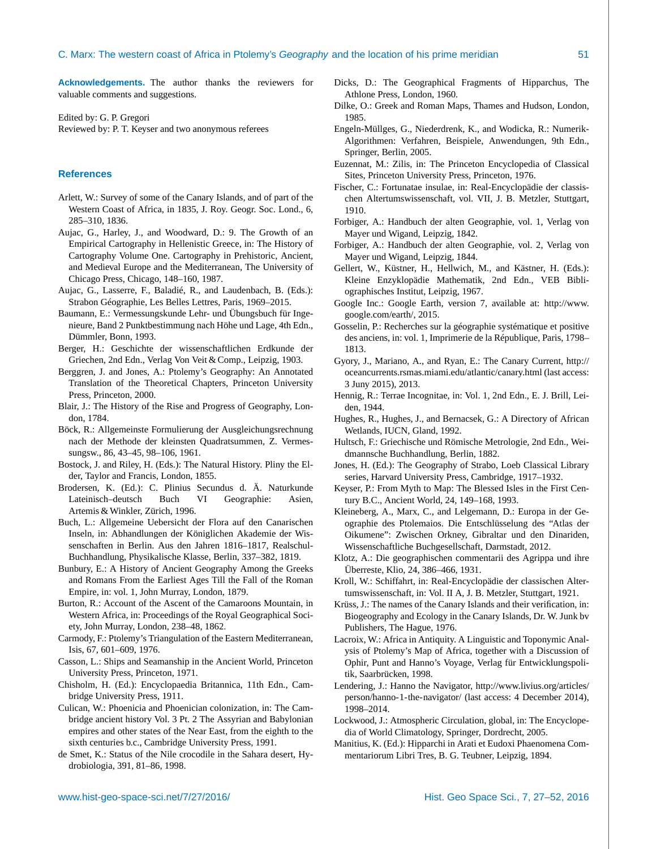**Acknowledgements.** The author thanks the reviewers for valuable comments and suggestions.

Edited by: G. P. Gregori Reviewed by: P. T. Keyser and two anonymous referees

## **References**

- <span id="page-24-24"></span>Arlett, W.: Survey of some of the Canary Islands, and of part of the Western Coast of Africa, in 1835, J. Roy. Geogr. Soc. Lond., 6, 285–310, 1836.
- <span id="page-24-4"></span>Aujac, G., Harley, J., and Woodward, D.: 9. The Growth of an Empirical Cartography in Hellenistic Greece, in: The History of Cartography Volume One. Cartography in Prehistoric, Ancient, and Medieval Europe and the Mediterranean, The University of Chicago Press, Chicago, 148–160, 1987.
- <span id="page-24-1"></span>Aujac, G., Lasserre, F., Baladié, R., and Laudenbach, B. (Eds.): Strabon Géographie, Les Belles Lettres, Paris, 1969–2015.
- <span id="page-24-21"></span>Baumann, E.: Vermessungskunde Lehr- und Übungsbuch für Ingenieure, Band 2 Punktbestimmung nach Höhe und Lage, 4th Edn., Dümmler, Bonn, 1993.
- <span id="page-24-31"></span>Berger, H.: Geschichte der wissenschaftlichen Erdkunde der Griechen, 2nd Edn., Verlag Von Veit & Comp., Leipzig, 1903.
- <span id="page-24-3"></span>Berggren, J. and Jones, A.: Ptolemy's Geography: An Annotated Translation of the Theoretical Chapters, Princeton University Press, Princeton, 2000.
- <span id="page-24-36"></span>Blair, J.: The History of the Rise and Progress of Geography, London, 1784.
- <span id="page-24-20"></span>Böck, R.: Allgemeinste Formulierung der Ausgleichungsrechnung nach der Methode der kleinsten Quadratsummen, Z. Vermessungsw., 86, 43–45, 98–106, 1961.
- <span id="page-24-10"></span>Bostock, J. and Riley, H. (Eds.): The Natural History. Pliny the Elder, Taylor and Francis, London, 1855.
- <span id="page-24-11"></span>Brodersen, K. (Ed.): C. Plinius Secundus d. Ä. Naturkunde Lateinisch–deutsch Buch VI Geographie: Asien, Artemis & Winkler, Zürich, 1996.
- <span id="page-24-33"></span>Buch, L.: Allgemeine Uebersicht der Flora auf den Canarischen Inseln, in: Abhandlungen der Königlichen Akademie der Wissenschaften in Berlin. Aus den Jahren 1816–1817, Realschul-Buchhandlung, Physikalische Klasse, Berlin, 337–382, 1819.
- <span id="page-24-27"></span>Bunbury, E.: A History of Ancient Geography Among the Greeks and Romans From the Earliest Ages Till the Fall of the Roman Empire, in: vol. 1, John Murray, London, 1879.
- <span id="page-24-30"></span>Burton, R.: Account of the Ascent of the Camaroons Mountain, in Western Africa, in: Proceedings of the Royal Geographical Society, John Murray, London, 238–48, 1862.
- <span id="page-24-40"></span>Carmody, F.: Ptolemy's Triangulation of the Eastern Mediterranean, Isis, 67, 601–609, 1976.
- <span id="page-24-17"></span>Casson, L.: Ships and Seamanship in the Ancient World, Princeton University Press, Princeton, 1971.
- <span id="page-24-35"></span>Chisholm, H. (Ed.): Encyclopaedia Britannica, 11th Edn., Cambridge University Press, 1911.
- <span id="page-24-25"></span>Culican, W.: Phoenicia and Phoenician colonization, in: The Cambridge ancient history Vol. 3 Pt. 2 The Assyrian and Babylonian empires and other states of the Near East, from the eighth to the sixth centuries b.c., Cambridge University Press, 1991.
- <span id="page-24-29"></span>de Smet, K.: Status of the Nile crocodile in the Sahara desert, Hydrobiologia, 391, 81–86, 1998.
- <span id="page-24-2"></span>Dicks, D.: The Geographical Fragments of Hipparchus, The Athlone Press, London, 1960.
- <span id="page-24-37"></span>Dilke, O.: Greek and Roman Maps, Thames and Hudson, London, 1985.
- <span id="page-24-39"></span>Engeln-Müllges, G., Niederdrenk, K., and Wodicka, R.: Numerik-Algorithmen: Verfahren, Beispiele, Anwendungen, 9th Edn., Springer, Berlin, 2005.
- <span id="page-24-22"></span>Euzennat, M.: Zilis, in: The Princeton Encyclopedia of Classical Sites, Princeton University Press, Princeton, 1976.
- <span id="page-24-32"></span>Fischer, C.: Fortunatae insulae, in: Real-Encyclopädie der classischen Altertumswissenschaft, vol. VII, J. B. Metzler, Stuttgart, 1910.
- <span id="page-24-13"></span>Forbiger, A.: Handbuch der alten Geographie, vol. 1, Verlag von Mayer und Wigand, Leipzig, 1842.
- <span id="page-24-8"></span>Forbiger, A.: Handbuch der alten Geographie, vol. 2, Verlag von Mayer und Wigand, Leipzig, 1844.
- <span id="page-24-38"></span>Gellert, W., Küstner, H., Hellwich, M., and Kästner, H. (Eds.): Kleine Enzyklopädie Mathematik, 2nd Edn., VEB Bibliographisches Institut, Leipzig, 1967.
- <span id="page-24-9"></span>Google Inc.: Google Earth, version 7, available at: [http://www.](http://www.google.com/earth/) [google.com/earth/,](http://www.google.com/earth/) 2015.
- <span id="page-24-7"></span>Gosselin, P.: Recherches sur la géographie systématique et positive des anciens, in: vol. 1, Imprimerie de la République, Paris, 1798– 1813.
- <span id="page-24-16"></span>Gyory, J., Mariano, A., and Ryan, E.: The Canary Current, [http://](http://oceancurrents.rsmas.miami.edu/atlantic/canary.html) [oceancurrents.rsmas.miami.edu/atlantic/canary.html](http://oceancurrents.rsmas.miami.edu/atlantic/canary.html) (last access: 3 Juny 2015), 2013.
- <span id="page-24-26"></span>Hennig, R.: Terrae Incognitae, in: Vol. 1, 2nd Edn., E. J. Brill, Leiden, 1944.
- <span id="page-24-28"></span>Hughes, R., Hughes, J., and Bernacsek, G.: A Directory of African Wetlands, IUCN, Gland, 1992.
- <span id="page-24-15"></span>Hultsch, F.: Griechische und Römische Metrologie, 2nd Edn., Weidmannsche Buchhandlung, Berlin, 1882.
- <span id="page-24-0"></span>Jones, H. (Ed.): The Geography of Strabo, Loeb Classical Library series, Harvard University Press, Cambridge, 1917–1932.
- <span id="page-24-5"></span>Keyser, P.: From Myth to Map: The Blessed Isles in the First Century B.C., Ancient World, 24, 149–168, 1993.
- <span id="page-24-23"></span>Kleineberg, A., Marx, C., and Lelgemann, D.: Europa in der Geographie des Ptolemaios. Die Entschlüsselung des "Atlas der Oikumene": Zwischen Orkney, Gibraltar und den Dinariden, Wissenschaftliche Buchgesellschaft, Darmstadt, 2012.
- <span id="page-24-19"></span>Klotz, A.: Die geographischen commentarii des Agrippa und ihre Überreste, Klio, 24, 386–466, 1931.
- <span id="page-24-14"></span>Kroll, W.: Schiffahrt, in: Real-Encyclopädie der classischen Altertumswissenschaft, in: Vol. II A, J. B. Metzler, Stuttgart, 1921.
- <span id="page-24-34"></span>Krüss, J.: The names of the Canary Islands and their verification, in: Biogeography and Ecology in the Canary Islands, Dr. W. Junk bv Publishers, The Hague, 1976.
- <span id="page-24-6"></span>Lacroix, W.: Africa in Antiquity. A Linguistic and Toponymic Analysis of Ptolemy's Map of Africa, together with a Discussion of Ophir, Punt and Hanno's Voyage, Verlag für Entwicklungspolitik, Saarbrücken, 1998.
- <span id="page-24-12"></span>Lendering, J.: Hanno the Navigator, [http://www.livius.org/articles/](http://www.livius.org/articles/person/hanno-1-the-navigator/) [person/hanno-1-the-navigator/](http://www.livius.org/articles/person/hanno-1-the-navigator/) (last access: 4 December 2014), 1998–2014.
- <span id="page-24-18"></span>Lockwood, J.: Atmospheric Circulation, global, in: The Encyclopedia of World Climatology, Springer, Dordrecht, 2005.
- <span id="page-24-41"></span>Manitius, K. (Ed.): Hipparchi in Arati et Eudoxi Phaenomena Commentariorum Libri Tres, B. G. Teubner, Leipzig, 1894.